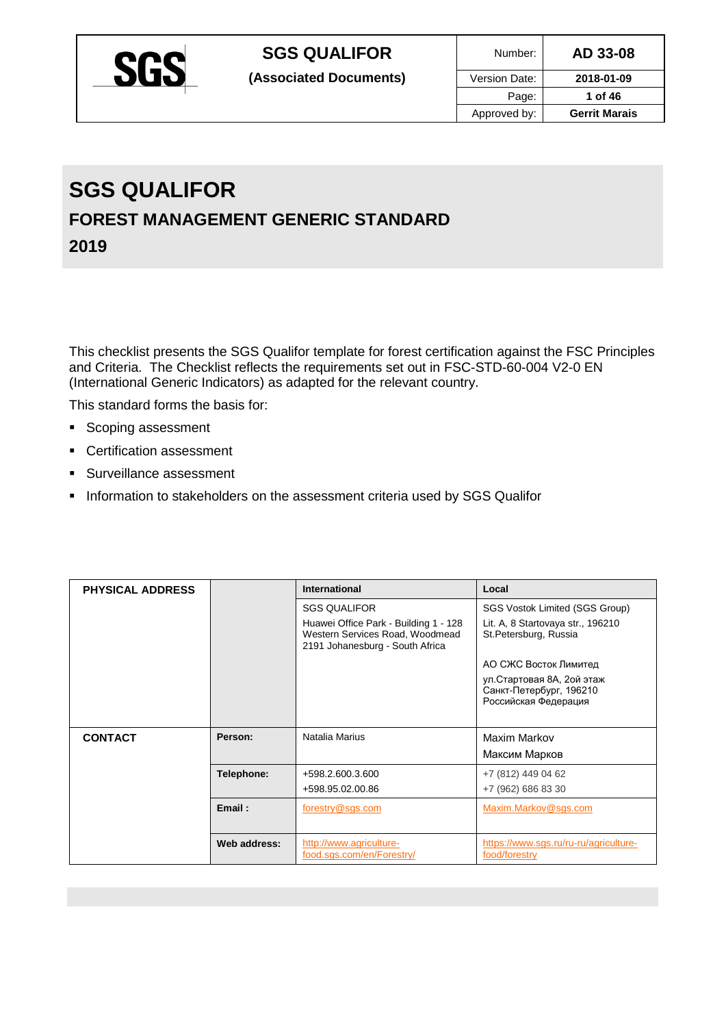

# **SGS QUALIFOR**

**(Associated Documents)**

| AD 33-08             |
|----------------------|
| 2018-01-09           |
| 1 of 46              |
| <b>Gerrit Marais</b> |
|                      |

# **SGS QUALIFOR**

### **FOREST MANAGEMENT GENERIC STANDARD**

**2019**

This checklist presents the SGS Qualifor template for forest certification against the FSC Principles and Criteria. The Checklist reflects the requirements set out in FSC-STD-60-004 V2-0 EN (International Generic Indicators) as adapted for the relevant country.

This standard forms the basis for:

- Scoping assessment
- Certification assessment
- Surveillance assessment
- **.** Information to stakeholders on the assessment criteria used by SGS Qualifor

| <b>PHYSICAL ADDRESS</b> |              | <b>International</b>                                                                                        | Local                                                                        |
|-------------------------|--------------|-------------------------------------------------------------------------------------------------------------|------------------------------------------------------------------------------|
|                         |              | <b>SGS QUALIFOR</b>                                                                                         | SGS Vostok Limited (SGS Group)                                               |
|                         |              | Huawei Office Park - Building 1 - 128<br>Western Services Road, Woodmead<br>2191 Johanesburg - South Africa | Lit. A, 8 Startovaya str., 196210<br>St.Petersburg, Russia                   |
|                         |              |                                                                                                             | АО СЖС Восток Лимитед                                                        |
|                         |              |                                                                                                             | ул Стартовая 8А, 2ой этаж<br>Санкт-Петербург, 196210<br>Российская Федерация |
|                         |              |                                                                                                             |                                                                              |
| <b>CONTACT</b>          | Person:      | Natalia Marius                                                                                              | Maxim Markov                                                                 |
|                         |              |                                                                                                             | Максим Марков                                                                |
|                         | Telephone:   | +598.2.600.3.600                                                                                            | +7 (812) 449 04 62                                                           |
|                         |              | +598.95.02.00.86                                                                                            | +7 (962) 686 83 30                                                           |
|                         | Email:       | forestry@sgs.com                                                                                            | Maxim.Markov@sgs.com                                                         |
|                         |              |                                                                                                             |                                                                              |
|                         | Web address: | http://www.agriculture-<br>food.sgs.com/en/Forestry/                                                        | https://www.sgs.ru/ru-ru/agriculture-<br>food/forestry                       |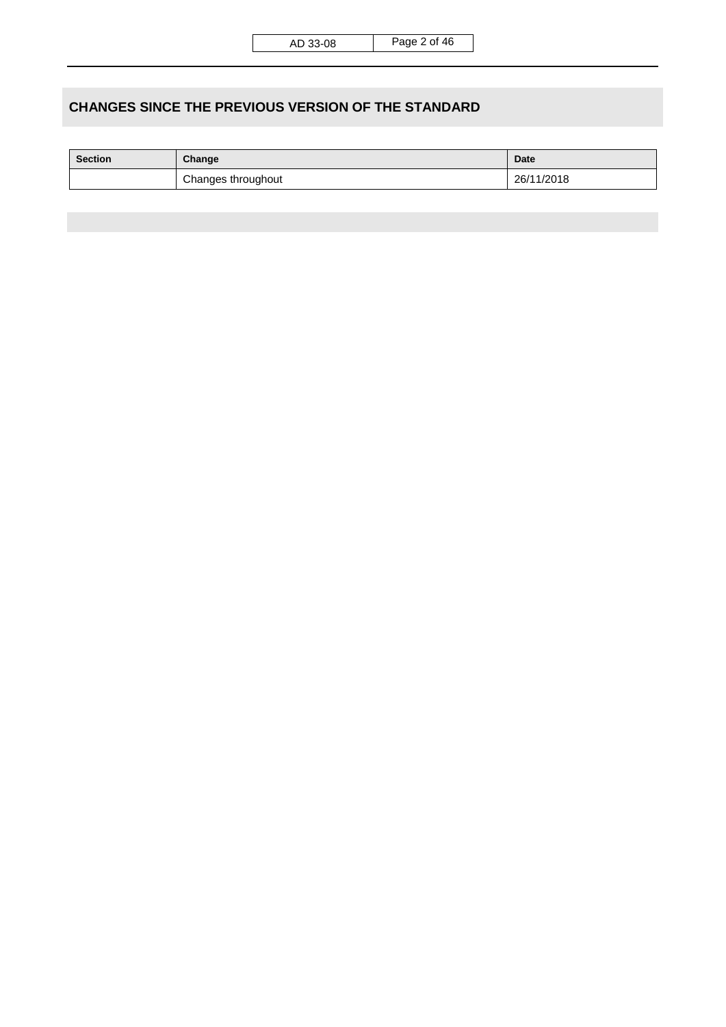### **CHANGES SINCE THE PREVIOUS VERSION OF THE STANDARD**

| Section | Change             | <b>Date</b> |
|---------|--------------------|-------------|
|         | Changes throughout | 26/11/2018  |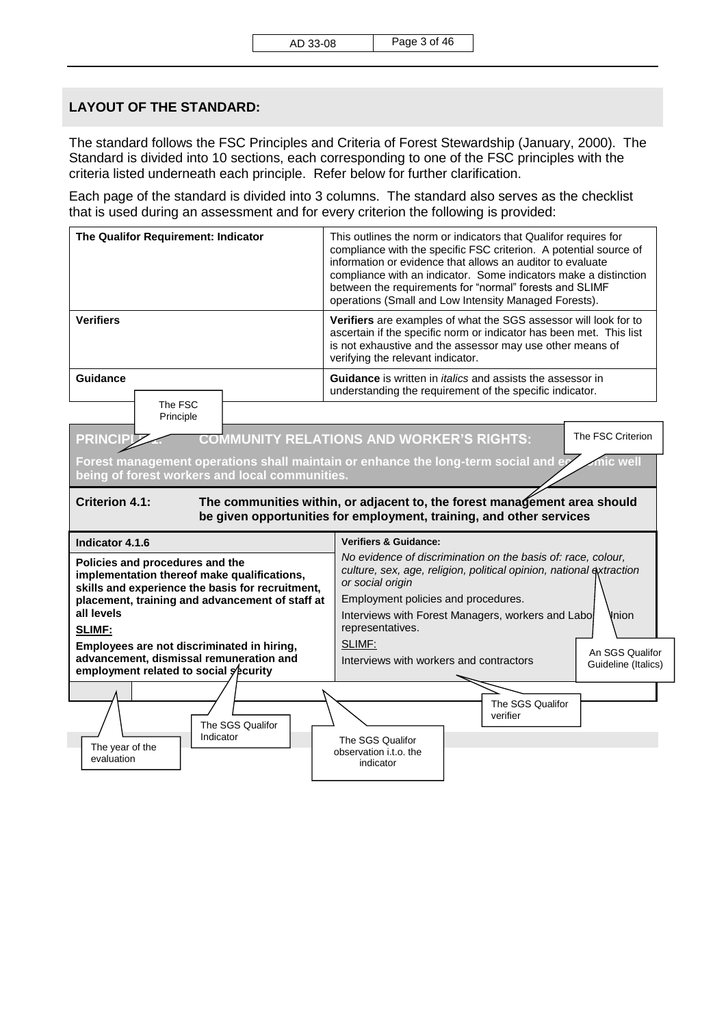#### **LAYOUT OF THE STANDARD:**

The standard follows the FSC Principles and Criteria of Forest Stewardship (January, 2000). The Standard is divided into 10 sections, each corresponding to one of the FSC principles with the criteria listed underneath each principle. Refer below for further clarification.

Each page of the standard is divided into 3 columns. The standard also serves as the checklist that is used during an assessment and for every criterion the following is provided:

| The Qualifor Requirement: Indicator |                                                                                                                                             |                                                                                                     | This outlines the norm or indicators that Qualifor requires for<br>compliance with the specific FSC criterion. A potential source of<br>information or evidence that allows an auditor to evaluate<br>compliance with an indicator. Some indicators make a distinction<br>between the requirements for "normal" forests and SLIMF<br>operations (Small and Low Intensity Managed Forests). |
|-------------------------------------|---------------------------------------------------------------------------------------------------------------------------------------------|-----------------------------------------------------------------------------------------------------|--------------------------------------------------------------------------------------------------------------------------------------------------------------------------------------------------------------------------------------------------------------------------------------------------------------------------------------------------------------------------------------------|
| <b>Verifiers</b>                    |                                                                                                                                             |                                                                                                     | Verifiers are examples of what the SGS assessor will look for to<br>ascertain if the specific norm or indicator has been met. This list<br>is not exhaustive and the assessor may use other means of<br>verifying the relevant indicator.                                                                                                                                                  |
| <b>Guidance</b>                     | The FSC<br>Principle                                                                                                                        |                                                                                                     | Guidance is written in <i>italics</i> and assists the assessor in<br>understanding the requirement of the specific indicator.                                                                                                                                                                                                                                                              |
| PRINCIPLZ                           |                                                                                                                                             |                                                                                                     | The FSC Criterion<br><b>COMMUNITY RELATIONS AND WORKER'S RIGHTS:</b>                                                                                                                                                                                                                                                                                                                       |
|                                     |                                                                                                                                             | being of forest workers and local communities.                                                      | Forest management operations shall maintain or enhance the long-term social and e $\gamma$<br>iic well                                                                                                                                                                                                                                                                                     |
|                                     |                                                                                                                                             |                                                                                                     |                                                                                                                                                                                                                                                                                                                                                                                            |
| <b>Criterion 4.1:</b>               |                                                                                                                                             |                                                                                                     | The communities within, or adjacent to, the forest management area should<br>be given opportunities for employment, training, and other services                                                                                                                                                                                                                                           |
| Indicator 4.1.6                     |                                                                                                                                             |                                                                                                     | <b>Verifiers &amp; Guidance:</b>                                                                                                                                                                                                                                                                                                                                                           |
| all levels<br>SLIMF:                | Policies and procedures and the<br>implementation thereof make qualifications,                                                              | skills and experience the basis for recruitment,<br>placement, training and advancement of staff at | No evidence of discrimination on the basis of: race, colour,<br>culture, sex, age, religion, political opinion, national extraction<br>or social origin<br>Employment policies and procedures.<br>Interviews with Forest Managers, workers and Labo<br>Vnion<br>representatives.                                                                                                           |
|                                     | Employees are not discriminated in hiring,<br>advancement, dismissal remuneration and<br>employment related to social $\frac{1}{2}$ ecurity |                                                                                                     | SLIMF:<br>An SGS Qualifor<br>Interviews with workers and contractors<br>Guideline (Italics)                                                                                                                                                                                                                                                                                                |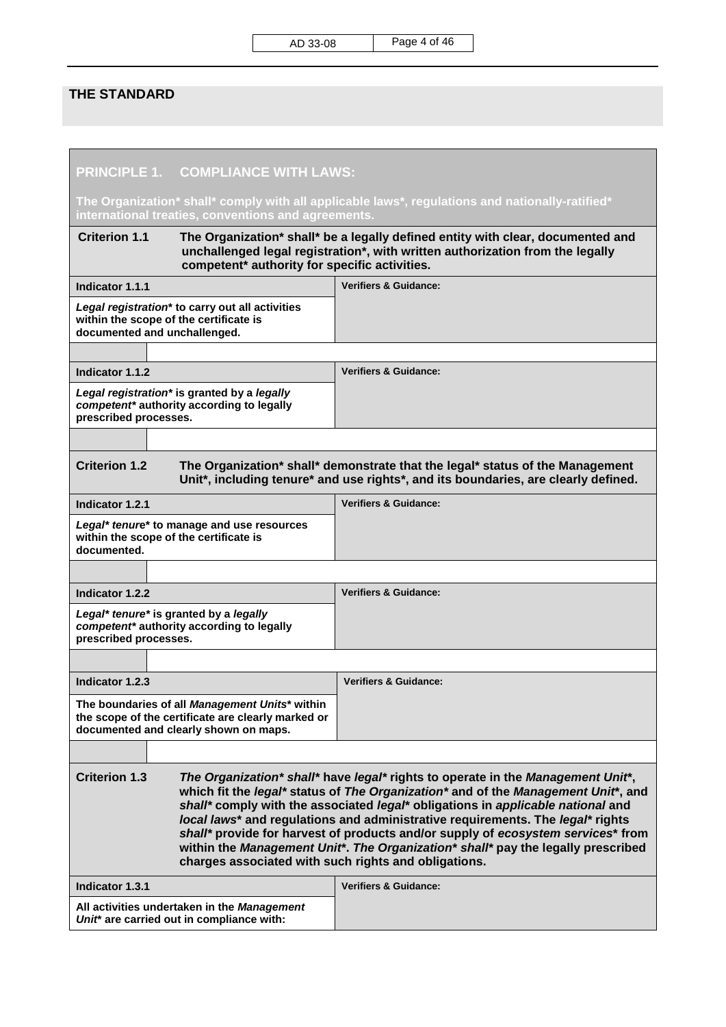|  | AD 33-08 |
|--|----------|
|--|----------|

### **THE STANDARD**

г

| PRINCIPLE 1. COMPLIANCE WITH LAWS:                                                                                                                                                                                                                                                                                                                                                                                                                                                                                                                                                                |                                                                                                                                                                     |  |
|---------------------------------------------------------------------------------------------------------------------------------------------------------------------------------------------------------------------------------------------------------------------------------------------------------------------------------------------------------------------------------------------------------------------------------------------------------------------------------------------------------------------------------------------------------------------------------------------------|---------------------------------------------------------------------------------------------------------------------------------------------------------------------|--|
| The Organization* shall* comply with all applicable laws*, regulations and nationally-ratified*<br>international treaties, conventions and agreements.                                                                                                                                                                                                                                                                                                                                                                                                                                            |                                                                                                                                                                     |  |
| <b>Criterion 1.1</b><br>The Organization* shall* be a legally defined entity with clear, documented and<br>unchallenged legal registration*, with written authorization from the legally<br>competent* authority for specific activities.                                                                                                                                                                                                                                                                                                                                                         |                                                                                                                                                                     |  |
| Indicator 1.1.1                                                                                                                                                                                                                                                                                                                                                                                                                                                                                                                                                                                   | <b>Verifiers &amp; Guidance:</b>                                                                                                                                    |  |
| Legal registration* to carry out all activities<br>within the scope of the certificate is<br>documented and unchallenged.                                                                                                                                                                                                                                                                                                                                                                                                                                                                         |                                                                                                                                                                     |  |
| Indicator 1.1.2                                                                                                                                                                                                                                                                                                                                                                                                                                                                                                                                                                                   | <b>Verifiers &amp; Guidance:</b>                                                                                                                                    |  |
| Legal registration* is granted by a legally<br>competent* authority according to legally<br>prescribed processes.                                                                                                                                                                                                                                                                                                                                                                                                                                                                                 |                                                                                                                                                                     |  |
|                                                                                                                                                                                                                                                                                                                                                                                                                                                                                                                                                                                                   |                                                                                                                                                                     |  |
| <b>Criterion 1.2</b>                                                                                                                                                                                                                                                                                                                                                                                                                                                                                                                                                                              | The Organization* shall* demonstrate that the legal* status of the Management<br>Unit*, including tenure* and use rights*, and its boundaries, are clearly defined. |  |
| Indicator 1.2.1                                                                                                                                                                                                                                                                                                                                                                                                                                                                                                                                                                                   | <b>Verifiers &amp; Guidance:</b>                                                                                                                                    |  |
| Legal* tenure* to manage and use resources<br>within the scope of the certificate is<br>documented.                                                                                                                                                                                                                                                                                                                                                                                                                                                                                               |                                                                                                                                                                     |  |
| <b>Indicator 1.2.2</b>                                                                                                                                                                                                                                                                                                                                                                                                                                                                                                                                                                            | <b>Verifiers &amp; Guidance:</b>                                                                                                                                    |  |
| Legal* tenure* is granted by a legally<br>competent* authority according to legally<br>prescribed processes.                                                                                                                                                                                                                                                                                                                                                                                                                                                                                      |                                                                                                                                                                     |  |
|                                                                                                                                                                                                                                                                                                                                                                                                                                                                                                                                                                                                   |                                                                                                                                                                     |  |
| Indicator 1.2.3                                                                                                                                                                                                                                                                                                                                                                                                                                                                                                                                                                                   | <b>Verifiers &amp; Guidance:</b>                                                                                                                                    |  |
| The boundaries of all Management Units* within<br>the scope of the certificate are clearly marked or<br>documented and clearly shown on maps.                                                                                                                                                                                                                                                                                                                                                                                                                                                     |                                                                                                                                                                     |  |
|                                                                                                                                                                                                                                                                                                                                                                                                                                                                                                                                                                                                   |                                                                                                                                                                     |  |
| <b>Criterion 1.3</b><br>The Organization* shall* have legal* rights to operate in the Management Unit*,<br>which fit the legal* status of The Organization* and of the Management Unit*, and<br>shall* comply with the associated legal* obligations in applicable national and<br>local laws* and regulations and administrative requirements. The legal* rights<br>shall* provide for harvest of products and/or supply of ecosystem services* from<br>within the Management Unit*. The Organization* shall* pay the legally prescribed<br>charges associated with such rights and obligations. |                                                                                                                                                                     |  |
| <b>Indicator 1.3.1</b>                                                                                                                                                                                                                                                                                                                                                                                                                                                                                                                                                                            | <b>Verifiers &amp; Guidance:</b>                                                                                                                                    |  |
| All activities undertaken in the Management<br>Unit* are carried out in compliance with:                                                                                                                                                                                                                                                                                                                                                                                                                                                                                                          |                                                                                                                                                                     |  |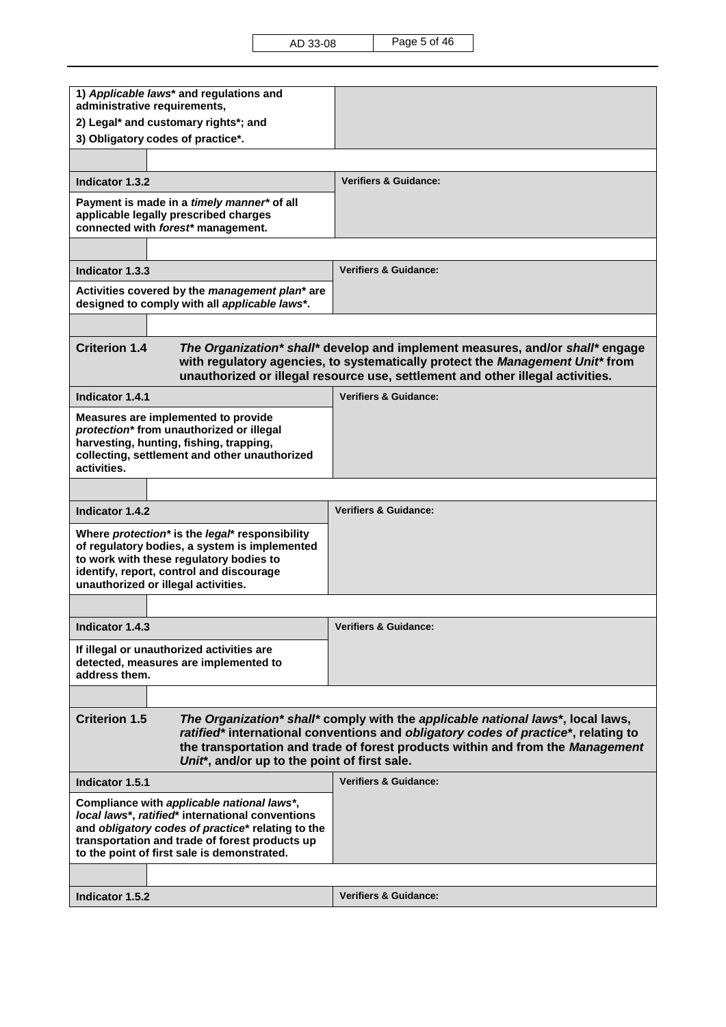| 1) Applicable laws* and regulations and<br>administrative requirements,                                                                                                                                                                                                                                                         |                                                                                                                                                                                                                                                  |  |
|---------------------------------------------------------------------------------------------------------------------------------------------------------------------------------------------------------------------------------------------------------------------------------------------------------------------------------|--------------------------------------------------------------------------------------------------------------------------------------------------------------------------------------------------------------------------------------------------|--|
| 2) Legal* and customary rights*; and                                                                                                                                                                                                                                                                                            |                                                                                                                                                                                                                                                  |  |
| 3) Obligatory codes of practice*.                                                                                                                                                                                                                                                                                               |                                                                                                                                                                                                                                                  |  |
|                                                                                                                                                                                                                                                                                                                                 |                                                                                                                                                                                                                                                  |  |
| Indicator 1.3.2                                                                                                                                                                                                                                                                                                                 | <b>Verifiers &amp; Guidance:</b>                                                                                                                                                                                                                 |  |
| Payment is made in a timely manner* of all<br>applicable legally prescribed charges<br>connected with forest* management.                                                                                                                                                                                                       |                                                                                                                                                                                                                                                  |  |
|                                                                                                                                                                                                                                                                                                                                 |                                                                                                                                                                                                                                                  |  |
| Indicator 1.3.3                                                                                                                                                                                                                                                                                                                 | <b>Verifiers &amp; Guidance:</b>                                                                                                                                                                                                                 |  |
| Activities covered by the management plan* are<br>designed to comply with all applicable laws*.                                                                                                                                                                                                                                 |                                                                                                                                                                                                                                                  |  |
|                                                                                                                                                                                                                                                                                                                                 |                                                                                                                                                                                                                                                  |  |
| <b>Criterion 1.4</b>                                                                                                                                                                                                                                                                                                            | The Organization* shall* develop and implement measures, and/or shall* engage<br>with regulatory agencies, to systematically protect the Management Unit* from<br>unauthorized or illegal resource use, settlement and other illegal activities. |  |
| Indicator 1.4.1                                                                                                                                                                                                                                                                                                                 | <b>Verifiers &amp; Guidance:</b>                                                                                                                                                                                                                 |  |
| Measures are implemented to provide<br>protection* from unauthorized or illegal<br>harvesting, hunting, fishing, trapping,<br>collecting, settlement and other unauthorized<br>activities.                                                                                                                                      |                                                                                                                                                                                                                                                  |  |
|                                                                                                                                                                                                                                                                                                                                 |                                                                                                                                                                                                                                                  |  |
| Indicator 1.4.2                                                                                                                                                                                                                                                                                                                 | <b>Verifiers &amp; Guidance:</b>                                                                                                                                                                                                                 |  |
| Where protection* is the legal* responsibility<br>of regulatory bodies, a system is implemented<br>to work with these regulatory bodies to<br>identify, report, control and discourage<br>unauthorized or illegal activities.                                                                                                   |                                                                                                                                                                                                                                                  |  |
|                                                                                                                                                                                                                                                                                                                                 |                                                                                                                                                                                                                                                  |  |
| <b>Indicator 1.4.3</b>                                                                                                                                                                                                                                                                                                          | <b>Verifiers &amp; Guidance:</b>                                                                                                                                                                                                                 |  |
| If illegal or unauthorized activities are<br>detected, measures are implemented to<br>address them.                                                                                                                                                                                                                             |                                                                                                                                                                                                                                                  |  |
|                                                                                                                                                                                                                                                                                                                                 |                                                                                                                                                                                                                                                  |  |
| <b>Criterion 1.5</b><br>The Organization* shall* comply with the applicable national laws*, local laws,<br>ratified* international conventions and obligatory codes of practice*, relating to<br>the transportation and trade of forest products within and from the Management<br>Unit*, and/or up to the point of first sale. |                                                                                                                                                                                                                                                  |  |
| Indicator 1.5.1                                                                                                                                                                                                                                                                                                                 | <b>Verifiers &amp; Guidance:</b>                                                                                                                                                                                                                 |  |
| Compliance with applicable national laws*,<br>local laws*, ratified* international conventions<br>and obligatory codes of practice* relating to the<br>transportation and trade of forest products up<br>to the point of first sale is demonstrated.                                                                            |                                                                                                                                                                                                                                                  |  |
|                                                                                                                                                                                                                                                                                                                                 |                                                                                                                                                                                                                                                  |  |
| Indicator 1.5.2                                                                                                                                                                                                                                                                                                                 | <b>Verifiers &amp; Guidance:</b>                                                                                                                                                                                                                 |  |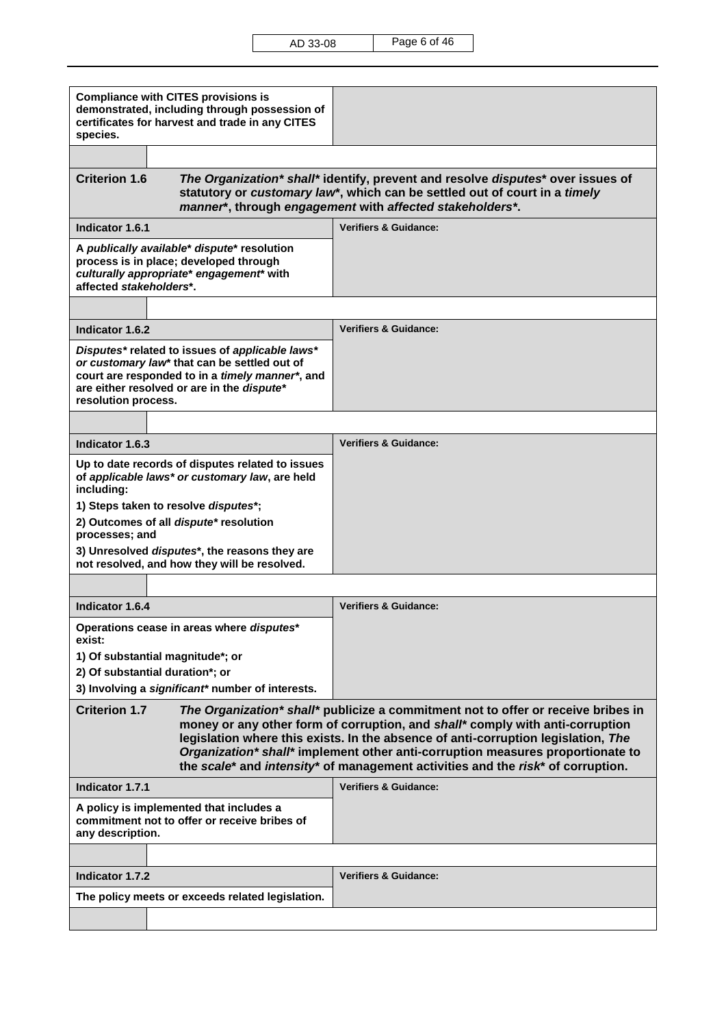| <b>Compliance with CITES provisions is</b><br>demonstrated, including through possession of<br>certificates for harvest and trade in any CITES<br>species.                                                                                                                                                                                                                                                                                           |                                                                                                                                                                                                                           |
|------------------------------------------------------------------------------------------------------------------------------------------------------------------------------------------------------------------------------------------------------------------------------------------------------------------------------------------------------------------------------------------------------------------------------------------------------|---------------------------------------------------------------------------------------------------------------------------------------------------------------------------------------------------------------------------|
|                                                                                                                                                                                                                                                                                                                                                                                                                                                      |                                                                                                                                                                                                                           |
| <b>Criterion 1.6</b>                                                                                                                                                                                                                                                                                                                                                                                                                                 | The Organization* shall* identify, prevent and resolve disputes* over issues of<br>statutory or customary law*, which can be settled out of court in a timely<br>manner*, through engagement with affected stakeholders*. |
| Indicator 1.6.1                                                                                                                                                                                                                                                                                                                                                                                                                                      | <b>Verifiers &amp; Guidance:</b>                                                                                                                                                                                          |
| A publically available* dispute* resolution<br>process is in place; developed through<br>culturally appropriate* engagement* with<br>affected stakeholders*.                                                                                                                                                                                                                                                                                         |                                                                                                                                                                                                                           |
|                                                                                                                                                                                                                                                                                                                                                                                                                                                      |                                                                                                                                                                                                                           |
| Indicator 1.6.2                                                                                                                                                                                                                                                                                                                                                                                                                                      | <b>Verifiers &amp; Guidance:</b>                                                                                                                                                                                          |
| Disputes* related to issues of applicable laws*<br>or customary law* that can be settled out of<br>court are responded to in a timely manner*, and<br>are either resolved or are in the dispute*<br>resolution process.                                                                                                                                                                                                                              |                                                                                                                                                                                                                           |
|                                                                                                                                                                                                                                                                                                                                                                                                                                                      |                                                                                                                                                                                                                           |
| Indicator 1.6.3                                                                                                                                                                                                                                                                                                                                                                                                                                      | <b>Verifiers &amp; Guidance:</b>                                                                                                                                                                                          |
| Up to date records of disputes related to issues<br>of applicable laws* or customary law, are held<br>including:                                                                                                                                                                                                                                                                                                                                     |                                                                                                                                                                                                                           |
| 1) Steps taken to resolve disputes*;<br>2) Outcomes of all dispute* resolution                                                                                                                                                                                                                                                                                                                                                                       |                                                                                                                                                                                                                           |
| processes; and                                                                                                                                                                                                                                                                                                                                                                                                                                       |                                                                                                                                                                                                                           |
| 3) Unresolved <i>disputes</i> *, the reasons they are<br>not resolved, and how they will be resolved.                                                                                                                                                                                                                                                                                                                                                |                                                                                                                                                                                                                           |
|                                                                                                                                                                                                                                                                                                                                                                                                                                                      |                                                                                                                                                                                                                           |
| Indicator 1.6.4                                                                                                                                                                                                                                                                                                                                                                                                                                      | <b>Verifiers &amp; Guidance:</b>                                                                                                                                                                                          |
| Operations cease in areas where disputes*<br>exist:                                                                                                                                                                                                                                                                                                                                                                                                  |                                                                                                                                                                                                                           |
| 1) Of substantial magnitude*; or                                                                                                                                                                                                                                                                                                                                                                                                                     |                                                                                                                                                                                                                           |
| 2) Of substantial duration*; or                                                                                                                                                                                                                                                                                                                                                                                                                      |                                                                                                                                                                                                                           |
| 3) Involving a significant* number of interests.                                                                                                                                                                                                                                                                                                                                                                                                     |                                                                                                                                                                                                                           |
| <b>Criterion 1.7</b><br>The Organization* shall* publicize a commitment not to offer or receive bribes in<br>money or any other form of corruption, and shall* comply with anti-corruption<br>legislation where this exists. In the absence of anti-corruption legislation, The<br>Organization* shall* implement other anti-corruption measures proportionate to<br>the scale* and intensity* of management activities and the risk* of corruption. |                                                                                                                                                                                                                           |
| Indicator 1.7.1                                                                                                                                                                                                                                                                                                                                                                                                                                      | <b>Verifiers &amp; Guidance:</b>                                                                                                                                                                                          |
| A policy is implemented that includes a<br>commitment not to offer or receive bribes of<br>any description.                                                                                                                                                                                                                                                                                                                                          |                                                                                                                                                                                                                           |
|                                                                                                                                                                                                                                                                                                                                                                                                                                                      |                                                                                                                                                                                                                           |
| Indicator 1.7.2                                                                                                                                                                                                                                                                                                                                                                                                                                      | <b>Verifiers &amp; Guidance:</b>                                                                                                                                                                                          |
| The policy meets or exceeds related legislation.                                                                                                                                                                                                                                                                                                                                                                                                     |                                                                                                                                                                                                                           |
|                                                                                                                                                                                                                                                                                                                                                                                                                                                      |                                                                                                                                                                                                                           |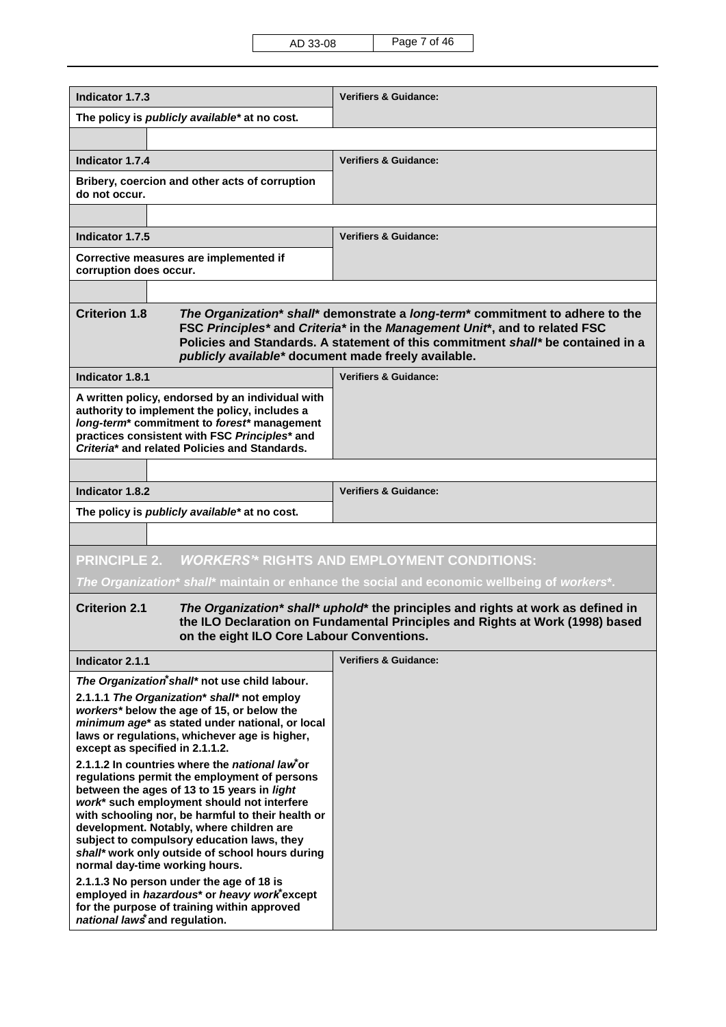| Indicator 1.7.3                                                                                                                                                                                                                                                                                                                                                                                                                                                                                                            | <b>Verifiers &amp; Guidance:</b>                                                                                                                                                                                                              |
|----------------------------------------------------------------------------------------------------------------------------------------------------------------------------------------------------------------------------------------------------------------------------------------------------------------------------------------------------------------------------------------------------------------------------------------------------------------------------------------------------------------------------|-----------------------------------------------------------------------------------------------------------------------------------------------------------------------------------------------------------------------------------------------|
| The policy is publicly available* at no cost.                                                                                                                                                                                                                                                                                                                                                                                                                                                                              |                                                                                                                                                                                                                                               |
|                                                                                                                                                                                                                                                                                                                                                                                                                                                                                                                            |                                                                                                                                                                                                                                               |
| Indicator 1.7.4                                                                                                                                                                                                                                                                                                                                                                                                                                                                                                            | <b>Verifiers &amp; Guidance:</b>                                                                                                                                                                                                              |
| Bribery, coercion and other acts of corruption<br>do not occur.                                                                                                                                                                                                                                                                                                                                                                                                                                                            |                                                                                                                                                                                                                                               |
|                                                                                                                                                                                                                                                                                                                                                                                                                                                                                                                            |                                                                                                                                                                                                                                               |
| Indicator 1.7.5                                                                                                                                                                                                                                                                                                                                                                                                                                                                                                            | <b>Verifiers &amp; Guidance:</b>                                                                                                                                                                                                              |
| Corrective measures are implemented if<br>corruption does occur.                                                                                                                                                                                                                                                                                                                                                                                                                                                           |                                                                                                                                                                                                                                               |
|                                                                                                                                                                                                                                                                                                                                                                                                                                                                                                                            |                                                                                                                                                                                                                                               |
| <b>Criterion 1.8</b><br>publicly available* document made freely available.                                                                                                                                                                                                                                                                                                                                                                                                                                                | The Organization* shall* demonstrate a long-term* commitment to adhere to the<br>FSC Principles* and Criteria* in the Management Unit*, and to related FSC<br>Policies and Standards. A statement of this commitment shall* be contained in a |
| Indicator 1.8.1                                                                                                                                                                                                                                                                                                                                                                                                                                                                                                            | <b>Verifiers &amp; Guidance:</b>                                                                                                                                                                                                              |
| A written policy, endorsed by an individual with<br>authority to implement the policy, includes a<br>long-term* commitment to forest* management<br>practices consistent with FSC Principles* and<br>Criteria* and related Policies and Standards.                                                                                                                                                                                                                                                                         |                                                                                                                                                                                                                                               |
|                                                                                                                                                                                                                                                                                                                                                                                                                                                                                                                            |                                                                                                                                                                                                                                               |
| Indicator 1.8.2                                                                                                                                                                                                                                                                                                                                                                                                                                                                                                            | <b>Verifiers &amp; Guidance:</b>                                                                                                                                                                                                              |
| The policy is publicly available* at no cost.                                                                                                                                                                                                                                                                                                                                                                                                                                                                              |                                                                                                                                                                                                                                               |
|                                                                                                                                                                                                                                                                                                                                                                                                                                                                                                                            |                                                                                                                                                                                                                                               |
| <b>PRINCIPLE 2.</b>                                                                                                                                                                                                                                                                                                                                                                                                                                                                                                        | <b>WORKERS* RIGHTS AND EMPLOYMENT CONDITIONS:</b>                                                                                                                                                                                             |
|                                                                                                                                                                                                                                                                                                                                                                                                                                                                                                                            | The Organization* shall* maintain or enhance the social and economic wellbeing of workers*.                                                                                                                                                   |
| <b>Criterion 2.1</b><br>on the eight ILO Core Labour Conventions.                                                                                                                                                                                                                                                                                                                                                                                                                                                          | The Organization* shall* uphold* the principles and rights at work as defined in<br>the ILO Declaration on Fundamental Principles and Rights at Work (1998) based                                                                             |
| Indicator 2.1.1                                                                                                                                                                                                                                                                                                                                                                                                                                                                                                            | <b>Verifiers &amp; Guidance:</b>                                                                                                                                                                                                              |
| The Organization*shall* not use child labour.                                                                                                                                                                                                                                                                                                                                                                                                                                                                              |                                                                                                                                                                                                                                               |
| 2.1.1.1 The Organization* shall* not employ<br>workers* below the age of 15, or below the<br>minimum age* as stated under national, or local<br>laws or regulations, whichever age is higher,<br>except as specified in 2.1.1.2.                                                                                                                                                                                                                                                                                           |                                                                                                                                                                                                                                               |
| 2.1.1.2 In countries where the national law*or<br>regulations permit the employment of persons<br>between the ages of 13 to 15 years in light<br>work* such employment should not interfere<br>with schooling nor, be harmful to their health or<br>development. Notably, where children are<br>subject to compulsory education laws, they<br>shall* work only outside of school hours during<br>normal day-time working hours.<br>2.1.1.3 No person under the age of 18 is<br>employed in hazardous* or heavy work*except |                                                                                                                                                                                                                                               |
| for the purpose of training within approved<br>national laws and regulation.                                                                                                                                                                                                                                                                                                                                                                                                                                               |                                                                                                                                                                                                                                               |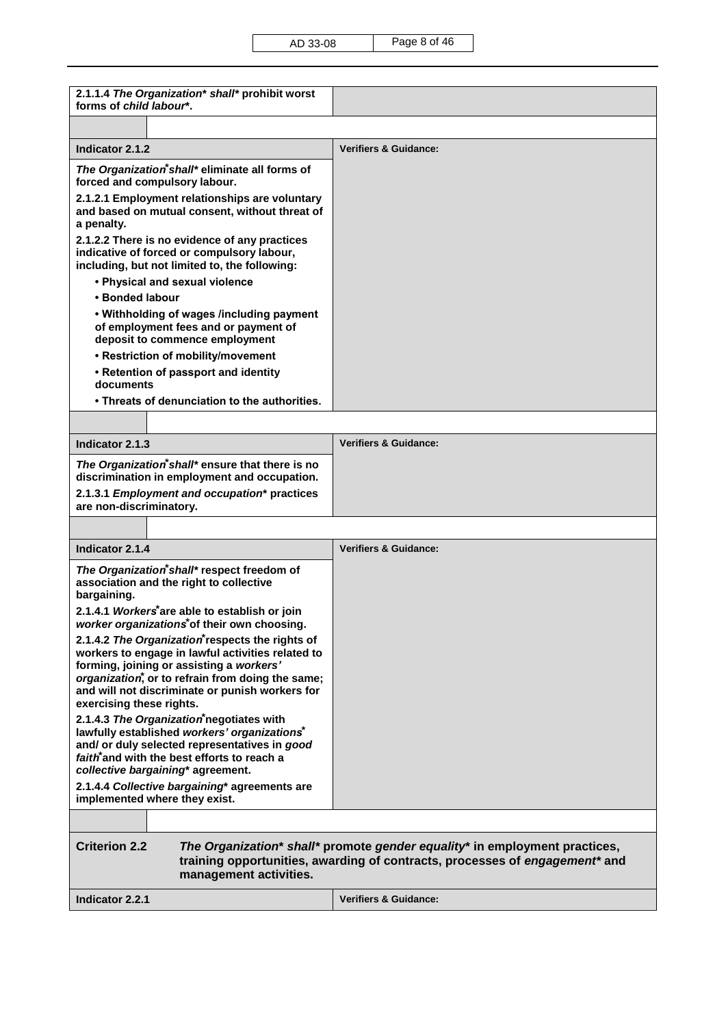AD 33-08 Page 8 of 46

| 2.1.1.4 The Organization* shall* prohibit worst<br>forms of child labour*.                                                                                                                                                                                                          |                                                                                                                                                           |
|-------------------------------------------------------------------------------------------------------------------------------------------------------------------------------------------------------------------------------------------------------------------------------------|-----------------------------------------------------------------------------------------------------------------------------------------------------------|
|                                                                                                                                                                                                                                                                                     |                                                                                                                                                           |
| Indicator 2.1.2                                                                                                                                                                                                                                                                     | <b>Verifiers &amp; Guidance:</b>                                                                                                                          |
| The Organization <sup>*</sup> shall* eliminate all forms of<br>forced and compulsory labour.                                                                                                                                                                                        |                                                                                                                                                           |
| 2.1.2.1 Employment relationships are voluntary<br>and based on mutual consent, without threat of<br>a penalty.                                                                                                                                                                      |                                                                                                                                                           |
| 2.1.2.2 There is no evidence of any practices<br>indicative of forced or compulsory labour,<br>including, but not limited to, the following:                                                                                                                                        |                                                                                                                                                           |
| • Physical and sexual violence                                                                                                                                                                                                                                                      |                                                                                                                                                           |
| • Bonded labour                                                                                                                                                                                                                                                                     |                                                                                                                                                           |
| • Withholding of wages /including payment<br>of employment fees and or payment of<br>deposit to commence employment                                                                                                                                                                 |                                                                                                                                                           |
| • Restriction of mobility/movement                                                                                                                                                                                                                                                  |                                                                                                                                                           |
| • Retention of passport and identity<br>documents                                                                                                                                                                                                                                   |                                                                                                                                                           |
| • Threats of denunciation to the authorities.                                                                                                                                                                                                                                       |                                                                                                                                                           |
|                                                                                                                                                                                                                                                                                     |                                                                                                                                                           |
| Indicator 2.1.3                                                                                                                                                                                                                                                                     | <b>Verifiers &amp; Guidance:</b>                                                                                                                          |
| The Organization <sup>*</sup> shall* ensure that there is no<br>discrimination in employment and occupation.                                                                                                                                                                        |                                                                                                                                                           |
| 2.1.3.1 Employment and occupation* practices<br>are non-discriminatory.                                                                                                                                                                                                             |                                                                                                                                                           |
|                                                                                                                                                                                                                                                                                     |                                                                                                                                                           |
| Indicator 2.1.4                                                                                                                                                                                                                                                                     | <b>Verifiers &amp; Guidance:</b>                                                                                                                          |
| The Organization*shall* respect freedom of<br>association and the right to collective<br>bargaining.                                                                                                                                                                                |                                                                                                                                                           |
| 2.1.4.1 Workers*are able to establish or join<br>worker organizations*of their own choosing.                                                                                                                                                                                        |                                                                                                                                                           |
| 2.1.4.2 The Organization respects the rights of<br>workers to engage in lawful activities related to<br>forming, joining or assisting a workers'<br>organization, or to refrain from doing the same;<br>and will not discriminate or punish workers for<br>exercising these rights. |                                                                                                                                                           |
| 2.1.4.3 The Organization negotiates with<br>lawfully established workers' organizations*<br>and/ or duly selected representatives in good<br>faith*and with the best efforts to reach a<br>collective bargaining* agreement.                                                        |                                                                                                                                                           |
| 2.1.4.4 Collective bargaining* agreements are<br>implemented where they exist.                                                                                                                                                                                                      |                                                                                                                                                           |
|                                                                                                                                                                                                                                                                                     |                                                                                                                                                           |
| <b>Criterion 2.2</b><br>management activities.                                                                                                                                                                                                                                      | The Organization* shall* promote gender equality* in employment practices,<br>training opportunities, awarding of contracts, processes of engagement* and |
| Indicator 2.2.1                                                                                                                                                                                                                                                                     | <b>Verifiers &amp; Guidance:</b>                                                                                                                          |
|                                                                                                                                                                                                                                                                                     |                                                                                                                                                           |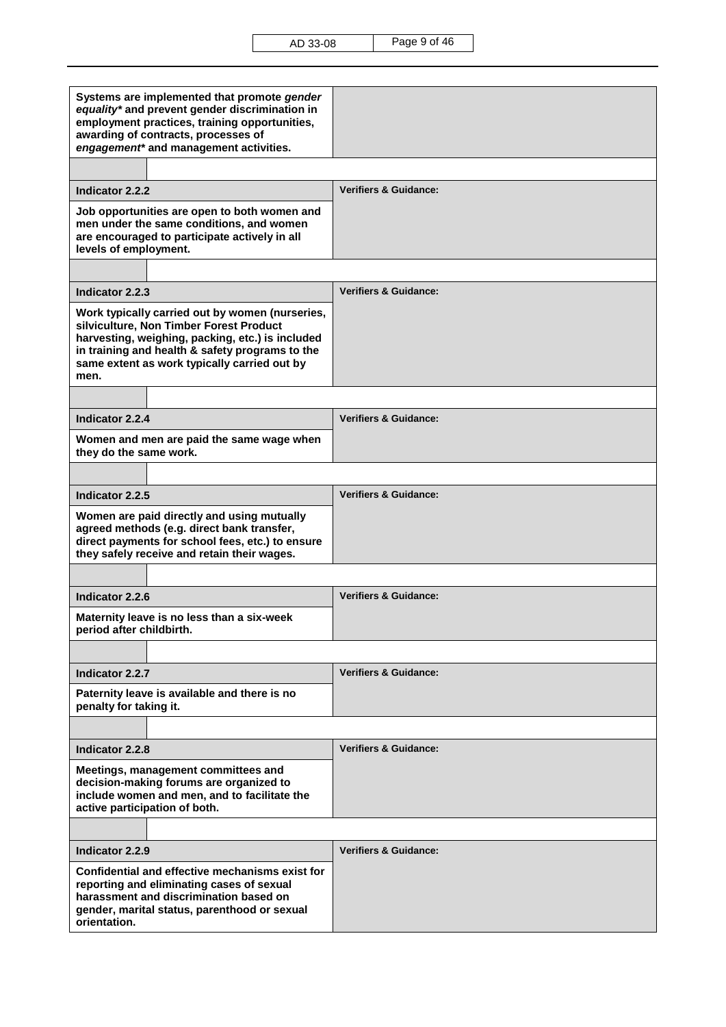| Systems are implemented that promote gender<br>equality* and prevent gender discrimination in<br>employment practices, training opportunities,<br>awarding of contracts, processes of<br>engagement* and management activities.                           |                                  |
|-----------------------------------------------------------------------------------------------------------------------------------------------------------------------------------------------------------------------------------------------------------|----------------------------------|
|                                                                                                                                                                                                                                                           |                                  |
| Indicator 2.2.2                                                                                                                                                                                                                                           | <b>Verifiers &amp; Guidance:</b> |
| Job opportunities are open to both women and<br>men under the same conditions, and women<br>are encouraged to participate actively in all<br>levels of employment.                                                                                        |                                  |
|                                                                                                                                                                                                                                                           |                                  |
| Indicator 2.2.3                                                                                                                                                                                                                                           | <b>Verifiers &amp; Guidance:</b> |
| Work typically carried out by women (nurseries,<br>silviculture, Non Timber Forest Product<br>harvesting, weighing, packing, etc.) is included<br>in training and health & safety programs to the<br>same extent as work typically carried out by<br>men. |                                  |
|                                                                                                                                                                                                                                                           |                                  |
| Indicator 2.2.4                                                                                                                                                                                                                                           | <b>Verifiers &amp; Guidance:</b> |
| Women and men are paid the same wage when<br>they do the same work.                                                                                                                                                                                       |                                  |
|                                                                                                                                                                                                                                                           |                                  |
| Indicator 2.2.5                                                                                                                                                                                                                                           | <b>Verifiers &amp; Guidance:</b> |
| Women are paid directly and using mutually<br>agreed methods (e.g. direct bank transfer,<br>direct payments for school fees, etc.) to ensure<br>they safely receive and retain their wages.                                                               |                                  |
|                                                                                                                                                                                                                                                           |                                  |
| Indicator 2.2.6                                                                                                                                                                                                                                           | <b>Verifiers &amp; Guidance:</b> |
| Maternity leave is no less than a six-week<br>period after childbirth.                                                                                                                                                                                    |                                  |
|                                                                                                                                                                                                                                                           |                                  |
| Indicator 2.2.7                                                                                                                                                                                                                                           | <b>Verifiers &amp; Guidance:</b> |
| Paternity leave is available and there is no<br>penalty for taking it.                                                                                                                                                                                    |                                  |
|                                                                                                                                                                                                                                                           |                                  |
| Indicator 2.2.8                                                                                                                                                                                                                                           | <b>Verifiers &amp; Guidance:</b> |
| Meetings, management committees and<br>decision-making forums are organized to<br>include women and men, and to facilitate the<br>active participation of both.                                                                                           |                                  |
|                                                                                                                                                                                                                                                           |                                  |
| Indicator 2.2.9                                                                                                                                                                                                                                           | <b>Verifiers &amp; Guidance:</b> |
| Confidential and effective mechanisms exist for<br>reporting and eliminating cases of sexual<br>harassment and discrimination based on<br>gender, marital status, parenthood or sexual<br>orientation.                                                    |                                  |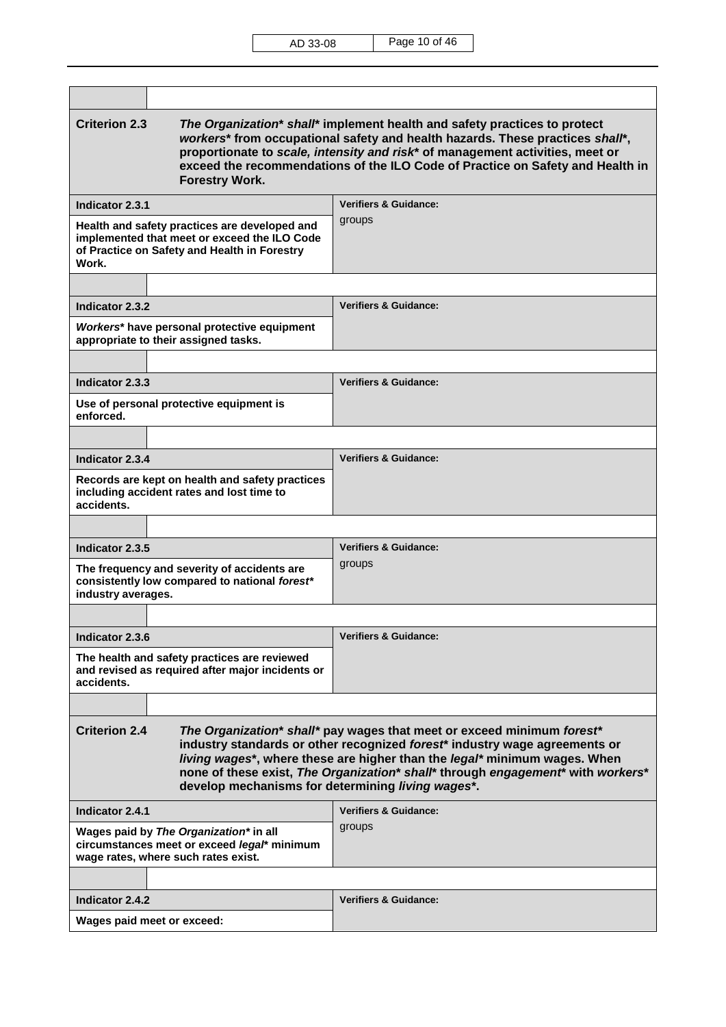| <b>Criterion 2.3</b><br><b>Forestry Work.</b>                                                                                                                                                                                                                                                                                                                                                     | The Organization* shall* implement health and safety practices to protect<br>workers* from occupational safety and health hazards. These practices shall*,<br>proportionate to scale, intensity and risk* of management activities, meet or<br>exceed the recommendations of the ILO Code of Practice on Safety and Health in |
|---------------------------------------------------------------------------------------------------------------------------------------------------------------------------------------------------------------------------------------------------------------------------------------------------------------------------------------------------------------------------------------------------|-------------------------------------------------------------------------------------------------------------------------------------------------------------------------------------------------------------------------------------------------------------------------------------------------------------------------------|
| Indicator 2.3.1                                                                                                                                                                                                                                                                                                                                                                                   | <b>Verifiers &amp; Guidance:</b>                                                                                                                                                                                                                                                                                              |
| Health and safety practices are developed and<br>implemented that meet or exceed the ILO Code<br>of Practice on Safety and Health in Forestry<br>Work.                                                                                                                                                                                                                                            | groups                                                                                                                                                                                                                                                                                                                        |
|                                                                                                                                                                                                                                                                                                                                                                                                   | <b>Verifiers &amp; Guidance:</b>                                                                                                                                                                                                                                                                                              |
| Indicator 2.3.2<br>Workers* have personal protective equipment<br>appropriate to their assigned tasks.                                                                                                                                                                                                                                                                                            |                                                                                                                                                                                                                                                                                                                               |
|                                                                                                                                                                                                                                                                                                                                                                                                   |                                                                                                                                                                                                                                                                                                                               |
| Indicator 2.3.3<br>Use of personal protective equipment is<br>enforced.                                                                                                                                                                                                                                                                                                                           | <b>Verifiers &amp; Guidance:</b>                                                                                                                                                                                                                                                                                              |
|                                                                                                                                                                                                                                                                                                                                                                                                   |                                                                                                                                                                                                                                                                                                                               |
| Indicator 2.3.4                                                                                                                                                                                                                                                                                                                                                                                   | <b>Verifiers &amp; Guidance:</b>                                                                                                                                                                                                                                                                                              |
| Records are kept on health and safety practices<br>including accident rates and lost time to<br>accidents.                                                                                                                                                                                                                                                                                        |                                                                                                                                                                                                                                                                                                                               |
|                                                                                                                                                                                                                                                                                                                                                                                                   |                                                                                                                                                                                                                                                                                                                               |
| Indicator 2.3.5                                                                                                                                                                                                                                                                                                                                                                                   | <b>Verifiers &amp; Guidance:</b>                                                                                                                                                                                                                                                                                              |
| The frequency and severity of accidents are<br>consistently low compared to national forest*<br>industry averages.                                                                                                                                                                                                                                                                                | groups                                                                                                                                                                                                                                                                                                                        |
|                                                                                                                                                                                                                                                                                                                                                                                                   |                                                                                                                                                                                                                                                                                                                               |
| Indicator 2.3.6                                                                                                                                                                                                                                                                                                                                                                                   | <b>Verifiers &amp; Guidance:</b>                                                                                                                                                                                                                                                                                              |
| The health and safety practices are reviewed<br>and revised as required after major incidents or<br>accidents.                                                                                                                                                                                                                                                                                    |                                                                                                                                                                                                                                                                                                                               |
|                                                                                                                                                                                                                                                                                                                                                                                                   |                                                                                                                                                                                                                                                                                                                               |
| <b>Criterion 2.4</b><br>The Organization* shall* pay wages that meet or exceed minimum forest*<br>industry standards or other recognized forest* industry wage agreements or<br>living wages*, where these are higher than the legal* minimum wages. When<br>none of these exist, The Organization* shall* through engagement* with workers*<br>develop mechanisms for determining living wages*. |                                                                                                                                                                                                                                                                                                                               |
| Indicator 2.4.1                                                                                                                                                                                                                                                                                                                                                                                   | <b>Verifiers &amp; Guidance:</b>                                                                                                                                                                                                                                                                                              |
| Wages paid by The Organization* in all<br>circumstances meet or exceed legal* minimum<br>wage rates, where such rates exist.                                                                                                                                                                                                                                                                      | groups                                                                                                                                                                                                                                                                                                                        |
|                                                                                                                                                                                                                                                                                                                                                                                                   |                                                                                                                                                                                                                                                                                                                               |
| <b>Indicator 2.4.2</b>                                                                                                                                                                                                                                                                                                                                                                            | <b>Verifiers &amp; Guidance:</b>                                                                                                                                                                                                                                                                                              |
| Wages paid meet or exceed:                                                                                                                                                                                                                                                                                                                                                                        |                                                                                                                                                                                                                                                                                                                               |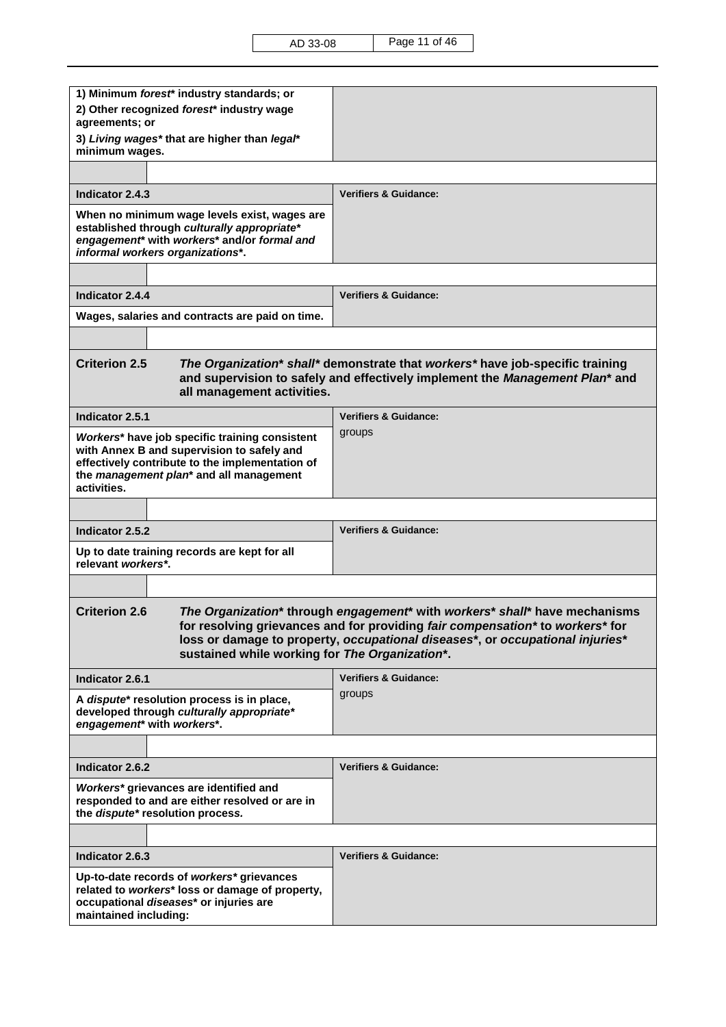AD 33-08 Page 11 of 46

| 1) Minimum forest* industry standards; or                                                                                                                                                                                                                                                                              |                                  |  |
|------------------------------------------------------------------------------------------------------------------------------------------------------------------------------------------------------------------------------------------------------------------------------------------------------------------------|----------------------------------|--|
| 2) Other recognized forest* industry wage<br>agreements; or                                                                                                                                                                                                                                                            |                                  |  |
| 3) Living wages* that are higher than legal*<br>minimum wages.                                                                                                                                                                                                                                                         |                                  |  |
|                                                                                                                                                                                                                                                                                                                        |                                  |  |
| Indicator 2.4.3                                                                                                                                                                                                                                                                                                        | <b>Verifiers &amp; Guidance:</b> |  |
| When no minimum wage levels exist, wages are<br>established through culturally appropriate*<br>engagement with workers <sup>*</sup> and/or formal and<br>informal workers organizations*.                                                                                                                              |                                  |  |
| Indicator 2.4.4                                                                                                                                                                                                                                                                                                        | <b>Verifiers &amp; Guidance:</b> |  |
| Wages, salaries and contracts are paid on time.                                                                                                                                                                                                                                                                        |                                  |  |
|                                                                                                                                                                                                                                                                                                                        |                                  |  |
| <b>Criterion 2.5</b><br>The Organization* shall* demonstrate that workers* have job-specific training<br>and supervision to safely and effectively implement the Management Plan* and<br>all management activities.                                                                                                    |                                  |  |
| Indicator 2.5.1                                                                                                                                                                                                                                                                                                        | <b>Verifiers &amp; Guidance:</b> |  |
| Workers* have job specific training consistent<br>with Annex B and supervision to safely and<br>effectively contribute to the implementation of<br>the management plan* and all management<br>activities.                                                                                                              | groups                           |  |
|                                                                                                                                                                                                                                                                                                                        |                                  |  |
| Indicator 2.5.2                                                                                                                                                                                                                                                                                                        | <b>Verifiers &amp; Guidance:</b> |  |
| Up to date training records are kept for all<br>relevant workers*.                                                                                                                                                                                                                                                     |                                  |  |
|                                                                                                                                                                                                                                                                                                                        |                                  |  |
| <b>Criterion 2.6</b><br>The Organization* through engagement* with workers* shall* have mechanisms<br>for resolving grievances and for providing fair compensation* to workers* for<br>loss or damage to property, occupational diseases*, or occupational injuries*<br>sustained while working for The Organization*. |                                  |  |
| Indicator 2.6.1                                                                                                                                                                                                                                                                                                        | <b>Verifiers &amp; Guidance:</b> |  |
| A dispute* resolution process is in place,<br>developed through culturally appropriate*<br>engagement* with workers*.                                                                                                                                                                                                  | groups                           |  |
|                                                                                                                                                                                                                                                                                                                        |                                  |  |
| Indicator 2.6.2                                                                                                                                                                                                                                                                                                        | <b>Verifiers &amp; Guidance:</b> |  |
| Workers* grievances are identified and<br>responded to and are either resolved or are in<br>the dispute* resolution process.                                                                                                                                                                                           |                                  |  |
|                                                                                                                                                                                                                                                                                                                        |                                  |  |
| Indicator 2.6.3                                                                                                                                                                                                                                                                                                        | <b>Verifiers &amp; Guidance:</b> |  |
| Up-to-date records of workers* grievances<br>related to workers* loss or damage of property,<br>occupational diseases* or injuries are<br>maintained including:                                                                                                                                                        |                                  |  |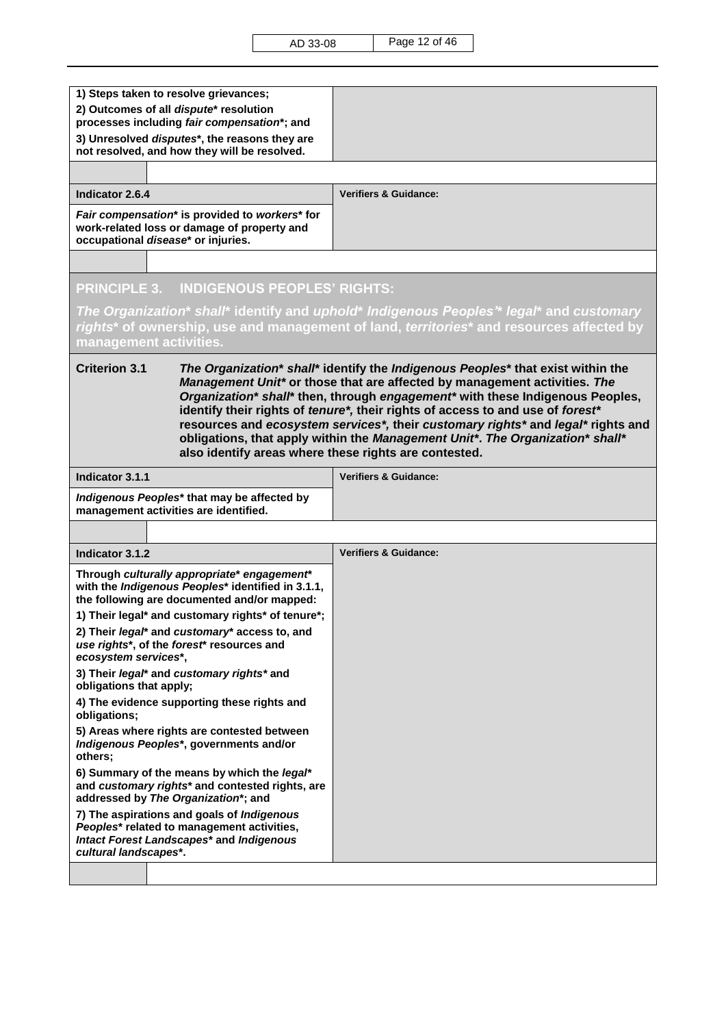| 1) Steps taken to resolve grievances;                                                                                                                                                                                                                                                                                                                                                                                                                                                                                                                                                 |                                                                                                  |
|---------------------------------------------------------------------------------------------------------------------------------------------------------------------------------------------------------------------------------------------------------------------------------------------------------------------------------------------------------------------------------------------------------------------------------------------------------------------------------------------------------------------------------------------------------------------------------------|--------------------------------------------------------------------------------------------------|
| 2) Outcomes of all dispute* resolution<br>processes including fair compensation*; and                                                                                                                                                                                                                                                                                                                                                                                                                                                                                                 |                                                                                                  |
| 3) Unresolved disputes*, the reasons they are<br>not resolved, and how they will be resolved.                                                                                                                                                                                                                                                                                                                                                                                                                                                                                         |                                                                                                  |
|                                                                                                                                                                                                                                                                                                                                                                                                                                                                                                                                                                                       |                                                                                                  |
| Indicator 2.6.4                                                                                                                                                                                                                                                                                                                                                                                                                                                                                                                                                                       | <b>Verifiers &amp; Guidance:</b>                                                                 |
| Fair compensation* is provided to workers* for<br>work-related loss or damage of property and<br>occupational disease* or injuries.                                                                                                                                                                                                                                                                                                                                                                                                                                                   |                                                                                                  |
|                                                                                                                                                                                                                                                                                                                                                                                                                                                                                                                                                                                       |                                                                                                  |
| PRINCIPLE 3. INDIGENOUS PEOPLES' RIGHTS:                                                                                                                                                                                                                                                                                                                                                                                                                                                                                                                                              |                                                                                                  |
|                                                                                                                                                                                                                                                                                                                                                                                                                                                                                                                                                                                       | The Organization* shall* identify and uphold* Indigenous Peoples* legal* and customary           |
| management activities.                                                                                                                                                                                                                                                                                                                                                                                                                                                                                                                                                                | rights* of ownership, use and management of land, <i>territories</i> * and resources affected by |
| <b>Criterion 3.1</b><br>The Organization* shall* identify the Indigenous Peoples* that exist within the<br>Management Unit* or those that are affected by management activities. The<br>Organization* shall* then, through engagement* with these Indigenous Peoples,<br>identify their rights of tenure*, their rights of access to and use of forest*<br>resources and ecosystem services*, their customary rights* and legal* rights and<br>obligations, that apply within the Management Unit*. The Organization* shall*<br>also identify areas where these rights are contested. |                                                                                                  |
| Indicator 3.1.1                                                                                                                                                                                                                                                                                                                                                                                                                                                                                                                                                                       | <b>Verifiers &amp; Guidance:</b>                                                                 |
| Indigenous Peoples* that may be affected by<br>management activities are identified.                                                                                                                                                                                                                                                                                                                                                                                                                                                                                                  |                                                                                                  |
|                                                                                                                                                                                                                                                                                                                                                                                                                                                                                                                                                                                       |                                                                                                  |
| Indicator 3.1.2                                                                                                                                                                                                                                                                                                                                                                                                                                                                                                                                                                       | <b>Verifiers &amp; Guidance:</b>                                                                 |
| Through culturally appropriate* engagement*<br>with the Indigenous Peoples* identified in 3.1.1,<br>the following are documented and/or mapped:                                                                                                                                                                                                                                                                                                                                                                                                                                       |                                                                                                  |
| 1) Their legal* and customary rights* of tenure*;                                                                                                                                                                                                                                                                                                                                                                                                                                                                                                                                     |                                                                                                  |
| 2) Their legal* and customary* access to, and<br>use rights*, of the forest* resources and<br>ecosystem services*,                                                                                                                                                                                                                                                                                                                                                                                                                                                                    |                                                                                                  |
| 3) Their legal* and customary rights* and<br>obligations that apply;                                                                                                                                                                                                                                                                                                                                                                                                                                                                                                                  |                                                                                                  |
| 4) The evidence supporting these rights and<br>obligations;                                                                                                                                                                                                                                                                                                                                                                                                                                                                                                                           |                                                                                                  |
| 5) Areas where rights are contested between<br>Indigenous Peoples*, governments and/or<br>others:                                                                                                                                                                                                                                                                                                                                                                                                                                                                                     |                                                                                                  |
| 6) Summary of the means by which the legal*<br>and customary rights* and contested rights, are<br>addressed by The Organization*; and                                                                                                                                                                                                                                                                                                                                                                                                                                                 |                                                                                                  |
| 7) The aspirations and goals of Indigenous<br>Peoples* related to management activities,<br>Intact Forest Landscapes* and Indigenous<br>cultural landscapes*.                                                                                                                                                                                                                                                                                                                                                                                                                         |                                                                                                  |
|                                                                                                                                                                                                                                                                                                                                                                                                                                                                                                                                                                                       |                                                                                                  |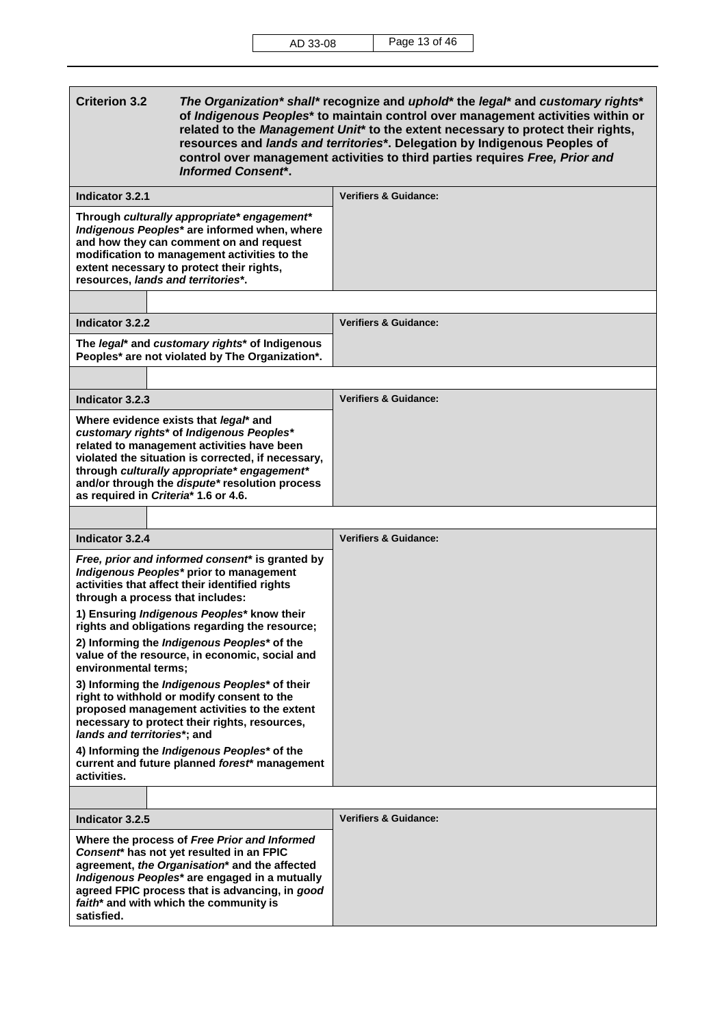| <b>Criterion 3.2</b><br>The Organization* shall* recognize and uphold* the legal* and customary rights*<br>of Indigenous Peoples* to maintain control over management activities within or<br>related to the Management Unit* to the extent necessary to protect their rights,<br>resources and lands and territories*. Delegation by Indigenous Peoples of<br>control over management activities to third parties requires Free, Prior and<br><b>Informed Consent*.</b> |  |                                  |
|--------------------------------------------------------------------------------------------------------------------------------------------------------------------------------------------------------------------------------------------------------------------------------------------------------------------------------------------------------------------------------------------------------------------------------------------------------------------------|--|----------------------------------|
| Indicator 3.2.1                                                                                                                                                                                                                                                                                                                                                                                                                                                          |  | <b>Verifiers &amp; Guidance:</b> |
| Through culturally appropriate* engagement*<br>Indigenous Peoples* are informed when, where<br>and how they can comment on and request<br>modification to management activities to the<br>extent necessary to protect their rights,<br>resources, lands and territories*.                                                                                                                                                                                                |  |                                  |
|                                                                                                                                                                                                                                                                                                                                                                                                                                                                          |  | <b>Verifiers &amp; Guidance:</b> |
| Indicator 3.2.2<br>The legal* and customary rights* of Indigenous                                                                                                                                                                                                                                                                                                                                                                                                        |  |                                  |
| Peoples* are not violated by The Organization*.                                                                                                                                                                                                                                                                                                                                                                                                                          |  |                                  |
|                                                                                                                                                                                                                                                                                                                                                                                                                                                                          |  |                                  |
| Indicator 3.2.3                                                                                                                                                                                                                                                                                                                                                                                                                                                          |  | <b>Verifiers &amp; Guidance:</b> |
| Where evidence exists that legal* and<br>customary rights* of Indigenous Peoples*<br>related to management activities have been<br>violated the situation is corrected, if necessary,<br>through culturally appropriate* engagement*<br>and/or through the dispute* resolution process<br>as required in Criteria* 1.6 or 4.6.                                                                                                                                           |  |                                  |
|                                                                                                                                                                                                                                                                                                                                                                                                                                                                          |  |                                  |
| Indicator 3.2.4                                                                                                                                                                                                                                                                                                                                                                                                                                                          |  | <b>Verifiers &amp; Guidance:</b> |
| Free, prior and informed consent* is granted by<br>Indigenous Peoples* prior to management<br>activities that affect their identified rights<br>through a process that includes:                                                                                                                                                                                                                                                                                         |  |                                  |
| 1) Ensuring Indigenous Peoples* know their<br>rights and obligations regarding the resource;                                                                                                                                                                                                                                                                                                                                                                             |  |                                  |
| 2) Informing the Indigenous Peoples* of the<br>value of the resource, in economic, social and<br>environmental terms;                                                                                                                                                                                                                                                                                                                                                    |  |                                  |
|                                                                                                                                                                                                                                                                                                                                                                                                                                                                          |  |                                  |
| 3) Informing the Indigenous Peoples* of their<br>right to withhold or modify consent to the<br>proposed management activities to the extent<br>necessary to protect their rights, resources,<br>lands and territories*; and                                                                                                                                                                                                                                              |  |                                  |
| 4) Informing the Indigenous Peoples* of the<br>current and future planned forest* management<br>activities.                                                                                                                                                                                                                                                                                                                                                              |  |                                  |
| Indicator 3.2.5                                                                                                                                                                                                                                                                                                                                                                                                                                                          |  | <b>Verifiers &amp; Guidance:</b> |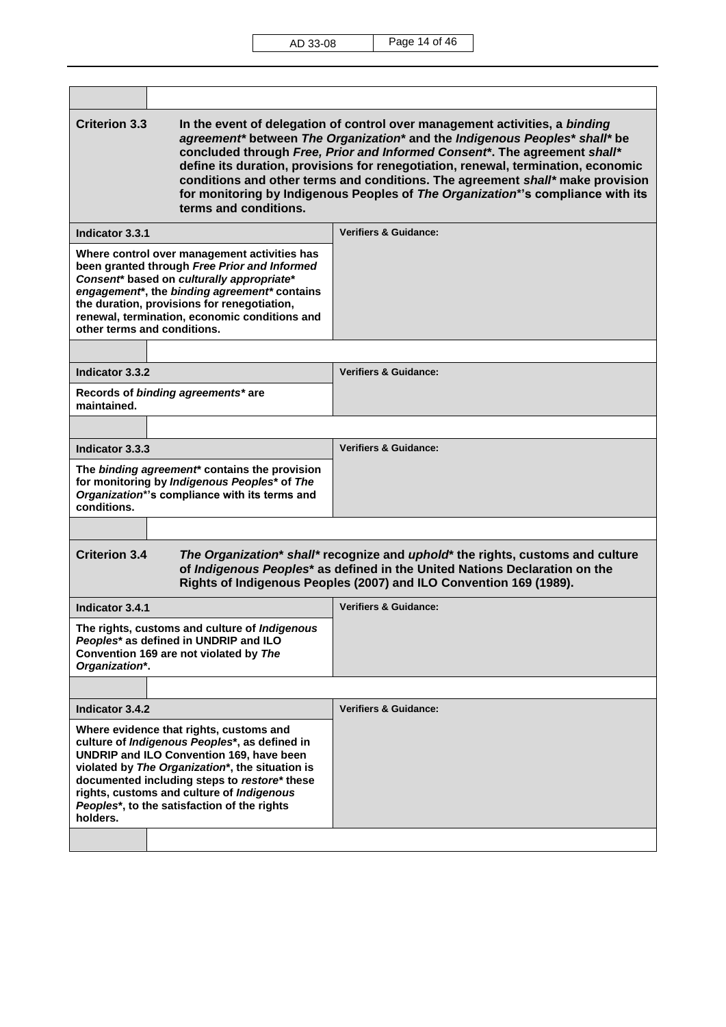| <b>Criterion 3.3</b><br>terms and conditions.                                                                                                                                                                                                                                                                                                     | In the event of delegation of control over management activities, a binding<br>agreement* between The Organization* and the Indigenous Peoples* shall* be<br>concluded through Free, Prior and Informed Consent*. The agreement shall*<br>define its duration, provisions for renegotiation, renewal, termination, economic<br>conditions and other terms and conditions. The agreement shall* make provision<br>for monitoring by Indigenous Peoples of The Organization*'s compliance with its |
|---------------------------------------------------------------------------------------------------------------------------------------------------------------------------------------------------------------------------------------------------------------------------------------------------------------------------------------------------|--------------------------------------------------------------------------------------------------------------------------------------------------------------------------------------------------------------------------------------------------------------------------------------------------------------------------------------------------------------------------------------------------------------------------------------------------------------------------------------------------|
| Indicator 3.3.1                                                                                                                                                                                                                                                                                                                                   | <b>Verifiers &amp; Guidance:</b>                                                                                                                                                                                                                                                                                                                                                                                                                                                                 |
| Where control over management activities has<br>been granted through Free Prior and Informed<br>Consent* based on culturally appropriate*<br>engagement <sup>*</sup> , the binding agreement <sup>*</sup> contains<br>the duration, provisions for renegotiation,<br>renewal, termination, economic conditions and<br>other terms and conditions. |                                                                                                                                                                                                                                                                                                                                                                                                                                                                                                  |
|                                                                                                                                                                                                                                                                                                                                                   |                                                                                                                                                                                                                                                                                                                                                                                                                                                                                                  |
| Indicator 3.3.2                                                                                                                                                                                                                                                                                                                                   | <b>Verifiers &amp; Guidance:</b>                                                                                                                                                                                                                                                                                                                                                                                                                                                                 |
| Records of binding agreements* are<br>maintained.                                                                                                                                                                                                                                                                                                 |                                                                                                                                                                                                                                                                                                                                                                                                                                                                                                  |
| Indicator 3.3.3                                                                                                                                                                                                                                                                                                                                   | <b>Verifiers &amp; Guidance:</b>                                                                                                                                                                                                                                                                                                                                                                                                                                                                 |
| The binding agreement contains the provision<br>for monitoring by Indigenous Peoples* of The<br>Organization*'s compliance with its terms and<br>conditions.                                                                                                                                                                                      |                                                                                                                                                                                                                                                                                                                                                                                                                                                                                                  |
|                                                                                                                                                                                                                                                                                                                                                   |                                                                                                                                                                                                                                                                                                                                                                                                                                                                                                  |
| <b>Criterion 3.4</b>                                                                                                                                                                                                                                                                                                                              | The Organization* shall* recognize and uphold* the rights, customs and culture<br>of Indigenous Peoples* as defined in the United Nations Declaration on the<br>Rights of Indigenous Peoples (2007) and ILO Convention 169 (1989).                                                                                                                                                                                                                                                               |
| Indicator 3.4.1                                                                                                                                                                                                                                                                                                                                   | <b>Verifiers &amp; Guidance:</b>                                                                                                                                                                                                                                                                                                                                                                                                                                                                 |
| The rights, customs and culture of Indigenous<br>Peoples* as defined in UNDRIP and ILO<br>Convention 169 are not violated by The<br>Organization*.                                                                                                                                                                                                |                                                                                                                                                                                                                                                                                                                                                                                                                                                                                                  |
|                                                                                                                                                                                                                                                                                                                                                   |                                                                                                                                                                                                                                                                                                                                                                                                                                                                                                  |
| Indicator 3.4.2                                                                                                                                                                                                                                                                                                                                   | <b>Verifiers &amp; Guidance:</b>                                                                                                                                                                                                                                                                                                                                                                                                                                                                 |
| Where evidence that rights, customs and<br>culture of Indigenous Peoples*, as defined in<br>UNDRIP and ILO Convention 169, have been<br>violated by The Organization*, the situation is<br>documented including steps to restore* these<br>rights, customs and culture of Indigenous<br>Peoples*, to the satisfaction of the rights<br>holders.   |                                                                                                                                                                                                                                                                                                                                                                                                                                                                                                  |
|                                                                                                                                                                                                                                                                                                                                                   |                                                                                                                                                                                                                                                                                                                                                                                                                                                                                                  |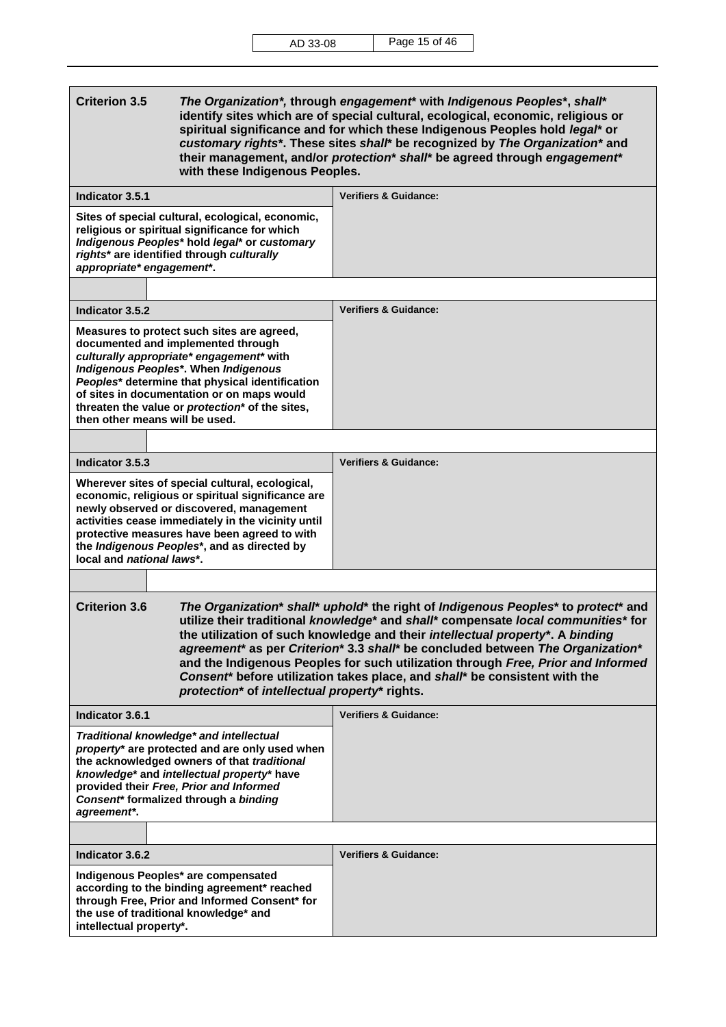| <b>Criterion 3.5</b>                                                                                                                                                                                                                                                                                                                                                                                                                                                                                                                                                                 | The Organization*, through engagement* with Indigenous Peoples*, shall*<br>identify sites which are of special cultural, ecological, economic, religious or<br>spiritual significance and for which these Indigenous Peoples hold legal* or<br>customary rights*. These sites shall* be recognized by The Organization* and<br>their management, and/or protection* shall* be agreed through engagement*<br>with these Indigenous Peoples. |  |
|--------------------------------------------------------------------------------------------------------------------------------------------------------------------------------------------------------------------------------------------------------------------------------------------------------------------------------------------------------------------------------------------------------------------------------------------------------------------------------------------------------------------------------------------------------------------------------------|--------------------------------------------------------------------------------------------------------------------------------------------------------------------------------------------------------------------------------------------------------------------------------------------------------------------------------------------------------------------------------------------------------------------------------------------|--|
| Indicator 3.5.1                                                                                                                                                                                                                                                                                                                                                                                                                                                                                                                                                                      | <b>Verifiers &amp; Guidance:</b>                                                                                                                                                                                                                                                                                                                                                                                                           |  |
| Sites of special cultural, ecological, economic,<br>religious or spiritual significance for which<br>Indigenous Peoples* hold legal* or customary<br>rights* are identified through culturally<br>appropriate* engagement*.                                                                                                                                                                                                                                                                                                                                                          |                                                                                                                                                                                                                                                                                                                                                                                                                                            |  |
| Indicator 3.5.2                                                                                                                                                                                                                                                                                                                                                                                                                                                                                                                                                                      | <b>Verifiers &amp; Guidance:</b>                                                                                                                                                                                                                                                                                                                                                                                                           |  |
| Measures to protect such sites are agreed,<br>documented and implemented through<br>culturally appropriate* engagement* with<br>Indigenous Peoples*. When Indigenous<br>Peoples* determine that physical identification<br>of sites in documentation or on maps would<br>threaten the value or protection* of the sites,<br>then other means will be used.                                                                                                                                                                                                                           |                                                                                                                                                                                                                                                                                                                                                                                                                                            |  |
| Indicator 3.5.3                                                                                                                                                                                                                                                                                                                                                                                                                                                                                                                                                                      | <b>Verifiers &amp; Guidance:</b>                                                                                                                                                                                                                                                                                                                                                                                                           |  |
| Wherever sites of special cultural, ecological,<br>economic, religious or spiritual significance are<br>newly observed or discovered, management<br>activities cease immediately in the vicinity until<br>protective measures have been agreed to with<br>the Indigenous Peoples*, and as directed by<br>local and <i>national laws</i> *.                                                                                                                                                                                                                                           |                                                                                                                                                                                                                                                                                                                                                                                                                                            |  |
| <b>Criterion 3.6</b><br>The Organization* shall* uphold* the right of Indigenous Peoples* to protect* and<br>utilize their traditional knowledge* and shall* compensate local communities* for<br>the utilization of such knowledge and their intellectual property*. A binding<br>agreement* as per Criterion* 3.3 shall* be concluded between The Organization*<br>and the Indigenous Peoples for such utilization through Free, Prior and Informed<br>Consent* before utilization takes place, and shall* be consistent with the<br>protection* of intellectual property* rights. |                                                                                                                                                                                                                                                                                                                                                                                                                                            |  |
| Indicator 3.6.1<br>Traditional knowledge* and intellectual<br>property* are protected and are only used when<br>the acknowledged owners of that traditional<br>knowledge* and intellectual property* have<br>provided their Free, Prior and Informed<br>Consent* formalized through a binding<br>agreement*.                                                                                                                                                                                                                                                                         | <b>Verifiers &amp; Guidance:</b>                                                                                                                                                                                                                                                                                                                                                                                                           |  |
| Indicator 3.6.2                                                                                                                                                                                                                                                                                                                                                                                                                                                                                                                                                                      | <b>Verifiers &amp; Guidance:</b>                                                                                                                                                                                                                                                                                                                                                                                                           |  |
| Indigenous Peoples* are compensated<br>according to the binding agreement* reached<br>through Free, Prior and Informed Consent* for<br>the use of traditional knowledge* and<br>intellectual property*.                                                                                                                                                                                                                                                                                                                                                                              |                                                                                                                                                                                                                                                                                                                                                                                                                                            |  |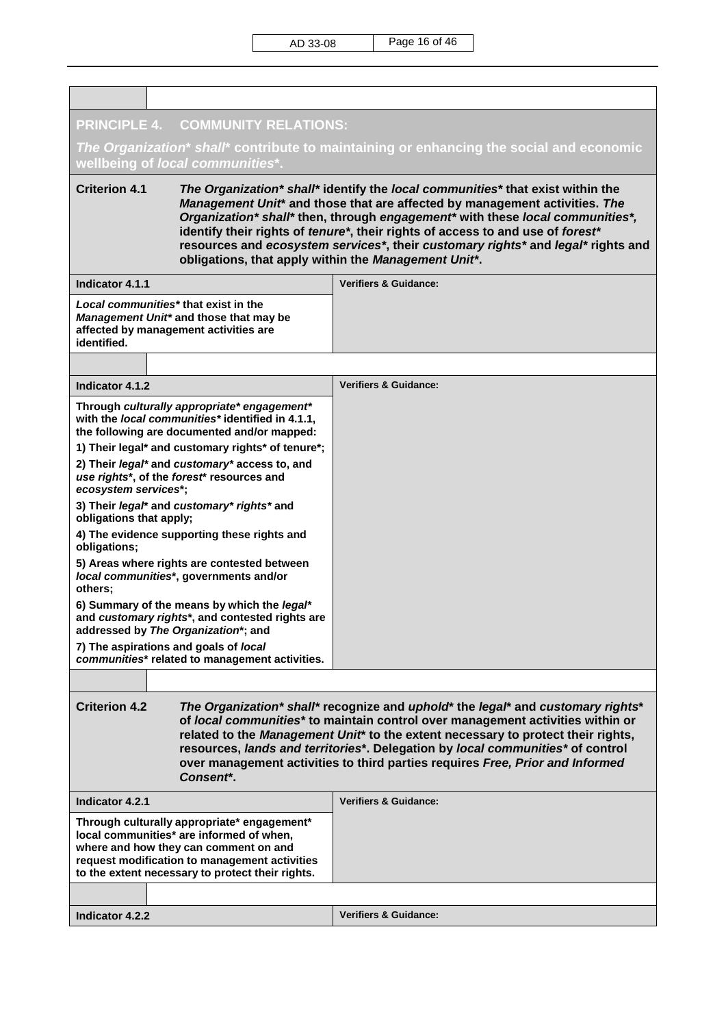| <b>PRINCIPLE 4. COMMUNITY RELATIONS:</b>                                                                                                                                                                                                                                                                                                                                                                                                                                                            |                                                                                         |  |
|-----------------------------------------------------------------------------------------------------------------------------------------------------------------------------------------------------------------------------------------------------------------------------------------------------------------------------------------------------------------------------------------------------------------------------------------------------------------------------------------------------|-----------------------------------------------------------------------------------------|--|
|                                                                                                                                                                                                                                                                                                                                                                                                                                                                                                     | The Organization* shall* contribute to maintaining or enhancing the social and economic |  |
| wellbeing of local communities*.                                                                                                                                                                                                                                                                                                                                                                                                                                                                    |                                                                                         |  |
| <b>Criterion 4.1</b><br>The Organization* shall* identify the local communities* that exist within the<br>Management Unit* and those that are affected by management activities. The<br>Organization* shall* then, through engagement* with these local communities*,<br>identify their rights of tenure*, their rights of access to and use of forest*<br>resources and ecosystem services*, their customary rights* and legal* rights and<br>obligations, that apply within the Management Unit*. |                                                                                         |  |
| Indicator 4.1.1                                                                                                                                                                                                                                                                                                                                                                                                                                                                                     | <b>Verifiers &amp; Guidance:</b>                                                        |  |
| Local communities* that exist in the<br>Management Unit* and those that may be<br>affected by management activities are<br>identified.                                                                                                                                                                                                                                                                                                                                                              |                                                                                         |  |
|                                                                                                                                                                                                                                                                                                                                                                                                                                                                                                     |                                                                                         |  |
| Indicator 4.1.2                                                                                                                                                                                                                                                                                                                                                                                                                                                                                     | <b>Verifiers &amp; Guidance:</b>                                                        |  |
| Through culturally appropriate* engagement*<br>with the local communities* identified in 4.1.1,<br>the following are documented and/or mapped:                                                                                                                                                                                                                                                                                                                                                      |                                                                                         |  |
| 1) Their legal* and customary rights* of tenure*;                                                                                                                                                                                                                                                                                                                                                                                                                                                   |                                                                                         |  |
| 2) Their legal* and customary* access to, and<br>use rights*, of the forest* resources and<br>ecosystem services*;                                                                                                                                                                                                                                                                                                                                                                                  |                                                                                         |  |
| 3) Their legal* and customary* rights* and<br>obligations that apply;                                                                                                                                                                                                                                                                                                                                                                                                                               |                                                                                         |  |
| 4) The evidence supporting these rights and<br>obligations;                                                                                                                                                                                                                                                                                                                                                                                                                                         |                                                                                         |  |
| 5) Areas where rights are contested between<br>local communities*, governments and/or<br>others;                                                                                                                                                                                                                                                                                                                                                                                                    |                                                                                         |  |
| 6) Summary of the means by which the legal*<br>and customary rights*, and contested rights are<br>addressed by The Organization*; and                                                                                                                                                                                                                                                                                                                                                               |                                                                                         |  |
| 7) The aspirations and goals of local<br>communities* related to management activities.                                                                                                                                                                                                                                                                                                                                                                                                             |                                                                                         |  |
|                                                                                                                                                                                                                                                                                                                                                                                                                                                                                                     |                                                                                         |  |
| <b>Criterion 4.2</b><br>The Organization* shall* recognize and uphold* the legal* and customary rights*<br>of local communities* to maintain control over management activities within or<br>related to the Management Unit* to the extent necessary to protect their rights,<br>resources, lands and territories*. Delegation by local communities* of control<br>over management activities to third parties requires Free, Prior and Informed<br>Consent*.                                       |                                                                                         |  |
| Indicator 4.2.1                                                                                                                                                                                                                                                                                                                                                                                                                                                                                     | <b>Verifiers &amp; Guidance:</b>                                                        |  |
| Through culturally appropriate* engagement*<br>local communities* are informed of when,<br>where and how they can comment on and<br>request modification to management activities<br>to the extent necessary to protect their rights.                                                                                                                                                                                                                                                               |                                                                                         |  |
|                                                                                                                                                                                                                                                                                                                                                                                                                                                                                                     |                                                                                         |  |
| Indicator 4.2.2                                                                                                                                                                                                                                                                                                                                                                                                                                                                                     | <b>Verifiers &amp; Guidance:</b>                                                        |  |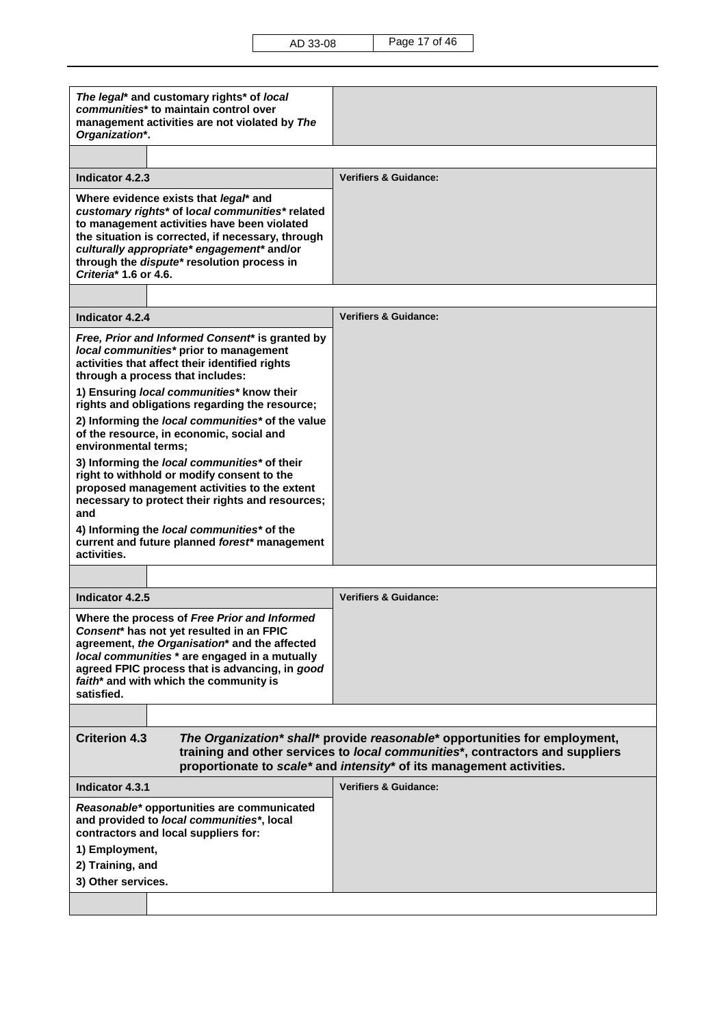AD 33-08 Page 17 of 46

| The legal* and customary rights* of local<br>communities* to maintain control over<br>management activities are not violated by The<br>Organization*.                                                                                                                                                             |                                  |  |
|-------------------------------------------------------------------------------------------------------------------------------------------------------------------------------------------------------------------------------------------------------------------------------------------------------------------|----------------------------------|--|
|                                                                                                                                                                                                                                                                                                                   |                                  |  |
| Indicator 4.2.3                                                                                                                                                                                                                                                                                                   | <b>Verifiers &amp; Guidance:</b> |  |
| Where evidence exists that legal* and<br>customary rights* of local communities* related<br>to management activities have been violated<br>the situation is corrected, if necessary, through<br>culturally appropriate* engagement* and/or<br>through the dispute* resolution process in<br>Criteria* 1.6 or 4.6. |                                  |  |
|                                                                                                                                                                                                                                                                                                                   |                                  |  |
| Indicator 4.2.4                                                                                                                                                                                                                                                                                                   | <b>Verifiers &amp; Guidance:</b> |  |
| Free, Prior and Informed Consent* is granted by<br>local communities* prior to management<br>activities that affect their identified rights<br>through a process that includes:<br>1) Ensuring local communities* know their                                                                                      |                                  |  |
| rights and obligations regarding the resource;                                                                                                                                                                                                                                                                    |                                  |  |
| 2) Informing the local communities* of the value<br>of the resource, in economic, social and<br>environmental terms;                                                                                                                                                                                              |                                  |  |
| 3) Informing the local communities* of their<br>right to withhold or modify consent to the<br>proposed management activities to the extent<br>necessary to protect their rights and resources;<br>and                                                                                                             |                                  |  |
| 4) Informing the <i>local communities</i> * of the<br>current and future planned forest* management<br>activities.                                                                                                                                                                                                |                                  |  |
|                                                                                                                                                                                                                                                                                                                   |                                  |  |
| Indicator 4.2.5                                                                                                                                                                                                                                                                                                   | <b>Verifiers &amp; Guidance:</b> |  |
| Where the process of Free Prior and Informed<br>Consent* has not yet resulted in an FPIC<br>agreement, the Organisation* and the affected<br>local communities * are engaged in a mutually<br>agreed FPIC process that is advancing, in good<br>faith* and with which the community is<br>satisfied.              |                                  |  |
|                                                                                                                                                                                                                                                                                                                   |                                  |  |
| <b>Criterion 4.3</b><br>The Organization* shall* provide reasonable* opportunities for employment,<br>training and other services to <i>local communities</i> *, contractors and suppliers<br>proportionate to scale* and intensity* of its management activities.                                                |                                  |  |
| Indicator 4.3.1                                                                                                                                                                                                                                                                                                   | <b>Verifiers &amp; Guidance:</b> |  |
| Reasonable* opportunities are communicated<br>and provided to local communities*, local<br>contractors and local suppliers for:                                                                                                                                                                                   |                                  |  |
| 1) Employment,                                                                                                                                                                                                                                                                                                    |                                  |  |
| 2) Training, and<br>3) Other services.                                                                                                                                                                                                                                                                            |                                  |  |
|                                                                                                                                                                                                                                                                                                                   |                                  |  |
|                                                                                                                                                                                                                                                                                                                   |                                  |  |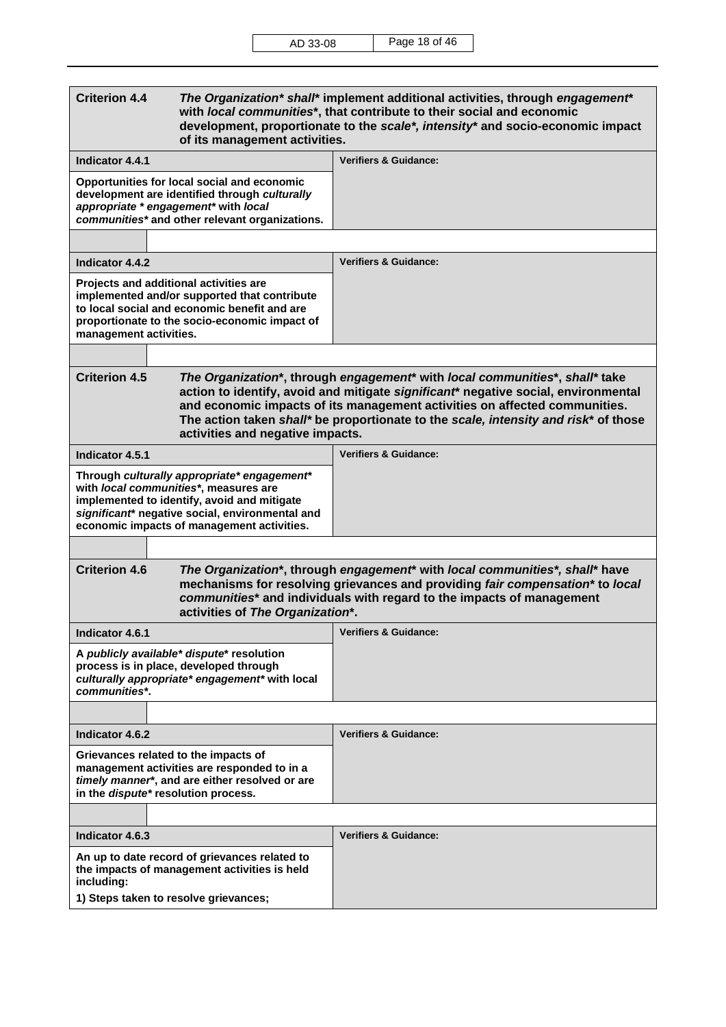| <b>Criterion 4.4</b><br>The Organization* shall* implement additional activities, through engagement*<br>with local communities*, that contribute to their social and economic<br>development, proportionate to the scale*, intensity* and socio-economic impact<br>of its management activities.                                                                                                  |                                  |  |  |
|----------------------------------------------------------------------------------------------------------------------------------------------------------------------------------------------------------------------------------------------------------------------------------------------------------------------------------------------------------------------------------------------------|----------------------------------|--|--|
| Indicator 4.4.1                                                                                                                                                                                                                                                                                                                                                                                    | <b>Verifiers &amp; Guidance:</b> |  |  |
| Opportunities for local social and economic<br>development are identified through culturally<br>appropriate * engagement* with local<br>communities* and other relevant organizations.                                                                                                                                                                                                             |                                  |  |  |
|                                                                                                                                                                                                                                                                                                                                                                                                    |                                  |  |  |
| Indicator 4.4.2                                                                                                                                                                                                                                                                                                                                                                                    | <b>Verifiers &amp; Guidance:</b> |  |  |
| Projects and additional activities are<br>implemented and/or supported that contribute<br>to local social and economic benefit and are<br>proportionate to the socio-economic impact of<br>management activities.                                                                                                                                                                                  |                                  |  |  |
|                                                                                                                                                                                                                                                                                                                                                                                                    |                                  |  |  |
| <b>Criterion 4.5</b><br>The Organization*, through engagement* with local communities*, shall* take<br>action to identify, avoid and mitigate significant* negative social, environmental<br>and economic impacts of its management activities on affected communities.<br>The action taken shall* be proportionate to the scale, intensity and risk* of those<br>activities and negative impacts. |                                  |  |  |
| Indicator 4.5.1                                                                                                                                                                                                                                                                                                                                                                                    | <b>Verifiers &amp; Guidance:</b> |  |  |
| Through culturally appropriate* engagement*<br>with local communities*, measures are<br>implemented to identify, avoid and mitigate<br>significant* negative social, environmental and<br>economic impacts of management activities.                                                                                                                                                               |                                  |  |  |
|                                                                                                                                                                                                                                                                                                                                                                                                    |                                  |  |  |
| <b>Criterion 4.6</b><br>The Organization*, through engagement* with local communities*, shall* have<br>mechanisms for resolving grievances and providing fair compensation* to local<br>communities* and individuals with regard to the impacts of management<br>activities of The Organization*.                                                                                                  |                                  |  |  |
| Indicator 4.6.1                                                                                                                                                                                                                                                                                                                                                                                    | <b>Verifiers &amp; Guidance:</b> |  |  |
| A publicly available* dispute* resolution<br>process is in place, developed through<br>culturally appropriate* engagement* with local<br>communities*.                                                                                                                                                                                                                                             |                                  |  |  |
|                                                                                                                                                                                                                                                                                                                                                                                                    |                                  |  |  |
| Indicator 4.6.2                                                                                                                                                                                                                                                                                                                                                                                    | <b>Verifiers &amp; Guidance:</b> |  |  |
| Grievances related to the impacts of<br>management activities are responded to in a<br>timely manner*, and are either resolved or are<br>in the dispute* resolution process.                                                                                                                                                                                                                       |                                  |  |  |
|                                                                                                                                                                                                                                                                                                                                                                                                    |                                  |  |  |
| Indicator 4.6.3<br>An up to date record of grievances related to<br>the impacts of management activities is held<br>including:<br>1) Steps taken to resolve grievances;                                                                                                                                                                                                                            | <b>Verifiers &amp; Guidance:</b> |  |  |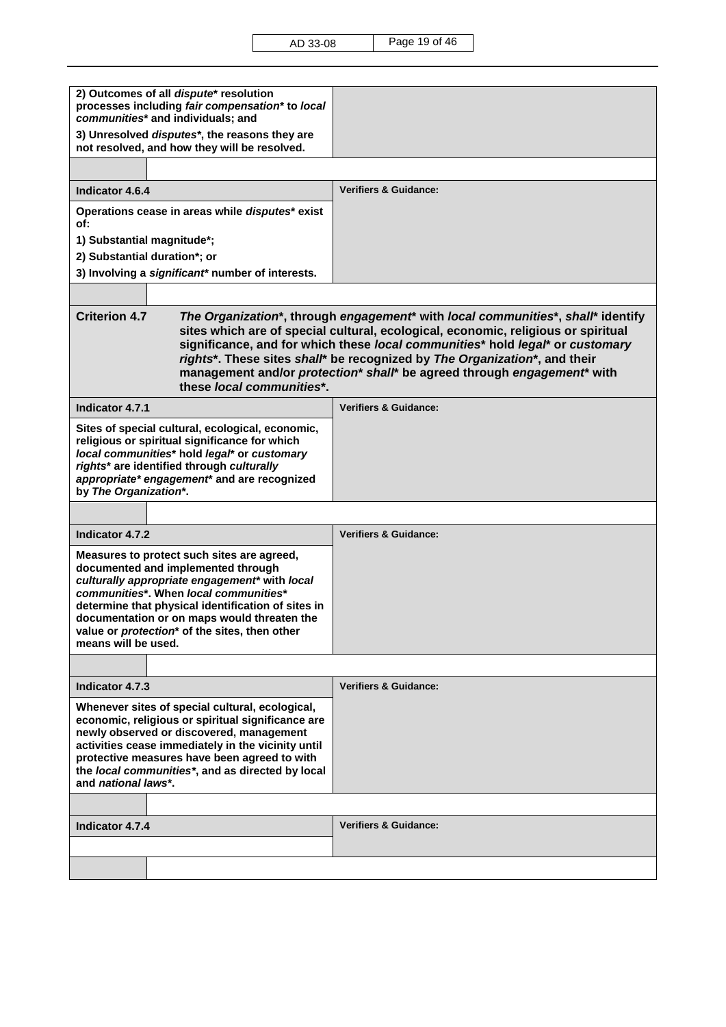| 2) Outcomes of all dispute* resolution<br>processes including fair compensation* to local<br>communities* and individuals; and                                                                                                                                                                                                                                                                                                                                     |                                  |  |
|--------------------------------------------------------------------------------------------------------------------------------------------------------------------------------------------------------------------------------------------------------------------------------------------------------------------------------------------------------------------------------------------------------------------------------------------------------------------|----------------------------------|--|
| 3) Unresolved disputes*, the reasons they are<br>not resolved, and how they will be resolved.                                                                                                                                                                                                                                                                                                                                                                      |                                  |  |
|                                                                                                                                                                                                                                                                                                                                                                                                                                                                    |                                  |  |
| Indicator 4.6.4                                                                                                                                                                                                                                                                                                                                                                                                                                                    | <b>Verifiers &amp; Guidance:</b> |  |
| Operations cease in areas while disputes* exist<br>of:                                                                                                                                                                                                                                                                                                                                                                                                             |                                  |  |
| 1) Substantial magnitude*;                                                                                                                                                                                                                                                                                                                                                                                                                                         |                                  |  |
| 2) Substantial duration*; or                                                                                                                                                                                                                                                                                                                                                                                                                                       |                                  |  |
| 3) Involving a significant* number of interests.                                                                                                                                                                                                                                                                                                                                                                                                                   |                                  |  |
|                                                                                                                                                                                                                                                                                                                                                                                                                                                                    |                                  |  |
| <b>Criterion 4.7</b><br>The Organization*, through engagement* with local communities*, shall* identify<br>sites which are of special cultural, ecological, economic, religious or spiritual<br>significance, and for which these local communities* hold legal* or customary<br>rights*. These sites shall* be recognized by The Organization*, and their<br>management and/or protection* shall* be agreed through engagement* with<br>these local communities*. |                                  |  |
| Indicator 4.7.1                                                                                                                                                                                                                                                                                                                                                                                                                                                    | <b>Verifiers &amp; Guidance:</b> |  |
| Sites of special cultural, ecological, economic,<br>religious or spiritual significance for which<br>local communities* hold legal* or customary<br>rights* are identified through culturally<br>appropriate* engagement* and are recognized<br>by The Organization*.                                                                                                                                                                                              |                                  |  |
|                                                                                                                                                                                                                                                                                                                                                                                                                                                                    |                                  |  |
| Indicator 4.7.2                                                                                                                                                                                                                                                                                                                                                                                                                                                    | <b>Verifiers &amp; Guidance:</b> |  |
| Measures to protect such sites are agreed,<br>documented and implemented through<br>culturally appropriate engagement* with local<br>communities*. When local communities*<br>determine that physical identification of sites in<br>documentation or on maps would threaten the<br>value or protection* of the sites, then other<br>means will be used.                                                                                                            |                                  |  |
|                                                                                                                                                                                                                                                                                                                                                                                                                                                                    |                                  |  |
| Indicator 4.7.3                                                                                                                                                                                                                                                                                                                                                                                                                                                    | <b>Verifiers &amp; Guidance:</b> |  |
| Whenever sites of special cultural, ecological,<br>economic, religious or spiritual significance are<br>newly observed or discovered, management<br>activities cease immediately in the vicinity until<br>protective measures have been agreed to with<br>the local communities*, and as directed by local<br>and <i>national laws</i> *.                                                                                                                          |                                  |  |
|                                                                                                                                                                                                                                                                                                                                                                                                                                                                    |                                  |  |
| Indicator 4.7.4                                                                                                                                                                                                                                                                                                                                                                                                                                                    | <b>Verifiers &amp; Guidance:</b> |  |
|                                                                                                                                                                                                                                                                                                                                                                                                                                                                    |                                  |  |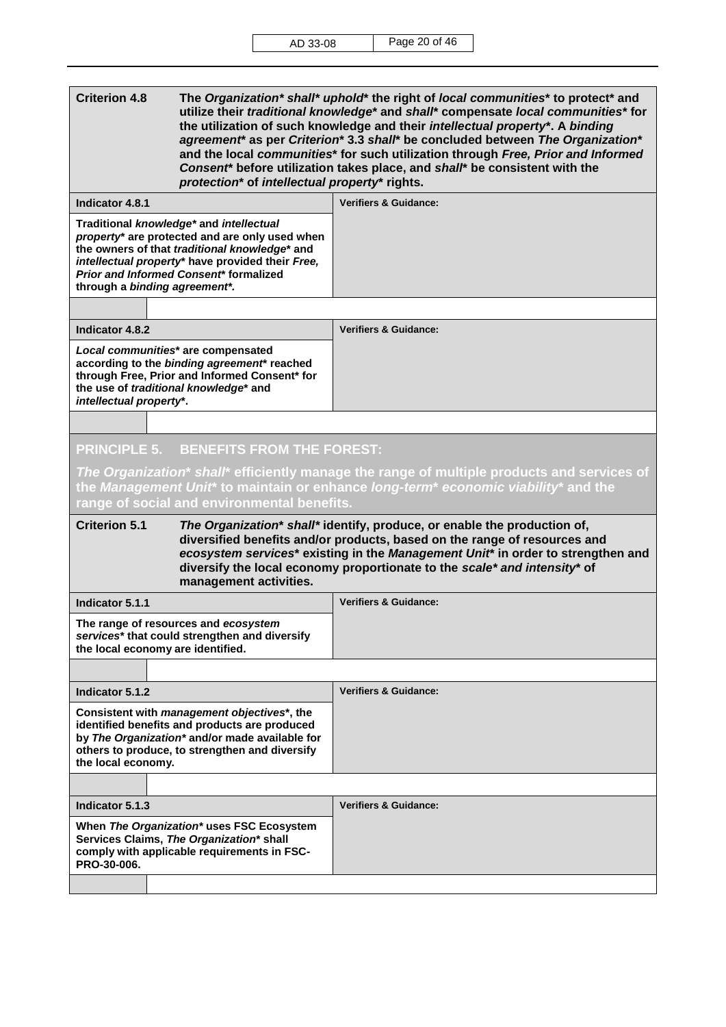| <b>Criterion 4.8</b><br>The Organization* shall* uphold* the right of local communities* to protect* and<br>utilize their traditional knowledge* and shall* compensate local communities* for<br>the utilization of such knowledge and their intellectual property*. A binding<br>agreement* as per Criterion* 3.3 shall* be concluded between The Organization*<br>and the local communities* for such utilization through Free, Prior and Informed<br>Consent* before utilization takes place, and shall* be consistent with the<br>protection* of intellectual property* rights.                                                                                           |                                                                                                                                                                                                                                          |                                  |
|-------------------------------------------------------------------------------------------------------------------------------------------------------------------------------------------------------------------------------------------------------------------------------------------------------------------------------------------------------------------------------------------------------------------------------------------------------------------------------------------------------------------------------------------------------------------------------------------------------------------------------------------------------------------------------|------------------------------------------------------------------------------------------------------------------------------------------------------------------------------------------------------------------------------------------|----------------------------------|
| Indicator 4.8.1                                                                                                                                                                                                                                                                                                                                                                                                                                                                                                                                                                                                                                                               |                                                                                                                                                                                                                                          | <b>Verifiers &amp; Guidance:</b> |
| through a binding agreement*.                                                                                                                                                                                                                                                                                                                                                                                                                                                                                                                                                                                                                                                 | Traditional knowledge* and intellectual<br>property* are protected and are only used when<br>the owners of that traditional knowledge* and<br>intellectual property* have provided their Free,<br>Prior and Informed Consent* formalized |                                  |
|                                                                                                                                                                                                                                                                                                                                                                                                                                                                                                                                                                                                                                                                               |                                                                                                                                                                                                                                          |                                  |
| Indicator 4.8.2                                                                                                                                                                                                                                                                                                                                                                                                                                                                                                                                                                                                                                                               |                                                                                                                                                                                                                                          | <b>Verifiers &amp; Guidance:</b> |
| Local communities* are compensated<br>the use of traditional knowledge* and<br>intellectual property*.                                                                                                                                                                                                                                                                                                                                                                                                                                                                                                                                                                        | according to the binding agreement* reached<br>through Free, Prior and Informed Consent* for                                                                                                                                             |                                  |
|                                                                                                                                                                                                                                                                                                                                                                                                                                                                                                                                                                                                                                                                               |                                                                                                                                                                                                                                          |                                  |
| PRINCIPLE 5. BENEFITS FROM THE FOREST:<br>The Organization* shall* efficiently manage the range of multiple products and services of<br>the <i>Management Unit</i> * to maintain or enhance <i>long-term</i> * eco <i>nomic viability</i> * and the<br>range of social and environmental benefits.<br><b>Criterion 5.1</b><br>The Organization* shall* identify, produce, or enable the production of,<br>diversified benefits and/or products, based on the range of resources and<br>ecosystem services* existing in the Management Unit* in order to strengthen and<br>diversify the local economy proportionate to the scale* and intensity* of<br>management activities. |                                                                                                                                                                                                                                          |                                  |
| Indicator 5.1.1                                                                                                                                                                                                                                                                                                                                                                                                                                                                                                                                                                                                                                                               |                                                                                                                                                                                                                                          | <b>Verifiers &amp; Guidance:</b> |
| the local economy are identified.                                                                                                                                                                                                                                                                                                                                                                                                                                                                                                                                                                                                                                             | The range of resources and ecosystem<br>services* that could strengthen and diversify                                                                                                                                                    |                                  |
|                                                                                                                                                                                                                                                                                                                                                                                                                                                                                                                                                                                                                                                                               |                                                                                                                                                                                                                                          |                                  |
|                                                                                                                                                                                                                                                                                                                                                                                                                                                                                                                                                                                                                                                                               |                                                                                                                                                                                                                                          |                                  |
| Indicator 5.1.2                                                                                                                                                                                                                                                                                                                                                                                                                                                                                                                                                                                                                                                               |                                                                                                                                                                                                                                          | <b>Verifiers &amp; Guidance:</b> |
| the local economy.                                                                                                                                                                                                                                                                                                                                                                                                                                                                                                                                                                                                                                                            | Consistent with <i>management</i> objectives <sup>*</sup> , the<br>identified benefits and products are produced<br>by The Organization* and/or made available for<br>others to produce, to strengthen and diversify                     |                                  |
|                                                                                                                                                                                                                                                                                                                                                                                                                                                                                                                                                                                                                                                                               |                                                                                                                                                                                                                                          |                                  |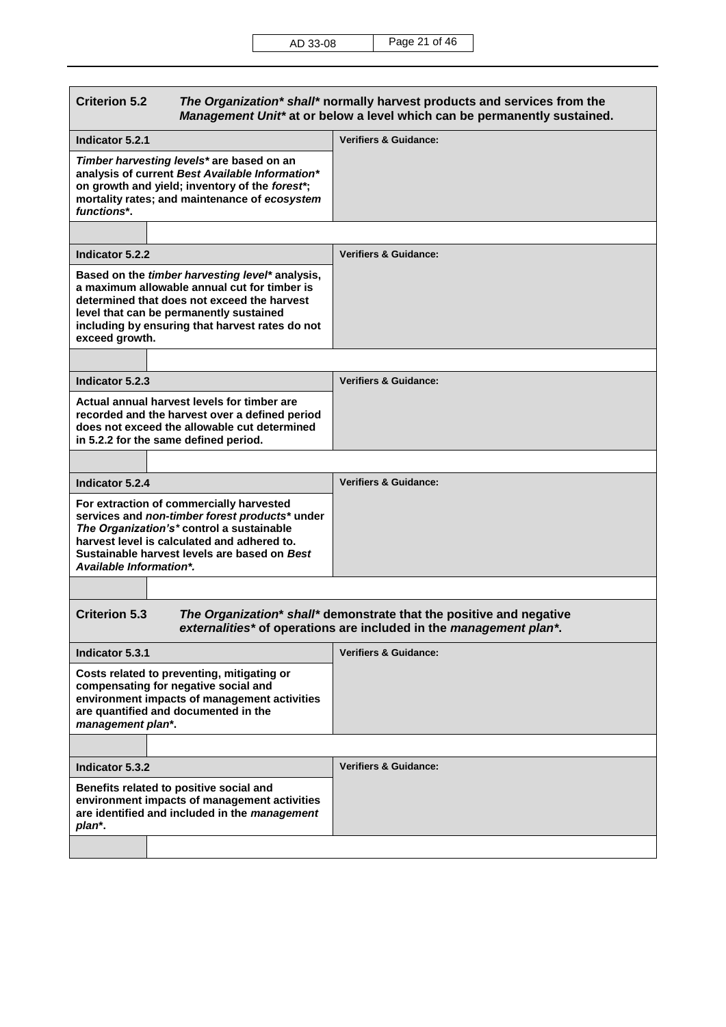| <b>Criterion 5.2</b><br>The Organization* shall* normally harvest products and services from the<br>Management Unit* at or below a level which can be permanently sustained.                                                                                      |                                  |  |
|-------------------------------------------------------------------------------------------------------------------------------------------------------------------------------------------------------------------------------------------------------------------|----------------------------------|--|
| Indicator 5.2.1                                                                                                                                                                                                                                                   | <b>Verifiers &amp; Guidance:</b> |  |
| Timber harvesting levels* are based on an<br>analysis of current Best Available Information*<br>on growth and yield; inventory of the forest*;<br>mortality rates; and maintenance of ecosystem<br>functions*.                                                    |                                  |  |
|                                                                                                                                                                                                                                                                   |                                  |  |
| Indicator 5.2.2                                                                                                                                                                                                                                                   | <b>Verifiers &amp; Guidance:</b> |  |
| Based on the timber harvesting level* analysis,<br>a maximum allowable annual cut for timber is<br>determined that does not exceed the harvest<br>level that can be permanently sustained<br>including by ensuring that harvest rates do not<br>exceed growth.    |                                  |  |
|                                                                                                                                                                                                                                                                   |                                  |  |
| Indicator 5.2.3                                                                                                                                                                                                                                                   | <b>Verifiers &amp; Guidance:</b> |  |
| Actual annual harvest levels for timber are<br>recorded and the harvest over a defined period<br>does not exceed the allowable cut determined<br>in 5.2.2 for the same defined period.                                                                            |                                  |  |
|                                                                                                                                                                                                                                                                   |                                  |  |
| Indicator 5.2.4                                                                                                                                                                                                                                                   | <b>Verifiers &amp; Guidance:</b> |  |
| For extraction of commercially harvested<br>services and non-timber forest products* under<br>The Organization's* control a sustainable<br>harvest level is calculated and adhered to.<br>Sustainable harvest levels are based on Best<br>Available Information*. |                                  |  |
|                                                                                                                                                                                                                                                                   |                                  |  |
| <b>Criterion 5.3</b><br>The Organization* shall* demonstrate that the positive and negative<br>externalities* of operations are included in the management plan*.                                                                                                 |                                  |  |
| Indicator 5.3.1                                                                                                                                                                                                                                                   | <b>Verifiers &amp; Guidance:</b> |  |
| Costs related to preventing, mitigating or<br>compensating for negative social and<br>environment impacts of management activities<br>are quantified and documented in the<br>management plan*.                                                                   |                                  |  |
|                                                                                                                                                                                                                                                                   |                                  |  |
| Indicator 5.3.2                                                                                                                                                                                                                                                   | <b>Verifiers &amp; Guidance:</b> |  |
| Benefits related to positive social and<br>environment impacts of management activities<br>are identified and included in the management<br>plan*.                                                                                                                |                                  |  |
|                                                                                                                                                                                                                                                                   |                                  |  |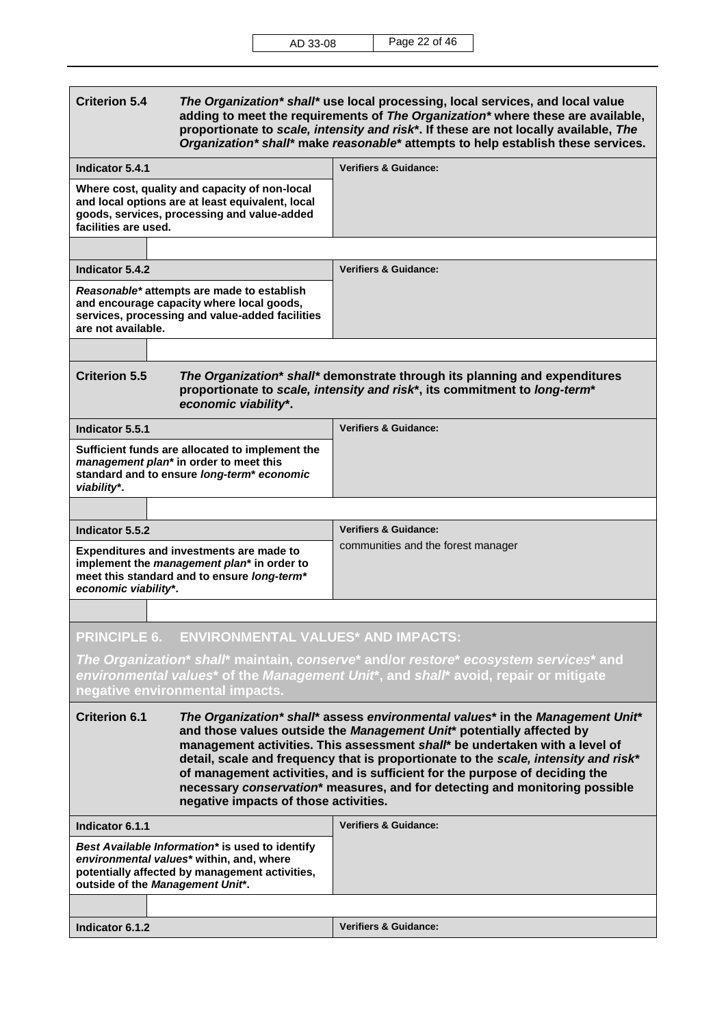| <b>Criterion 5.4</b>                                                                                                                                                                                                                                                                                                                                                                                                                                                                                                                                        | The Organization* shall* use local processing, local services, and local value<br>adding to meet the requirements of The Organization* where these are available,<br>proportionate to scale, intensity and risk*. If these are not locally available, The<br>Organization* shall* make reasonable* attempts to help establish these services. |                                    |
|-------------------------------------------------------------------------------------------------------------------------------------------------------------------------------------------------------------------------------------------------------------------------------------------------------------------------------------------------------------------------------------------------------------------------------------------------------------------------------------------------------------------------------------------------------------|-----------------------------------------------------------------------------------------------------------------------------------------------------------------------------------------------------------------------------------------------------------------------------------------------------------------------------------------------|------------------------------------|
| Indicator 5.4.1                                                                                                                                                                                                                                                                                                                                                                                                                                                                                                                                             |                                                                                                                                                                                                                                                                                                                                               | <b>Verifiers &amp; Guidance:</b>   |
| facilities are used.                                                                                                                                                                                                                                                                                                                                                                                                                                                                                                                                        | Where cost, quality and capacity of non-local<br>and local options are at least equivalent, local<br>goods, services, processing and value-added                                                                                                                                                                                              |                                    |
|                                                                                                                                                                                                                                                                                                                                                                                                                                                                                                                                                             |                                                                                                                                                                                                                                                                                                                                               |                                    |
| Indicator 5.4.2                                                                                                                                                                                                                                                                                                                                                                                                                                                                                                                                             |                                                                                                                                                                                                                                                                                                                                               | <b>Verifiers &amp; Guidance:</b>   |
| are not available.                                                                                                                                                                                                                                                                                                                                                                                                                                                                                                                                          | Reasonable* attempts are made to establish<br>and encourage capacity where local goods,<br>services, processing and value-added facilities                                                                                                                                                                                                    |                                    |
|                                                                                                                                                                                                                                                                                                                                                                                                                                                                                                                                                             |                                                                                                                                                                                                                                                                                                                                               |                                    |
| <b>Criterion 5.5</b><br>The Organization* shall* demonstrate through its planning and expenditures<br>proportionate to scale, intensity and risk*, its commitment to long-term*<br>economic viability*.                                                                                                                                                                                                                                                                                                                                                     |                                                                                                                                                                                                                                                                                                                                               |                                    |
| Indicator 5.5.1                                                                                                                                                                                                                                                                                                                                                                                                                                                                                                                                             |                                                                                                                                                                                                                                                                                                                                               | <b>Verifiers &amp; Guidance:</b>   |
| viability*.                                                                                                                                                                                                                                                                                                                                                                                                                                                                                                                                                 | Sufficient funds are allocated to implement the<br>management plan* in order to meet this<br>standard and to ensure long-term* economic                                                                                                                                                                                                       |                                    |
|                                                                                                                                                                                                                                                                                                                                                                                                                                                                                                                                                             |                                                                                                                                                                                                                                                                                                                                               |                                    |
| Indicator 5.5.2                                                                                                                                                                                                                                                                                                                                                                                                                                                                                                                                             |                                                                                                                                                                                                                                                                                                                                               | <b>Verifiers &amp; Guidance:</b>   |
| Expenditures and investments are made to<br>implement the management plan* in order to<br>meet this standard and to ensure long-term*<br>economic viability*.                                                                                                                                                                                                                                                                                                                                                                                               |                                                                                                                                                                                                                                                                                                                                               | communities and the forest manager |
|                                                                                                                                                                                                                                                                                                                                                                                                                                                                                                                                                             |                                                                                                                                                                                                                                                                                                                                               |                                    |
| PRINCIPLE 6. ENVIRONMENTAL VALUES* AND IMPACTS:<br>The Organization* shall* maintain, conserve* and/or restore* ecosystem services* and<br>environmental values* of the Management Unit*, and shall* avoid, repair or mitigate<br>negative environmental impacts.                                                                                                                                                                                                                                                                                           |                                                                                                                                                                                                                                                                                                                                               |                                    |
| <b>Criterion 6.1</b><br>The Organization* shall* assess environmental values* in the Management Unit*<br>and those values outside the Management Unit* potentially affected by<br>management activities. This assessment shall* be undertaken with a level of<br>detail, scale and frequency that is proportionate to the scale, intensity and risk*<br>of management activities, and is sufficient for the purpose of deciding the<br>necessary conservation* measures, and for detecting and monitoring possible<br>negative impacts of those activities. |                                                                                                                                                                                                                                                                                                                                               |                                    |
| Indicator 6.1.1                                                                                                                                                                                                                                                                                                                                                                                                                                                                                                                                             |                                                                                                                                                                                                                                                                                                                                               | <b>Verifiers &amp; Guidance:</b>   |
| outside of the Management Unit*.                                                                                                                                                                                                                                                                                                                                                                                                                                                                                                                            | Best Available Information* is used to identify<br>environmental values* within, and, where<br>potentially affected by management activities,                                                                                                                                                                                                 |                                    |
|                                                                                                                                                                                                                                                                                                                                                                                                                                                                                                                                                             |                                                                                                                                                                                                                                                                                                                                               |                                    |
| Indicator 6.1.2                                                                                                                                                                                                                                                                                                                                                                                                                                                                                                                                             |                                                                                                                                                                                                                                                                                                                                               | <b>Verifiers &amp; Guidance:</b>   |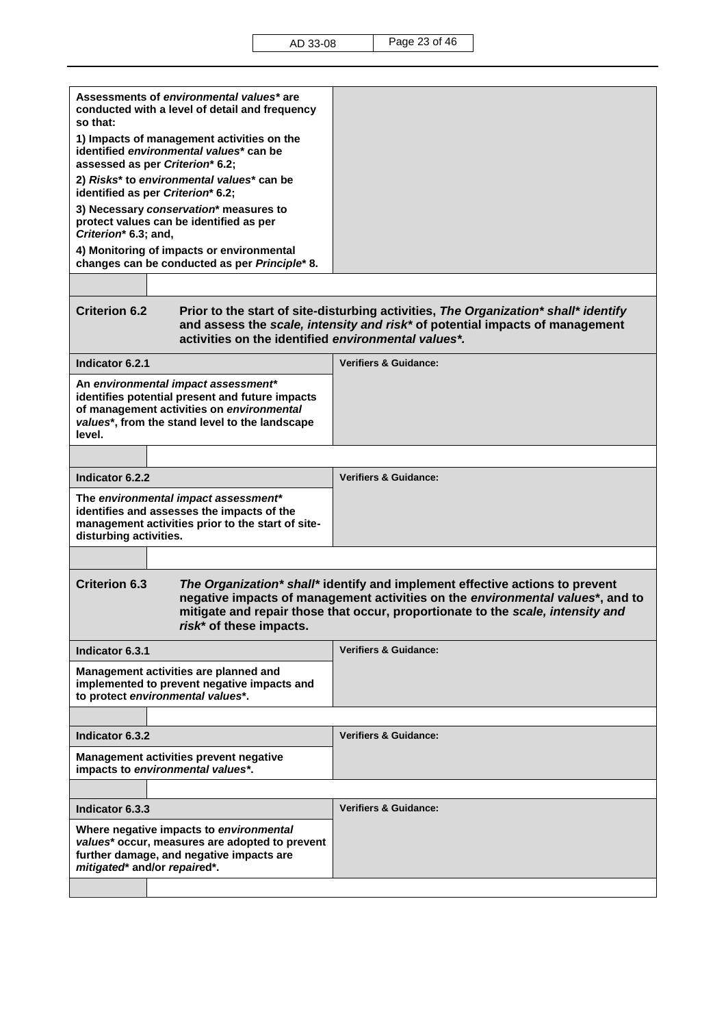| Assessments of environmental values* are<br>conducted with a level of detail and frequency<br>so that:                                                                                          |                                                                                                                                                                                                                                                   |
|-------------------------------------------------------------------------------------------------------------------------------------------------------------------------------------------------|---------------------------------------------------------------------------------------------------------------------------------------------------------------------------------------------------------------------------------------------------|
| 1) Impacts of management activities on the<br>identified environmental values* can be<br>assessed as per Criterion* 6.2;                                                                        |                                                                                                                                                                                                                                                   |
| 2) Risks* to environmental values* can be<br>identified as per Criterion* 6.2;                                                                                                                  |                                                                                                                                                                                                                                                   |
| 3) Necessary conservation* measures to<br>protect values can be identified as per<br>Criterion* 6.3; and,                                                                                       |                                                                                                                                                                                                                                                   |
| 4) Monitoring of impacts or environmental<br>changes can be conducted as per Principle* 8.                                                                                                      |                                                                                                                                                                                                                                                   |
|                                                                                                                                                                                                 |                                                                                                                                                                                                                                                   |
| <b>Criterion 6.2</b><br>activities on the identified environmental values*.                                                                                                                     | Prior to the start of site-disturbing activities, The Organization* shall* identify<br>and assess the scale, intensity and risk* of potential impacts of management                                                                               |
| Indicator 6.2.1                                                                                                                                                                                 | <b>Verifiers &amp; Guidance:</b>                                                                                                                                                                                                                  |
| An environmental impact assessment*<br>identifies potential present and future impacts<br>of management activities on environmental<br>values*, from the stand level to the landscape<br>level. |                                                                                                                                                                                                                                                   |
|                                                                                                                                                                                                 |                                                                                                                                                                                                                                                   |
| Indicator 6.2.2                                                                                                                                                                                 | <b>Verifiers &amp; Guidance:</b>                                                                                                                                                                                                                  |
| The environmental impact assessment*<br>identifies and assesses the impacts of the<br>management activities prior to the start of site-<br>disturbing activities.                               |                                                                                                                                                                                                                                                   |
|                                                                                                                                                                                                 |                                                                                                                                                                                                                                                   |
| <b>Criterion 6.3</b><br>risk* of these impacts.                                                                                                                                                 | The Organization* shall* identify and implement effective actions to prevent<br>negative impacts of management activities on the environmental values*, and to<br>mitigate and repair those that occur, proportionate to the scale, intensity and |
| Indicator 6.3.1                                                                                                                                                                                 | <b>Verifiers &amp; Guidance:</b>                                                                                                                                                                                                                  |
| Management activities are planned and<br>implemented to prevent negative impacts and<br>to protect environmental values*.                                                                       |                                                                                                                                                                                                                                                   |
|                                                                                                                                                                                                 | <b>Verifiers &amp; Guidance:</b>                                                                                                                                                                                                                  |
| Indicator 6.3.2                                                                                                                                                                                 |                                                                                                                                                                                                                                                   |
| Management activities prevent negative<br>impacts to environmental values*.                                                                                                                     |                                                                                                                                                                                                                                                   |
| Indicator 6.3.3                                                                                                                                                                                 | <b>Verifiers &amp; Guidance:</b>                                                                                                                                                                                                                  |
|                                                                                                                                                                                                 |                                                                                                                                                                                                                                                   |
| Where negative impacts to environmental<br>values* occur, measures are adopted to prevent<br>further damage, and negative impacts are<br>mitigated* and/or repaired*.                           |                                                                                                                                                                                                                                                   |
|                                                                                                                                                                                                 |                                                                                                                                                                                                                                                   |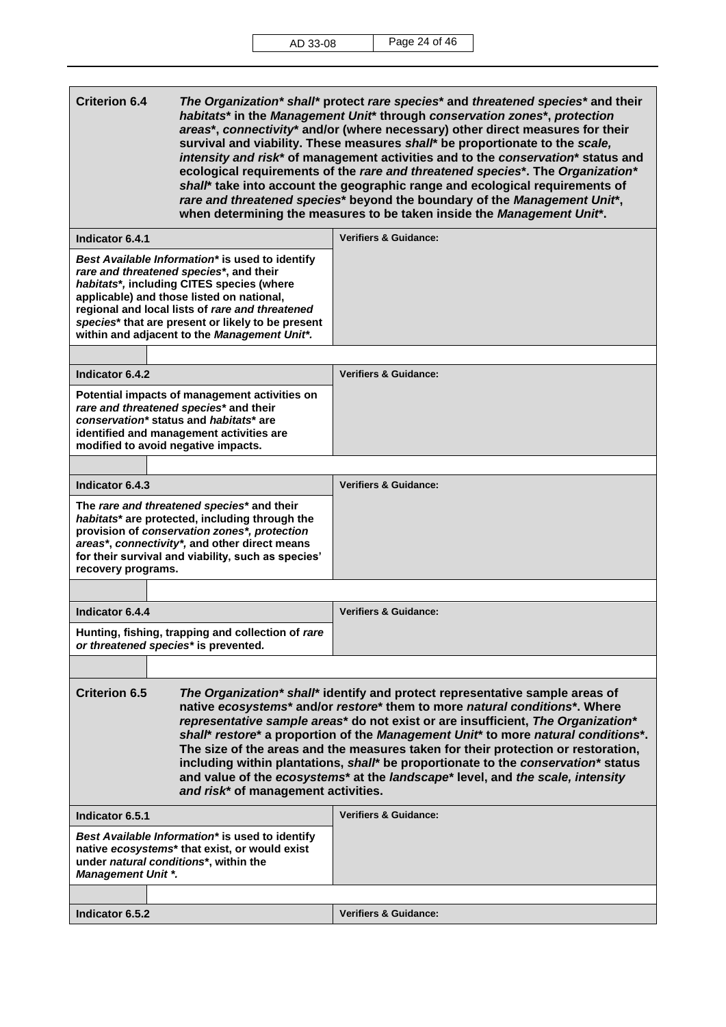| <b>Criterion 6.4</b><br>The Organization* shall* protect rare species* and threatened species* and their<br>habitats* in the Management Unit* through conservation zones*, protection<br>areas*, connectivity* and/or (where necessary) other direct measures for their<br>survival and viability. These measures shall* be proportionate to the scale,<br>intensity and risk* of management activities and to the conservation* status and<br>ecological requirements of the rare and threatened species*. The Organization*<br>shall* take into account the geographic range and ecological requirements of<br>rare and threatened species* beyond the boundary of the Management Unit*,<br>when determining the measures to be taken inside the Management Unit*. |                                  |  |
|----------------------------------------------------------------------------------------------------------------------------------------------------------------------------------------------------------------------------------------------------------------------------------------------------------------------------------------------------------------------------------------------------------------------------------------------------------------------------------------------------------------------------------------------------------------------------------------------------------------------------------------------------------------------------------------------------------------------------------------------------------------------|----------------------------------|--|
| Indicator 6.4.1                                                                                                                                                                                                                                                                                                                                                                                                                                                                                                                                                                                                                                                                                                                                                      | <b>Verifiers &amp; Guidance:</b> |  |
| Best Available Information* is used to identify<br>rare and threatened species*, and their<br>habitats*, including CITES species (where<br>applicable) and those listed on national,<br>regional and local lists of rare and threatened<br>species* that are present or likely to be present<br>within and adjacent to the Management Unit*.                                                                                                                                                                                                                                                                                                                                                                                                                         |                                  |  |
|                                                                                                                                                                                                                                                                                                                                                                                                                                                                                                                                                                                                                                                                                                                                                                      |                                  |  |
| Indicator 6.4.2<br>Potential impacts of management activities on<br>rare and threatened species* and their<br>conservation* status and habitats* are<br>identified and management activities are<br>modified to avoid negative impacts.                                                                                                                                                                                                                                                                                                                                                                                                                                                                                                                              | <b>Verifiers &amp; Guidance:</b> |  |
|                                                                                                                                                                                                                                                                                                                                                                                                                                                                                                                                                                                                                                                                                                                                                                      |                                  |  |
| Indicator 6.4.3<br>The rare and threatened species* and their<br>habitats* are protected, including through the<br>provision of conservation zones*, protection<br>areas*, connectivity*, and other direct means<br>for their survival and viability, such as species'<br>recovery programs.                                                                                                                                                                                                                                                                                                                                                                                                                                                                         | <b>Verifiers &amp; Guidance:</b> |  |
|                                                                                                                                                                                                                                                                                                                                                                                                                                                                                                                                                                                                                                                                                                                                                                      |                                  |  |
| Indicator 6.4.4                                                                                                                                                                                                                                                                                                                                                                                                                                                                                                                                                                                                                                                                                                                                                      | <b>Verifiers &amp; Guidance:</b> |  |
| Hunting, fishing, trapping and collection of rare<br>or threatened species* is prevented.                                                                                                                                                                                                                                                                                                                                                                                                                                                                                                                                                                                                                                                                            |                                  |  |
|                                                                                                                                                                                                                                                                                                                                                                                                                                                                                                                                                                                                                                                                                                                                                                      |                                  |  |
| <b>Criterion 6.5</b><br>The Organization* shall* identify and protect representative sample areas of<br>native ecosystems* and/or restore* them to more natural conditions*. Where<br>representative sample areas* do not exist or are insufficient, The Organization*<br>shall* restore* a proportion of the Management Unit* to more natural conditions*.<br>The size of the areas and the measures taken for their protection or restoration,<br>including within plantations, shall* be proportionate to the conservation* status<br>and value of the ecosystems* at the landscape* level, and the scale, intensity<br>and risk* of management activities.                                                                                                       |                                  |  |
| Indicator 6.5.1                                                                                                                                                                                                                                                                                                                                                                                                                                                                                                                                                                                                                                                                                                                                                      | <b>Verifiers &amp; Guidance:</b> |  |
| Best Available Information* is used to identify<br>native ecosystems* that exist, or would exist<br>under natural conditions*, within the<br><b>Management Unit *.</b>                                                                                                                                                                                                                                                                                                                                                                                                                                                                                                                                                                                               |                                  |  |
|                                                                                                                                                                                                                                                                                                                                                                                                                                                                                                                                                                                                                                                                                                                                                                      |                                  |  |
| Indicator 6.5.2                                                                                                                                                                                                                                                                                                                                                                                                                                                                                                                                                                                                                                                                                                                                                      | <b>Verifiers &amp; Guidance:</b> |  |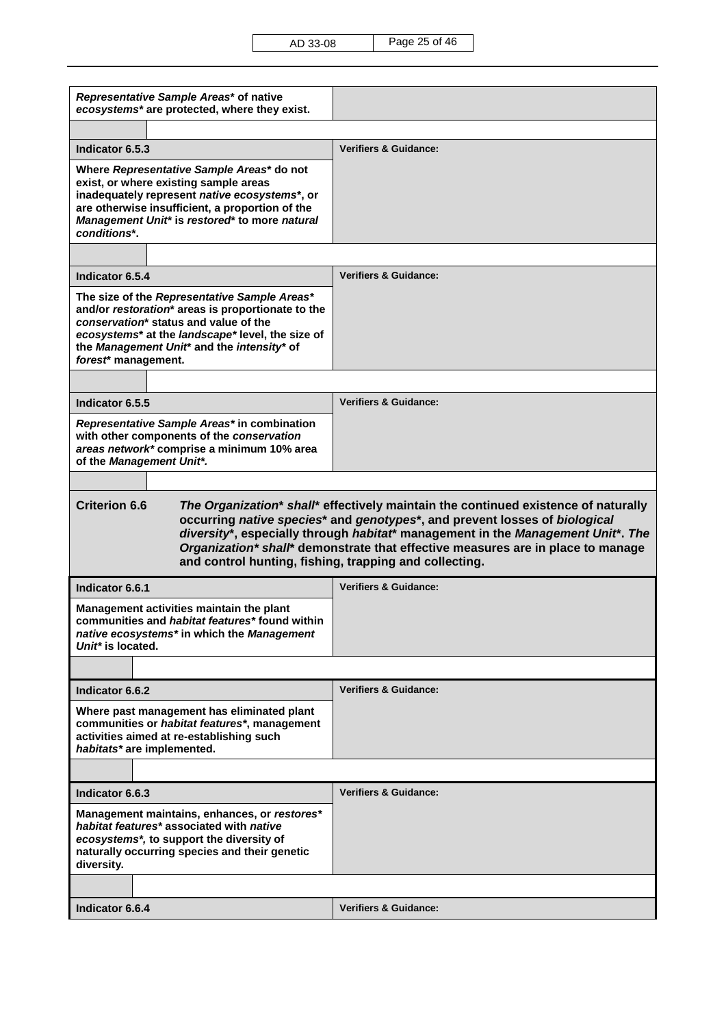| Representative Sample Areas* of native<br>ecosystems* are protected, where they exist.                                                                                                                                                                                                                                                                                                                                   |                                  |  |
|--------------------------------------------------------------------------------------------------------------------------------------------------------------------------------------------------------------------------------------------------------------------------------------------------------------------------------------------------------------------------------------------------------------------------|----------------------------------|--|
|                                                                                                                                                                                                                                                                                                                                                                                                                          |                                  |  |
| Indicator 6.5.3                                                                                                                                                                                                                                                                                                                                                                                                          | <b>Verifiers &amp; Guidance:</b> |  |
| Where Representative Sample Areas* do not<br>exist, or where existing sample areas<br>inadequately represent native ecosystems*, or<br>are otherwise insufficient, a proportion of the<br>Management Unit* is restored* to more natural<br>conditions*.                                                                                                                                                                  |                                  |  |
| Indicator 6.5.4                                                                                                                                                                                                                                                                                                                                                                                                          | <b>Verifiers &amp; Guidance:</b> |  |
| The size of the Representative Sample Areas*<br>and/or restoration* areas is proportionate to the<br>conservation* status and value of the<br>ecosystems* at the landscape* level, the size of<br>the Management Unit* and the intensity* of<br>forest* management.                                                                                                                                                      |                                  |  |
|                                                                                                                                                                                                                                                                                                                                                                                                                          |                                  |  |
| Indicator 6.5.5<br>Representative Sample Areas* in combination<br>with other components of the conservation<br>areas network* comprise a minimum 10% area<br>of the Management Unit*.                                                                                                                                                                                                                                    | <b>Verifiers &amp; Guidance:</b> |  |
|                                                                                                                                                                                                                                                                                                                                                                                                                          |                                  |  |
| <b>Criterion 6.6</b><br>The Organization* shall* effectively maintain the continued existence of naturally<br>occurring native species* and genotypes*, and prevent losses of biological<br>diversity*, especially through habitat* management in the Management Unit*. The<br>Organization* shall* demonstrate that effective measures are in place to manage<br>and control hunting, fishing, trapping and collecting. |                                  |  |
| Indicator 6.6.1                                                                                                                                                                                                                                                                                                                                                                                                          | <b>Verifiers &amp; Guidance:</b> |  |
| Management activities maintain the plant<br>communities and <i>habitat features</i> * found within<br>native ecosystems* in which the Management<br>Unit* is located.                                                                                                                                                                                                                                                    |                                  |  |
|                                                                                                                                                                                                                                                                                                                                                                                                                          |                                  |  |
| Indicator 6.6.2                                                                                                                                                                                                                                                                                                                                                                                                          | <b>Verifiers &amp; Guidance:</b> |  |
| Where past management has eliminated plant<br>communities or habitat features*, management<br>activities aimed at re-establishing such<br>habitats* are implemented.                                                                                                                                                                                                                                                     |                                  |  |
|                                                                                                                                                                                                                                                                                                                                                                                                                          |                                  |  |
| Indicator 6.6.3<br>Management maintains, enhances, or restores*<br>habitat features* associated with native<br>ecosystems*, to support the diversity of<br>naturally occurring species and their genetic<br>diversity.                                                                                                                                                                                                   | <b>Verifiers &amp; Guidance:</b> |  |
|                                                                                                                                                                                                                                                                                                                                                                                                                          |                                  |  |
|                                                                                                                                                                                                                                                                                                                                                                                                                          |                                  |  |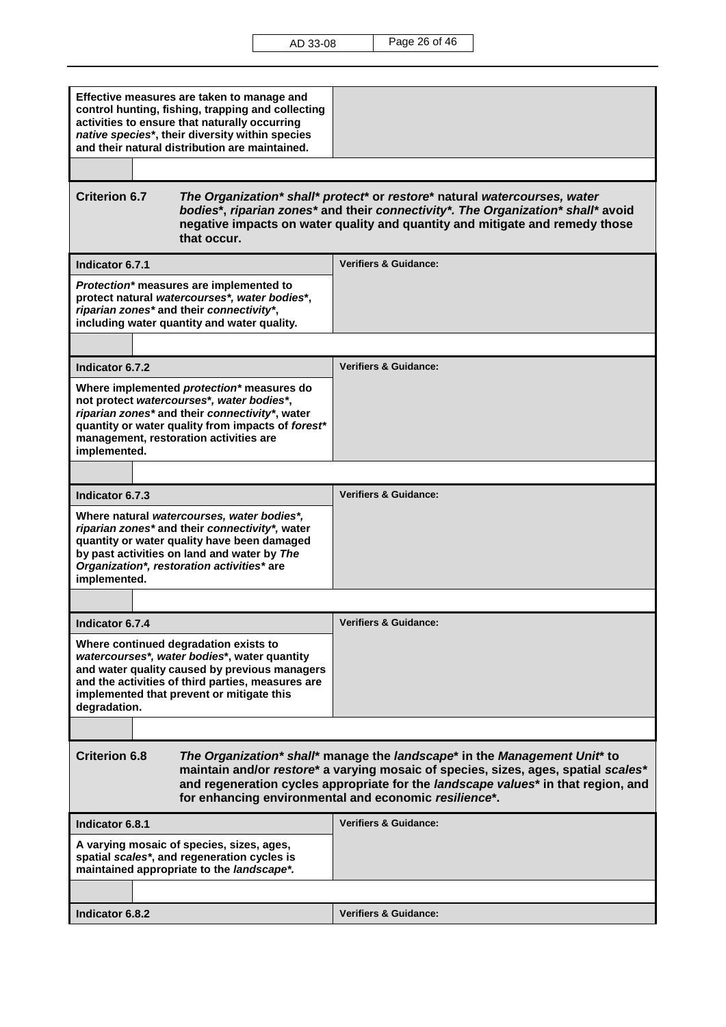| Effective measures are taken to manage and<br>control hunting, fishing, trapping and collecting<br>activities to ensure that naturally occurring<br>native species*, their diversity within species<br>and their natural distribution are maintained.                                                                                 |                                  |  |
|---------------------------------------------------------------------------------------------------------------------------------------------------------------------------------------------------------------------------------------------------------------------------------------------------------------------------------------|----------------------------------|--|
|                                                                                                                                                                                                                                                                                                                                       |                                  |  |
| <b>Criterion 6.7</b><br>The Organization* shall* protect* or restore* natural watercourses, water<br>bodies*, riparian zones* and their connectivity*. The Organization* shall* avoid<br>negative impacts on water quality and quantity and mitigate and remedy those<br>that occur.                                                  |                                  |  |
| Indicator 6.7.1                                                                                                                                                                                                                                                                                                                       | <b>Verifiers &amp; Guidance:</b> |  |
| Protection* measures are implemented to<br>protect natural watercourses*, water bodies*,<br>riparian zones* and their connectivity*,<br>including water quantity and water quality.                                                                                                                                                   |                                  |  |
|                                                                                                                                                                                                                                                                                                                                       |                                  |  |
| Indicator 6.7.2                                                                                                                                                                                                                                                                                                                       | <b>Verifiers &amp; Guidance:</b> |  |
| Where implemented protection* measures do<br>not protect watercourses*, water bodies*,<br>riparian zones* and their connectivity*, water<br>quantity or water quality from impacts of forest*<br>management, restoration activities are<br>implemented.                                                                               |                                  |  |
|                                                                                                                                                                                                                                                                                                                                       |                                  |  |
| Indicator 6.7.3                                                                                                                                                                                                                                                                                                                       | <b>Verifiers &amp; Guidance:</b> |  |
| Where natural watercourses, water bodies*,<br>riparian zones* and their connectivity*, water<br>quantity or water quality have been damaged<br>by past activities on land and water by The<br>Organization*, restoration activities* are<br>implemented.                                                                              |                                  |  |
|                                                                                                                                                                                                                                                                                                                                       |                                  |  |
| Indicator 6.7.4                                                                                                                                                                                                                                                                                                                       | <b>Verifiers &amp; Guidance:</b> |  |
| Where continued degradation exists to<br>watercourses*, water bodies*, water quantity<br>and water quality caused by previous managers<br>and the activities of third parties, measures are<br>implemented that prevent or mitigate this<br>degradation.                                                                              |                                  |  |
|                                                                                                                                                                                                                                                                                                                                       |                                  |  |
| <b>Criterion 6.8</b><br>The Organization* shall* manage the landscape* in the Management Unit* to<br>maintain and/or restore* a varying mosaic of species, sizes, ages, spatial scales*<br>and regeneration cycles appropriate for the landscape values* in that region, and<br>for enhancing environmental and economic resilience*. |                                  |  |
| Indicator 6.8.1                                                                                                                                                                                                                                                                                                                       | <b>Verifiers &amp; Guidance:</b> |  |
| A varying mosaic of species, sizes, ages,<br>spatial scales*, and regeneration cycles is<br>maintained appropriate to the landscape*.                                                                                                                                                                                                 |                                  |  |
|                                                                                                                                                                                                                                                                                                                                       |                                  |  |
| Indicator 6.8.2                                                                                                                                                                                                                                                                                                                       | <b>Verifiers &amp; Guidance:</b> |  |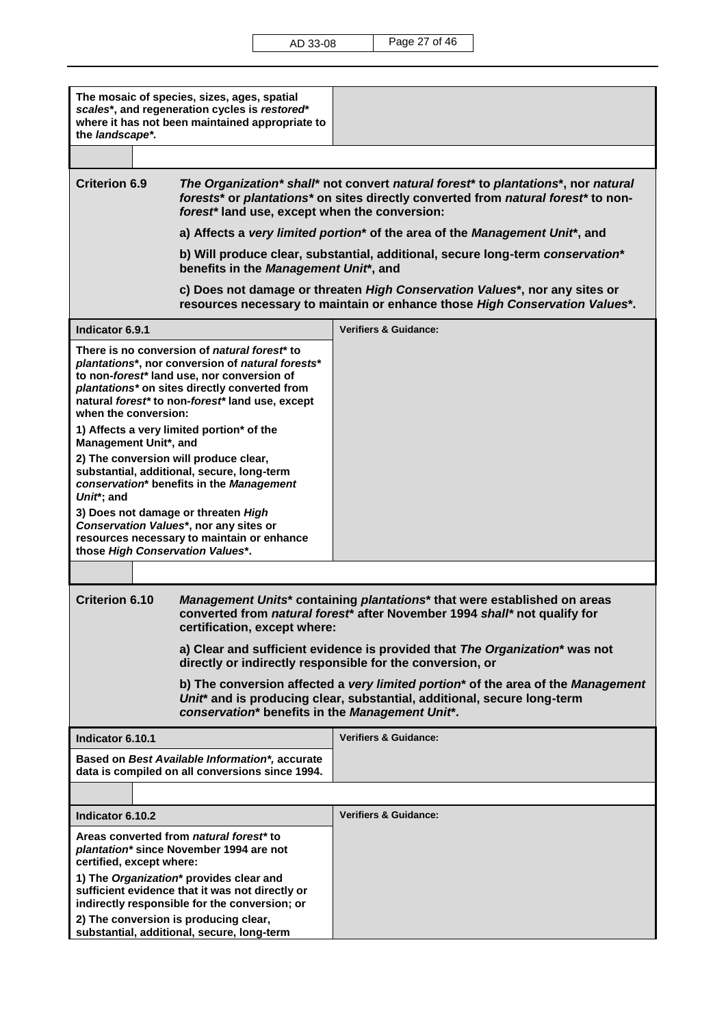| the landscape*.                                                                                   | The mosaic of species, sizes, ages, spatial<br>scales*, and regeneration cycles is restored*<br>where it has not been maintained appropriate to                                                                                                            |                                                                                                                                                                        |
|---------------------------------------------------------------------------------------------------|------------------------------------------------------------------------------------------------------------------------------------------------------------------------------------------------------------------------------------------------------------|------------------------------------------------------------------------------------------------------------------------------------------------------------------------|
| <b>Criterion 6.9</b><br>forest* land use, except when the conversion:                             |                                                                                                                                                                                                                                                            | The Organization* shall* not convert natural forest* to plantations*, nor natural<br>forests* or plantations* on sites directly converted from natural forest* to non- |
|                                                                                                   |                                                                                                                                                                                                                                                            | a) Affects a very limited portion* of the area of the Management Unit*, and                                                                                            |
|                                                                                                   | b) Will produce clear, substantial, additional, secure long-term conservation*<br>benefits in the Management Unit*, and                                                                                                                                    |                                                                                                                                                                        |
|                                                                                                   |                                                                                                                                                                                                                                                            | c) Does not damage or threaten High Conservation Values*, nor any sites or<br>resources necessary to maintain or enhance those High Conservation Values*.              |
| Indicator 6.9.1                                                                                   |                                                                                                                                                                                                                                                            | <b>Verifiers &amp; Guidance:</b>                                                                                                                                       |
| when the conversion:                                                                              | There is no conversion of <i>natural forest</i> * to<br>plantations*, nor conversion of natural forests*<br>to non-forest* land use, nor conversion of<br>plantations* on sites directly converted from<br>natural forest* to non-forest* land use, except |                                                                                                                                                                        |
| Management Unit*, and                                                                             | 1) Affects a very limited portion* of the                                                                                                                                                                                                                  |                                                                                                                                                                        |
| 2) The conversion will produce clear,<br>Unit*; and                                               | substantial, additional, secure, long-term<br>conservation* benefits in the Management                                                                                                                                                                     |                                                                                                                                                                        |
| 3) Does not damage or threaten High<br>those High Conservation Values*.                           | Conservation Values*, nor any sites or<br>resources necessary to maintain or enhance                                                                                                                                                                       |                                                                                                                                                                        |
|                                                                                                   |                                                                                                                                                                                                                                                            |                                                                                                                                                                        |
| <b>Criterion 6.10</b>                                                                             | Management Units* containing plantations* that were established on areas<br>converted from natural forest* after November 1994 shall* not qualify for<br>certification, except where:                                                                      |                                                                                                                                                                        |
|                                                                                                   | a) Clear and sufficient evidence is provided that The Organization* was not<br>directly or indirectly responsible for the conversion, or                                                                                                                   |                                                                                                                                                                        |
|                                                                                                   | b) The conversion affected a very limited portion <sup>*</sup> of the area of the Management<br>Unit* and is producing clear, substantial, additional, secure long-term<br>conservation* benefits in the Management Unit*.                                 |                                                                                                                                                                        |
| Indicator 6.10.1                                                                                  |                                                                                                                                                                                                                                                            | <b>Verifiers &amp; Guidance:</b>                                                                                                                                       |
| Based on Best Available Information*, accurate<br>data is compiled on all conversions since 1994. |                                                                                                                                                                                                                                                            |                                                                                                                                                                        |
|                                                                                                   |                                                                                                                                                                                                                                                            |                                                                                                                                                                        |
| Indicator 6.10.2                                                                                  |                                                                                                                                                                                                                                                            | <b>Verifiers &amp; Guidance:</b>                                                                                                                                       |
| certified, except where:                                                                          | Areas converted from natural forest* to<br>plantation* since November 1994 are not                                                                                                                                                                         |                                                                                                                                                                        |
|                                                                                                   | 1) The Organization* provides clear and<br>sufficient evidence that it was not directly or<br>indirectly responsible for the conversion; or                                                                                                                |                                                                                                                                                                        |
|                                                                                                   | 2) The conversion is producing clear,<br>substantial, additional, secure, long-term                                                                                                                                                                        |                                                                                                                                                                        |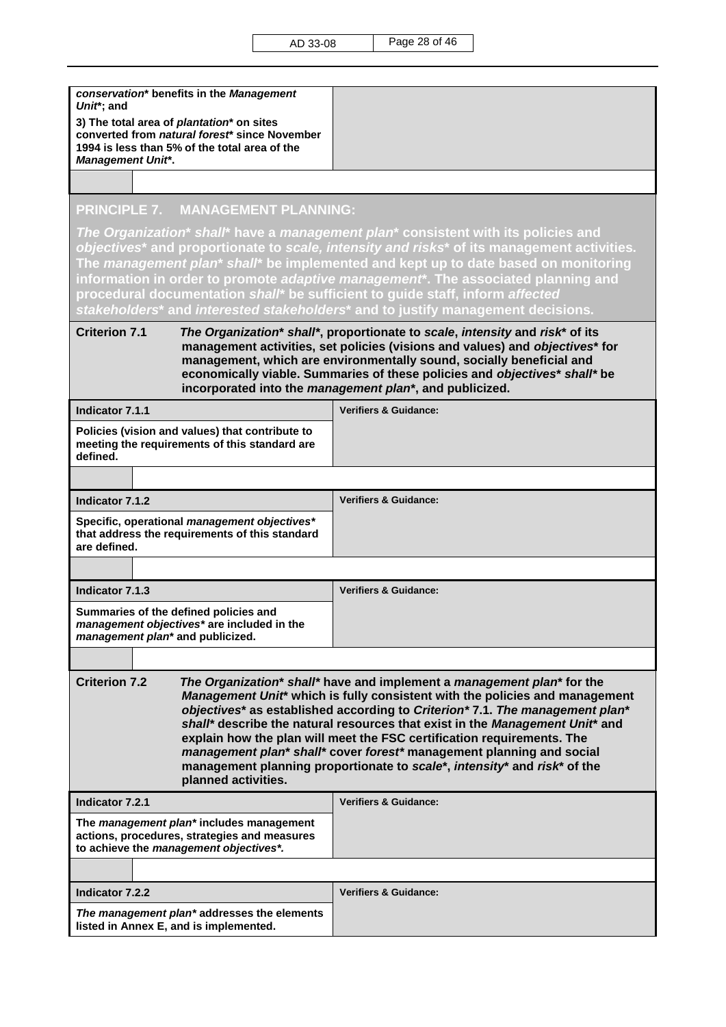| conservation* benefits in the Management<br>Unit*; and                                                                                                                                                                                                                                                                                                                                                                                                                                                                                                                                             |                                                                                                                                                                                                                                                                                                                                                                                                                                               |  |
|----------------------------------------------------------------------------------------------------------------------------------------------------------------------------------------------------------------------------------------------------------------------------------------------------------------------------------------------------------------------------------------------------------------------------------------------------------------------------------------------------------------------------------------------------------------------------------------------------|-----------------------------------------------------------------------------------------------------------------------------------------------------------------------------------------------------------------------------------------------------------------------------------------------------------------------------------------------------------------------------------------------------------------------------------------------|--|
| 3) The total area of plantation* on sites<br>converted from <i>natural forest</i> * since November<br>1994 is less than 5% of the total area of the<br><b>Management Unit*.</b>                                                                                                                                                                                                                                                                                                                                                                                                                    |                                                                                                                                                                                                                                                                                                                                                                                                                                               |  |
|                                                                                                                                                                                                                                                                                                                                                                                                                                                                                                                                                                                                    |                                                                                                                                                                                                                                                                                                                                                                                                                                               |  |
| <b>PRINCIPLE 7. MANAGEMENT PLANNING:</b>                                                                                                                                                                                                                                                                                                                                                                                                                                                                                                                                                           |                                                                                                                                                                                                                                                                                                                                                                                                                                               |  |
| procedural documentation shall* be sufficient to guide staff, inform affected                                                                                                                                                                                                                                                                                                                                                                                                                                                                                                                      | The Organization* shall* have a management plan* consistent with its policies and<br>objectives* and proportionate to scale, intensity and risks* of its management activities.<br>The management plan* shall* be implemented and kept up to date based on monitoring<br>information in order to promote adaptive management*. The associated planning and<br>stakeholders* and interested stakeholders* and to justify management decisions. |  |
| <b>Criterion 7.1</b><br>The Organization* shall*, proportionate to scale, intensity and risk* of its<br>management activities, set policies (visions and values) and objectives* for<br>management, which are environmentally sound, socially beneficial and<br>economically viable. Summaries of these policies and objectives* shall* be<br>incorporated into the management plan*, and publicized.                                                                                                                                                                                              |                                                                                                                                                                                                                                                                                                                                                                                                                                               |  |
| Indicator 7.1.1                                                                                                                                                                                                                                                                                                                                                                                                                                                                                                                                                                                    | <b>Verifiers &amp; Guidance:</b>                                                                                                                                                                                                                                                                                                                                                                                                              |  |
| Policies (vision and values) that contribute to<br>meeting the requirements of this standard are<br>defined.                                                                                                                                                                                                                                                                                                                                                                                                                                                                                       |                                                                                                                                                                                                                                                                                                                                                                                                                                               |  |
|                                                                                                                                                                                                                                                                                                                                                                                                                                                                                                                                                                                                    |                                                                                                                                                                                                                                                                                                                                                                                                                                               |  |
| Indicator 7.1.2                                                                                                                                                                                                                                                                                                                                                                                                                                                                                                                                                                                    | <b>Verifiers &amp; Guidance:</b>                                                                                                                                                                                                                                                                                                                                                                                                              |  |
| Specific, operational management objectives*<br>that address the requirements of this standard<br>are defined.                                                                                                                                                                                                                                                                                                                                                                                                                                                                                     |                                                                                                                                                                                                                                                                                                                                                                                                                                               |  |
|                                                                                                                                                                                                                                                                                                                                                                                                                                                                                                                                                                                                    |                                                                                                                                                                                                                                                                                                                                                                                                                                               |  |
| <b>Indicator 7.1.3</b>                                                                                                                                                                                                                                                                                                                                                                                                                                                                                                                                                                             | <b>Verifiers &amp; Guidance:</b>                                                                                                                                                                                                                                                                                                                                                                                                              |  |
| Summaries of the defined policies and<br><i>management objectives</i> are included in the<br>management plan* and publicized.                                                                                                                                                                                                                                                                                                                                                                                                                                                                      |                                                                                                                                                                                                                                                                                                                                                                                                                                               |  |
|                                                                                                                                                                                                                                                                                                                                                                                                                                                                                                                                                                                                    |                                                                                                                                                                                                                                                                                                                                                                                                                                               |  |
| <b>Criterion 7.2</b><br>The Organization* shall* have and implement a management plan* for the<br>Management Unit* which is fully consistent with the policies and management<br>objectives* as established according to Criterion* 7.1. The management plan*<br>shall* describe the natural resources that exist in the Management Unit* and<br>explain how the plan will meet the FSC certification requirements. The<br>management plan* shall* cover forest* management planning and social<br>management planning proportionate to scale*, intensity* and risk* of the<br>planned activities. |                                                                                                                                                                                                                                                                                                                                                                                                                                               |  |
| Indicator 7.2.1                                                                                                                                                                                                                                                                                                                                                                                                                                                                                                                                                                                    | <b>Verifiers &amp; Guidance:</b>                                                                                                                                                                                                                                                                                                                                                                                                              |  |
| The <i>management plan</i> * includes management<br>actions, procedures, strategies and measures<br>to achieve the management objectives*.                                                                                                                                                                                                                                                                                                                                                                                                                                                         |                                                                                                                                                                                                                                                                                                                                                                                                                                               |  |
|                                                                                                                                                                                                                                                                                                                                                                                                                                                                                                                                                                                                    |                                                                                                                                                                                                                                                                                                                                                                                                                                               |  |
| Indicator 7.2.2                                                                                                                                                                                                                                                                                                                                                                                                                                                                                                                                                                                    | <b>Verifiers &amp; Guidance:</b>                                                                                                                                                                                                                                                                                                                                                                                                              |  |
| The management plan* addresses the elements<br>listed in Annex E, and is implemented.                                                                                                                                                                                                                                                                                                                                                                                                                                                                                                              |                                                                                                                                                                                                                                                                                                                                                                                                                                               |  |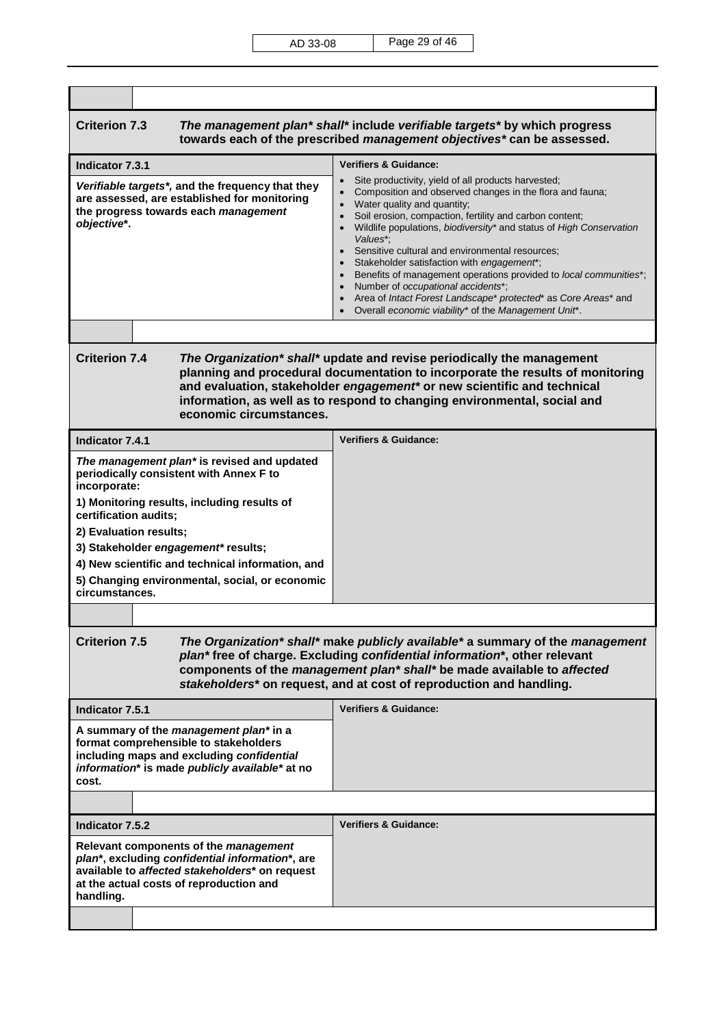| <b>Criterion 7.3</b><br>The management plan* shall* include verifiable targets* by which progress<br>towards each of the prescribed management objectives* can be assessed.                                                                                                                                                                                        |                                                                                                                                                                                                                                                                                                                                                                                                                                                                                                                                                                                                                                                                               |  |
|--------------------------------------------------------------------------------------------------------------------------------------------------------------------------------------------------------------------------------------------------------------------------------------------------------------------------------------------------------------------|-------------------------------------------------------------------------------------------------------------------------------------------------------------------------------------------------------------------------------------------------------------------------------------------------------------------------------------------------------------------------------------------------------------------------------------------------------------------------------------------------------------------------------------------------------------------------------------------------------------------------------------------------------------------------------|--|
| Indicator 7.3.1                                                                                                                                                                                                                                                                                                                                                    | <b>Verifiers &amp; Guidance:</b>                                                                                                                                                                                                                                                                                                                                                                                                                                                                                                                                                                                                                                              |  |
| Verifiable targets*, and the frequency that they<br>are assessed, are established for monitoring<br>the progress towards each management<br>objective*.                                                                                                                                                                                                            | Site productivity, yield of all products harvested;<br>Composition and observed changes in the flora and fauna;<br>Water quality and quantity;<br>$\bullet$<br>Soil erosion, compaction, fertility and carbon content;<br>Wildlife populations, biodiversity* and status of High Conservation<br>$\bullet$<br>Values*;<br>• Sensitive cultural and environmental resources;<br>Stakeholder satisfaction with engagement*;<br>$\bullet$<br>Benefits of management operations provided to local communities*;<br>• Number of occupational accidents*;<br>Area of Intact Forest Landscape* protected* as Core Areas* and<br>Overall economic viability* of the Management Unit*. |  |
|                                                                                                                                                                                                                                                                                                                                                                    |                                                                                                                                                                                                                                                                                                                                                                                                                                                                                                                                                                                                                                                                               |  |
| <b>Criterion 7.4</b><br>The Organization* shall* update and revise periodically the management<br>planning and procedural documentation to incorporate the results of monitoring<br>and evaluation, stakeholder engagement* or new scientific and technical<br>information, as well as to respond to changing environmental, social and<br>economic circumstances. |                                                                                                                                                                                                                                                                                                                                                                                                                                                                                                                                                                                                                                                                               |  |
| Indicator 7.4.1                                                                                                                                                                                                                                                                                                                                                    | <b>Verifiers &amp; Guidance:</b>                                                                                                                                                                                                                                                                                                                                                                                                                                                                                                                                                                                                                                              |  |
| The management plan* is revised and updated<br>periodically consistent with Annex F to<br>incorporate:                                                                                                                                                                                                                                                             |                                                                                                                                                                                                                                                                                                                                                                                                                                                                                                                                                                                                                                                                               |  |
| 1) Monitoring results, including results of<br>certification audits;                                                                                                                                                                                                                                                                                               |                                                                                                                                                                                                                                                                                                                                                                                                                                                                                                                                                                                                                                                                               |  |
| 2) Evaluation results;                                                                                                                                                                                                                                                                                                                                             |                                                                                                                                                                                                                                                                                                                                                                                                                                                                                                                                                                                                                                                                               |  |
| 3) Stakeholder engagement* results;                                                                                                                                                                                                                                                                                                                                |                                                                                                                                                                                                                                                                                                                                                                                                                                                                                                                                                                                                                                                                               |  |
| 4) New scientific and technical information, and<br>5) Changing environmental, social, or economic<br>circumstances.                                                                                                                                                                                                                                               |                                                                                                                                                                                                                                                                                                                                                                                                                                                                                                                                                                                                                                                                               |  |
|                                                                                                                                                                                                                                                                                                                                                                    |                                                                                                                                                                                                                                                                                                                                                                                                                                                                                                                                                                                                                                                                               |  |
| <b>Criterion 7.5</b><br>The Organization* shall* make publicly available* a summary of the management<br>plan* free of charge. Excluding confidential information*, other relevant<br>components of the management plan* shall* be made available to affected<br>stakeholders* on request, and at cost of reproduction and handling.                               |                                                                                                                                                                                                                                                                                                                                                                                                                                                                                                                                                                                                                                                                               |  |
| Indicator 7.5.1                                                                                                                                                                                                                                                                                                                                                    | <b>Verifiers &amp; Guidance:</b>                                                                                                                                                                                                                                                                                                                                                                                                                                                                                                                                                                                                                                              |  |
| A summary of the management plan* in a<br>format comprehensible to stakeholders<br>including maps and excluding confidential<br>information* is made publicly available* at no<br>cost.                                                                                                                                                                            |                                                                                                                                                                                                                                                                                                                                                                                                                                                                                                                                                                                                                                                                               |  |
|                                                                                                                                                                                                                                                                                                                                                                    |                                                                                                                                                                                                                                                                                                                                                                                                                                                                                                                                                                                                                                                                               |  |
| Indicator 7.5.2                                                                                                                                                                                                                                                                                                                                                    | <b>Verifiers &amp; Guidance:</b>                                                                                                                                                                                                                                                                                                                                                                                                                                                                                                                                                                                                                                              |  |
| Relevant components of the management<br>plan*, excluding confidential information*, are<br>available to affected stakeholders* on request<br>at the actual costs of reproduction and<br>handling.                                                                                                                                                                 |                                                                                                                                                                                                                                                                                                                                                                                                                                                                                                                                                                                                                                                                               |  |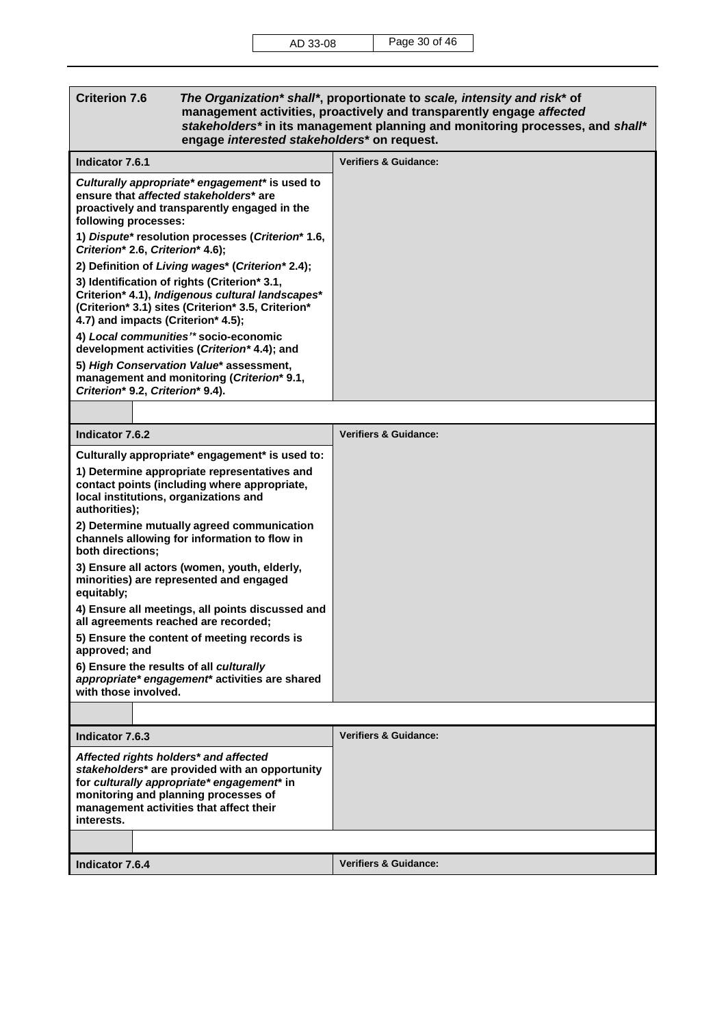| <b>Criterion 7.6</b><br>The Organization* shall*, proportionate to scale, intensity and risk* of<br>management activities, proactively and transparently engage affected<br>stakeholders* in its management planning and monitoring processes, and shall*<br>engage interested stakeholders* on request. |                                  |
|----------------------------------------------------------------------------------------------------------------------------------------------------------------------------------------------------------------------------------------------------------------------------------------------------------|----------------------------------|
| Indicator 7.6.1                                                                                                                                                                                                                                                                                          | <b>Verifiers &amp; Guidance:</b> |
| Culturally appropriate* engagement* is used to<br>ensure that affected stakeholders* are<br>proactively and transparently engaged in the<br>following processes:                                                                                                                                         |                                  |
| 1) Dispute* resolution processes (Criterion* 1.6,<br>Criterion* 2.6, Criterion* 4.6);                                                                                                                                                                                                                    |                                  |
| 2) Definition of Living wages* (Criterion* 2.4);                                                                                                                                                                                                                                                         |                                  |
| 3) Identification of rights (Criterion* 3.1,<br>Criterion* 4.1), Indigenous cultural landscapes*<br>(Criterion* 3.1) sites (Criterion* 3.5, Criterion*<br>4.7) and impacts (Criterion* 4.5);                                                                                                             |                                  |
| 4) Local communities'* socio-economic<br>development activities (Criterion*4.4); and                                                                                                                                                                                                                     |                                  |
| 5) High Conservation Value* assessment,<br>management and monitoring (Criterion* 9.1,<br>Criterion* 9.2, Criterion* 9.4).                                                                                                                                                                                |                                  |
|                                                                                                                                                                                                                                                                                                          |                                  |
| Indicator 7.6.2                                                                                                                                                                                                                                                                                          | <b>Verifiers &amp; Guidance:</b> |
| Culturally appropriate* engagement* is used to:                                                                                                                                                                                                                                                          |                                  |
| 1) Determine appropriate representatives and<br>contact points (including where appropriate,<br>local institutions, organizations and<br>authorities);                                                                                                                                                   |                                  |
| 2) Determine mutually agreed communication<br>channels allowing for information to flow in<br>both directions;                                                                                                                                                                                           |                                  |
| 3) Ensure all actors (women, youth, elderly,<br>minorities) are represented and engaged<br>equitably;                                                                                                                                                                                                    |                                  |
| 4) Ensure all meetings, all points discussed and<br>all agreements reached are recorded;                                                                                                                                                                                                                 |                                  |
| 5) Ensure the content of meeting records is<br>approved; and                                                                                                                                                                                                                                             |                                  |
| 6) Ensure the results of all culturally<br>appropriate* engagement* activities are shared<br>with those involved.                                                                                                                                                                                        |                                  |
|                                                                                                                                                                                                                                                                                                          |                                  |
| Indicator 7.6.3                                                                                                                                                                                                                                                                                          | <b>Verifiers &amp; Guidance:</b> |
| Affected rights holders* and affected<br>stakeholders* are provided with an opportunity<br>for culturally appropriate* engagement* in<br>monitoring and planning processes of<br>management activities that affect their<br>interests.                                                                   |                                  |
|                                                                                                                                                                                                                                                                                                          |                                  |
| <b>Indicator 7.6.4</b>                                                                                                                                                                                                                                                                                   | <b>Verifiers &amp; Guidance:</b> |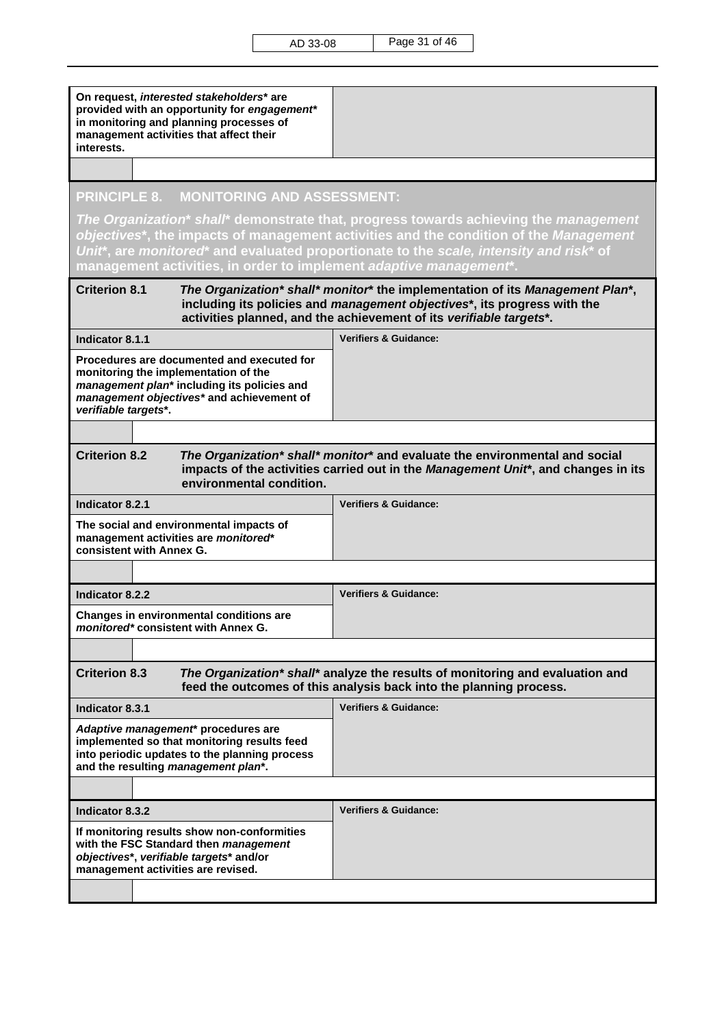| On request, interested stakeholders* are<br>provided with an opportunity for engagement*<br>in monitoring and planning processes of<br>management activities that affect their<br>interests.           |                                                                                                                                                                                                                                                                         |  |
|--------------------------------------------------------------------------------------------------------------------------------------------------------------------------------------------------------|-------------------------------------------------------------------------------------------------------------------------------------------------------------------------------------------------------------------------------------------------------------------------|--|
|                                                                                                                                                                                                        |                                                                                                                                                                                                                                                                         |  |
| PRINCIPLE 8. MONITORING AND ASSESSMENT:                                                                                                                                                                |                                                                                                                                                                                                                                                                         |  |
| management activities, in order to implement adaptive management*.                                                                                                                                     | The Organization* shall* demonstrate that, progress towards achieving the management<br>objectives*, the impacts of management activities and the condition of the Management<br>Unit*, are monitored* and evaluated proportionate to the scale, intensity and risk* of |  |
| <b>Criterion 8.1</b>                                                                                                                                                                                   | The Organization* shall* monitor* the implementation of its Management Plan*,<br>including its policies and management objectives*, its progress with the<br>activities planned, and the achievement of its verifiable targets*.                                        |  |
| Indicator 8.1.1                                                                                                                                                                                        | <b>Verifiers &amp; Guidance:</b>                                                                                                                                                                                                                                        |  |
| Procedures are documented and executed for<br>monitoring the implementation of the<br>management plan* including its policies and<br>management objectives* and achievement of<br>verifiable targets*. |                                                                                                                                                                                                                                                                         |  |
|                                                                                                                                                                                                        |                                                                                                                                                                                                                                                                         |  |
| <b>Criterion 8.2</b><br>environmental condition.                                                                                                                                                       | The Organization* shall* monitor* and evaluate the environmental and social<br>impacts of the activities carried out in the Management Unit*, and changes in its                                                                                                        |  |
| Indicator 8.2.1                                                                                                                                                                                        | <b>Verifiers &amp; Guidance:</b>                                                                                                                                                                                                                                        |  |
| The social and environmental impacts of<br>management activities are monitored*<br>consistent with Annex G.                                                                                            |                                                                                                                                                                                                                                                                         |  |
|                                                                                                                                                                                                        |                                                                                                                                                                                                                                                                         |  |
| Indicator 8.2.2                                                                                                                                                                                        | <b>Verifiers &amp; Guidance:</b>                                                                                                                                                                                                                                        |  |
| Changes in environmental conditions are<br>monitored* consistent with Annex G.                                                                                                                         |                                                                                                                                                                                                                                                                         |  |
|                                                                                                                                                                                                        |                                                                                                                                                                                                                                                                         |  |
| <b>Criterion 8.3</b><br>The Organization* shall* analyze the results of monitoring and evaluation and<br>feed the outcomes of this analysis back into the planning process.                            |                                                                                                                                                                                                                                                                         |  |
| Indicator 8.3.1                                                                                                                                                                                        | <b>Verifiers &amp; Guidance:</b>                                                                                                                                                                                                                                        |  |
| Adaptive management* procedures are<br>implemented so that monitoring results feed<br>into periodic updates to the planning process<br>and the resulting management plan*.                             |                                                                                                                                                                                                                                                                         |  |
|                                                                                                                                                                                                        |                                                                                                                                                                                                                                                                         |  |
| Indicator 8.3.2                                                                                                                                                                                        | <b>Verifiers &amp; Guidance:</b>                                                                                                                                                                                                                                        |  |
| If monitoring results show non-conformities<br>with the FSC Standard then management<br>objectives*, verifiable targets* and/or<br>management activities are revised.                                  |                                                                                                                                                                                                                                                                         |  |
|                                                                                                                                                                                                        |                                                                                                                                                                                                                                                                         |  |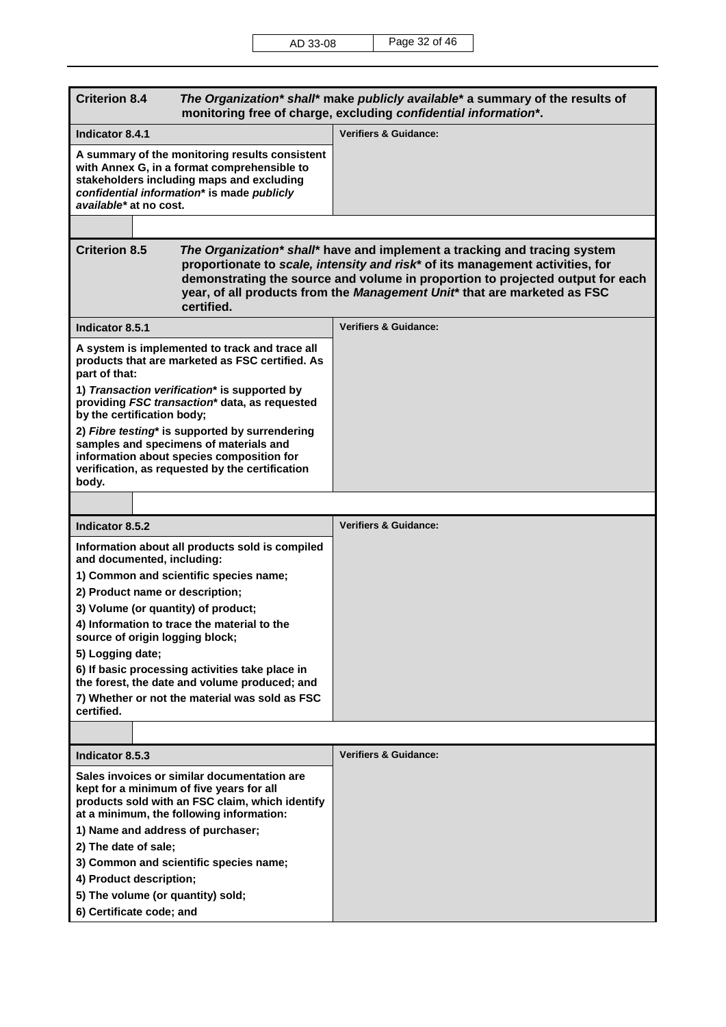| <b>Criterion 8.4</b><br>The Organization* shall* make publicly available* a summary of the results of<br>monitoring free of charge, excluding confidential information*.                                                                                                                                                                                       |                                  |  |
|----------------------------------------------------------------------------------------------------------------------------------------------------------------------------------------------------------------------------------------------------------------------------------------------------------------------------------------------------------------|----------------------------------|--|
| Indicator 8.4.1                                                                                                                                                                                                                                                                                                                                                | <b>Verifiers &amp; Guidance:</b> |  |
| A summary of the monitoring results consistent<br>with Annex G, in a format comprehensible to<br>stakeholders including maps and excluding<br>confidential information* is made publicly<br>available* at no cost.                                                                                                                                             |                                  |  |
|                                                                                                                                                                                                                                                                                                                                                                |                                  |  |
| <b>Criterion 8.5</b><br>The Organization* shall* have and implement a tracking and tracing system<br>proportionate to scale, intensity and risk* of its management activities, for<br>demonstrating the source and volume in proportion to projected output for each<br>year, of all products from the Management Unit* that are marketed as FSC<br>certified. |                                  |  |
| Indicator 8.5.1                                                                                                                                                                                                                                                                                                                                                | <b>Verifiers &amp; Guidance:</b> |  |
| A system is implemented to track and trace all<br>products that are marketed as FSC certified. As<br>part of that:<br>1) Transaction verification* is supported by<br>providing FSC transaction* data, as requested<br>by the certification body;                                                                                                              |                                  |  |
| 2) Fibre testing* is supported by surrendering<br>samples and specimens of materials and<br>information about species composition for<br>verification, as requested by the certification<br>body.                                                                                                                                                              |                                  |  |
|                                                                                                                                                                                                                                                                                                                                                                |                                  |  |
| Indicator 8.5.2                                                                                                                                                                                                                                                                                                                                                | <b>Verifiers &amp; Guidance:</b> |  |
| Information about all products sold is compiled<br>and documented, including:                                                                                                                                                                                                                                                                                  |                                  |  |
| 1) Common and scientific species name;                                                                                                                                                                                                                                                                                                                         |                                  |  |
| 2) Product name or description;                                                                                                                                                                                                                                                                                                                                |                                  |  |
| 3) Volume (or quantity) of product;<br>4) Information to trace the material to the                                                                                                                                                                                                                                                                             |                                  |  |
| source of origin logging block;                                                                                                                                                                                                                                                                                                                                |                                  |  |
| 5) Logging date;                                                                                                                                                                                                                                                                                                                                               |                                  |  |
| 6) If basic processing activities take place in<br>the forest, the date and volume produced; and                                                                                                                                                                                                                                                               |                                  |  |
| 7) Whether or not the material was sold as FSC<br>certified.                                                                                                                                                                                                                                                                                                   |                                  |  |
|                                                                                                                                                                                                                                                                                                                                                                |                                  |  |
| Indicator 8.5.3                                                                                                                                                                                                                                                                                                                                                | <b>Verifiers &amp; Guidance:</b> |  |
| Sales invoices or similar documentation are<br>kept for a minimum of five years for all<br>products sold with an FSC claim, which identify<br>at a minimum, the following information:<br>1) Name and address of purchaser;<br>2) The date of sale;                                                                                                            |                                  |  |
| 3) Common and scientific species name;                                                                                                                                                                                                                                                                                                                         |                                  |  |
| 4) Product description;                                                                                                                                                                                                                                                                                                                                        |                                  |  |
| 5) The volume (or quantity) sold;<br>6) Certificate code; and                                                                                                                                                                                                                                                                                                  |                                  |  |
|                                                                                                                                                                                                                                                                                                                                                                |                                  |  |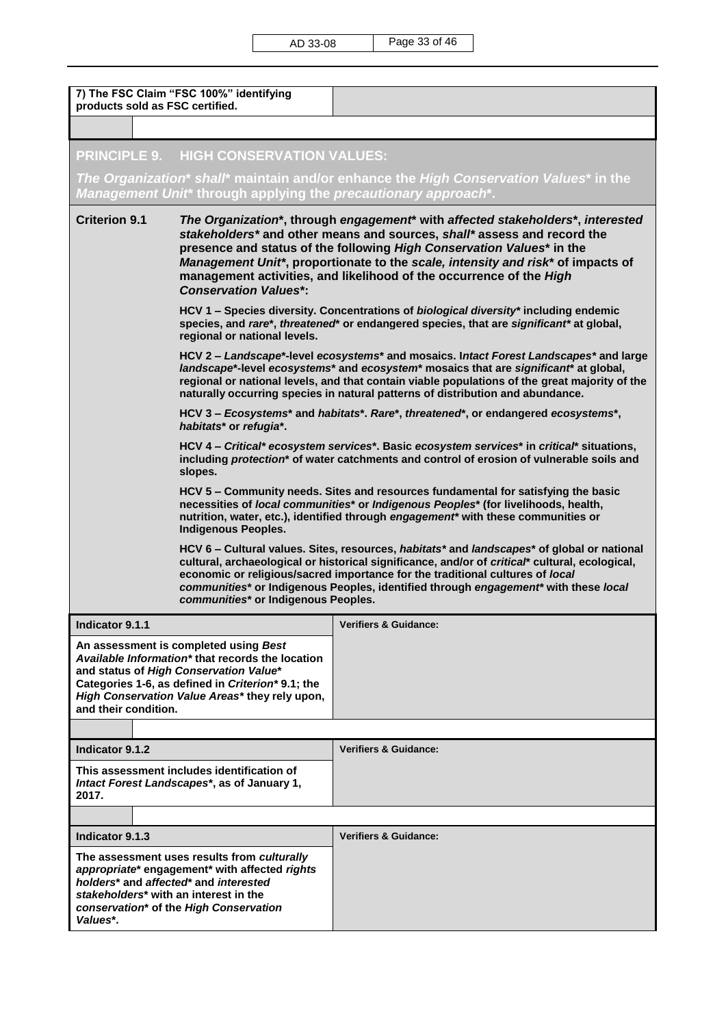|                                                   | 7) The FSC Claim "FSC 100%" identifying                                                                                                                                                                                                                                                                                                                                                                                      |                                                                                                                                                         |  |
|---------------------------------------------------|------------------------------------------------------------------------------------------------------------------------------------------------------------------------------------------------------------------------------------------------------------------------------------------------------------------------------------------------------------------------------------------------------------------------------|---------------------------------------------------------------------------------------------------------------------------------------------------------|--|
| products sold as FSC certified.                   |                                                                                                                                                                                                                                                                                                                                                                                                                              |                                                                                                                                                         |  |
|                                                   |                                                                                                                                                                                                                                                                                                                                                                                                                              |                                                                                                                                                         |  |
|                                                   | PRINCIPLE 9. HIGH CONSERVATION VALUES:                                                                                                                                                                                                                                                                                                                                                                                       |                                                                                                                                                         |  |
|                                                   |                                                                                                                                                                                                                                                                                                                                                                                                                              | The Organization* shall* maintain and/or enhance the High Conservation Values* in the<br>Management Unit* through applying the precautionary approach*. |  |
| <b>Criterion 9.1</b>                              | The Organization*, through engagement* with affected stakeholders*, interested<br>stakeholders* and other means and sources, shall* assess and record the<br>presence and status of the following High Conservation Values* in the<br>Management Unit*, proportionate to the scale, intensity and risk* of impacts of<br>management activities, and likelihood of the occurrence of the High<br><b>Conservation Values*:</b> |                                                                                                                                                         |  |
|                                                   | HCV 1 - Species diversity. Concentrations of biological diversity* including endemic<br>species, and rare*, threatened* or endangered species, that are significant* at global,<br>regional or national levels.                                                                                                                                                                                                              |                                                                                                                                                         |  |
|                                                   | HCV 2 - Landscape*-level ecosystems* and mosaics. Intact Forest Landscapes* and large<br>landscape*-level ecosystems* and ecosystem* mosaics that are significant* at global,<br>regional or national levels, and that contain viable populations of the great majority of the<br>naturally occurring species in natural patterns of distribution and abundance.                                                             |                                                                                                                                                         |  |
|                                                   | HCV 3 - Ecosystems* and habitats*. Rare*, threatened*, or endangered ecosystems*,<br>habitats* or refugia*.                                                                                                                                                                                                                                                                                                                  |                                                                                                                                                         |  |
|                                                   | HCV 4 – Critical* ecosystem services*. Basic ecosystem services* in critical* situations,<br>including protection* of water catchments and control of erosion of vulnerable soils and<br>slopes.                                                                                                                                                                                                                             |                                                                                                                                                         |  |
|                                                   | HCV 5 - Community needs. Sites and resources fundamental for satisfying the basic<br>necessities of local communities* or Indigenous Peoples* (for livelihoods, health,<br>nutrition, water, etc.), identified through engagement* with these communities or<br><b>Indigenous Peoples.</b>                                                                                                                                   |                                                                                                                                                         |  |
|                                                   | HCV 6 – Cultural values. Sites, resources, habitats* and landscapes* of global or national<br>cultural, archaeological or historical significance, and/or of critical* cultural, ecological,<br>economic or religious/sacred importance for the traditional cultures of local<br>communities* or Indigenous Peoples, identified through engagement* with these local<br>communities* or Indigenous Peoples.                  |                                                                                                                                                         |  |
| Indicator 9.1.1                                   |                                                                                                                                                                                                                                                                                                                                                                                                                              | <b>Verifiers &amp; Guidance:</b>                                                                                                                        |  |
| and their condition.                              | An assessment is completed using Best<br>Available Information* that records the location<br>and status of High Conservation Value*<br>Categories 1-6, as defined in Criterion* 9.1; the<br>High Conservation Value Areas* they rely upon,                                                                                                                                                                                   |                                                                                                                                                         |  |
|                                                   |                                                                                                                                                                                                                                                                                                                                                                                                                              |                                                                                                                                                         |  |
| Indicator 9.1.2<br>2017.                          | This assessment includes identification of<br>Intact Forest Landscapes*, as of January 1,                                                                                                                                                                                                                                                                                                                                    | <b>Verifiers &amp; Guidance:</b>                                                                                                                        |  |
|                                                   |                                                                                                                                                                                                                                                                                                                                                                                                                              |                                                                                                                                                         |  |
| Indicator 9.1.3                                   |                                                                                                                                                                                                                                                                                                                                                                                                                              | <b>Verifiers &amp; Guidance:</b>                                                                                                                        |  |
| stakeholders* with an interest in the<br>Values*. | The assessment uses results from culturally<br>appropriate* engagement* with affected rights<br>holders* and affected* and interested<br>conservation* of the High Conservation                                                                                                                                                                                                                                              |                                                                                                                                                         |  |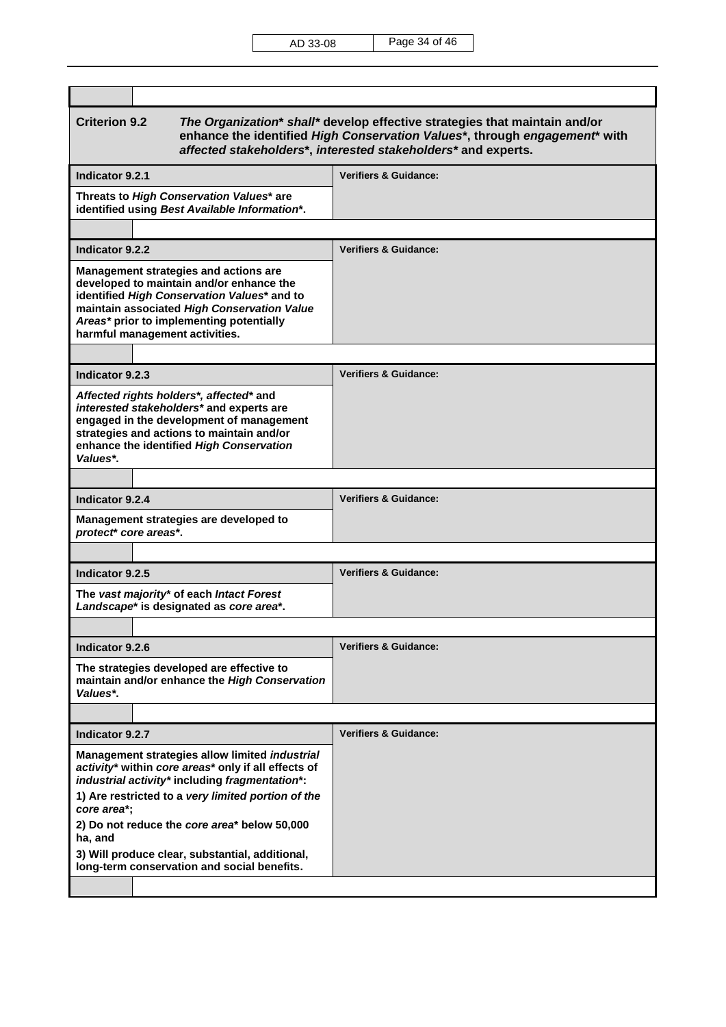| <b>Criterion 9.2</b>                                                                                                                                                                                                                                          | The Organization* shall* develop effective strategies that maintain and/or<br>enhance the identified High Conservation Values*, through engagement* with<br>affected stakeholders*, interested stakeholders* and experts. |  |
|---------------------------------------------------------------------------------------------------------------------------------------------------------------------------------------------------------------------------------------------------------------|---------------------------------------------------------------------------------------------------------------------------------------------------------------------------------------------------------------------------|--|
| Indicator 9.2.1                                                                                                                                                                                                                                               | <b>Verifiers &amp; Guidance:</b>                                                                                                                                                                                          |  |
| Threats to High Conservation Values* are<br>identified using Best Available Information*.                                                                                                                                                                     |                                                                                                                                                                                                                           |  |
|                                                                                                                                                                                                                                                               |                                                                                                                                                                                                                           |  |
| Indicator 9.2.2                                                                                                                                                                                                                                               | <b>Verifiers &amp; Guidance:</b>                                                                                                                                                                                          |  |
| Management strategies and actions are<br>developed to maintain and/or enhance the<br>identified High Conservation Values* and to<br>maintain associated High Conservation Value<br>Areas* prior to implementing potentially<br>harmful management activities. |                                                                                                                                                                                                                           |  |
| Indicator 9.2.3                                                                                                                                                                                                                                               | <b>Verifiers &amp; Guidance:</b>                                                                                                                                                                                          |  |
| Affected rights holders*, affected* and<br>interested stakeholders* and experts are<br>engaged in the development of management<br>strategies and actions to maintain and/or<br>enhance the identified High Conservation<br>Values*.                          |                                                                                                                                                                                                                           |  |
|                                                                                                                                                                                                                                                               |                                                                                                                                                                                                                           |  |
| Indicator 9.2.4                                                                                                                                                                                                                                               | <b>Verifiers &amp; Guidance:</b>                                                                                                                                                                                          |  |
|                                                                                                                                                                                                                                                               |                                                                                                                                                                                                                           |  |
| Management strategies are developed to<br>protect* core areas*.                                                                                                                                                                                               |                                                                                                                                                                                                                           |  |
|                                                                                                                                                                                                                                                               |                                                                                                                                                                                                                           |  |
| Indicator 9.2.5                                                                                                                                                                                                                                               | <b>Verifiers &amp; Guidance:</b>                                                                                                                                                                                          |  |
| The vast majority* of each Intact Forest<br>Landscape* is designated as core area*.                                                                                                                                                                           |                                                                                                                                                                                                                           |  |
|                                                                                                                                                                                                                                                               |                                                                                                                                                                                                                           |  |
| Indicator 9.2.6                                                                                                                                                                                                                                               | <b>Verifiers &amp; Guidance:</b>                                                                                                                                                                                          |  |
| The strategies developed are effective to<br>maintain and/or enhance the High Conservation<br>Values*.                                                                                                                                                        |                                                                                                                                                                                                                           |  |
|                                                                                                                                                                                                                                                               |                                                                                                                                                                                                                           |  |
| Indicator 9.2.7                                                                                                                                                                                                                                               | <b>Verifiers &amp; Guidance:</b>                                                                                                                                                                                          |  |
| Management strategies allow limited industrial<br>activity* within core areas* only if all effects of<br>industrial activity* including fragmentation*:                                                                                                       |                                                                                                                                                                                                                           |  |
| 1) Are restricted to a very limited portion of the<br>core area*:                                                                                                                                                                                             |                                                                                                                                                                                                                           |  |
| 2) Do not reduce the core area* below 50,000<br>ha, and                                                                                                                                                                                                       |                                                                                                                                                                                                                           |  |
| 3) Will produce clear, substantial, additional,<br>long-term conservation and social benefits.                                                                                                                                                                |                                                                                                                                                                                                                           |  |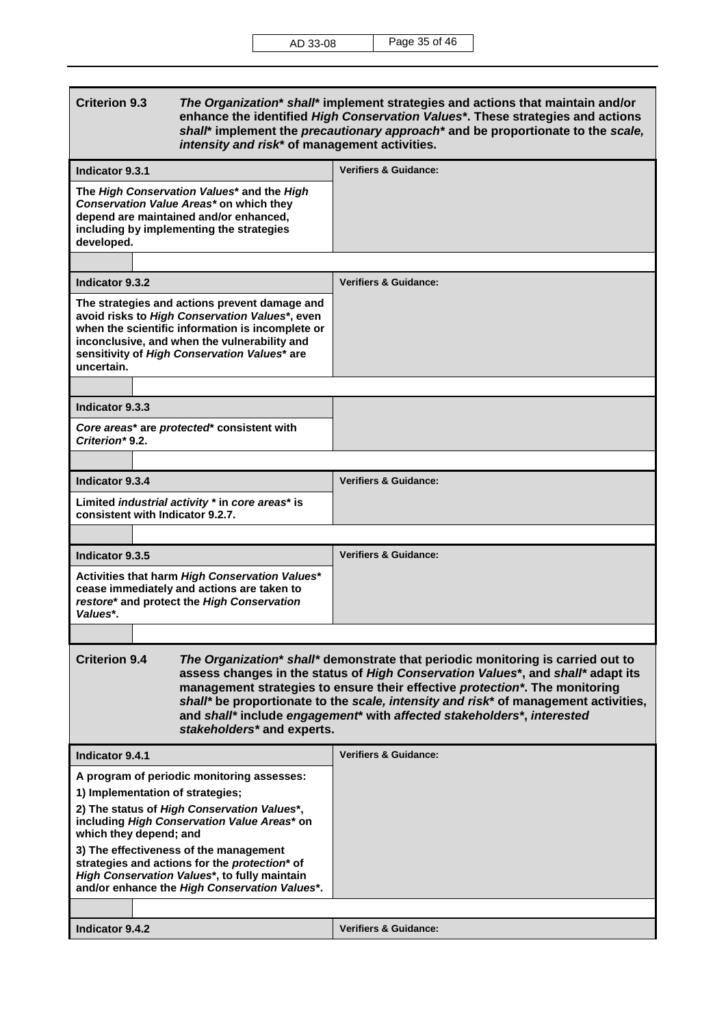| <b>Criterion 9.3</b><br>The Organization* shall* implement strategies and actions that maintain and/or<br>enhance the identified High Conservation Values*. These strategies and actions<br>shall* implement the precautionary approach* and be proportionate to the scale,<br>intensity and risk* of management activities.                                                                                                                                             |                                  |  |
|--------------------------------------------------------------------------------------------------------------------------------------------------------------------------------------------------------------------------------------------------------------------------------------------------------------------------------------------------------------------------------------------------------------------------------------------------------------------------|----------------------------------|--|
| Indicator 9.3.1                                                                                                                                                                                                                                                                                                                                                                                                                                                          | <b>Verifiers &amp; Guidance:</b> |  |
| The High Conservation Values* and the High<br>Conservation Value Areas* on which they<br>depend are maintained and/or enhanced,<br>including by implementing the strategies<br>developed.                                                                                                                                                                                                                                                                                |                                  |  |
|                                                                                                                                                                                                                                                                                                                                                                                                                                                                          |                                  |  |
| Indicator 9.3.2                                                                                                                                                                                                                                                                                                                                                                                                                                                          | <b>Verifiers &amp; Guidance:</b> |  |
| The strategies and actions prevent damage and<br>avoid risks to High Conservation Values*, even<br>when the scientific information is incomplete or<br>inconclusive, and when the vulnerability and<br>sensitivity of High Conservation Values* are<br>uncertain.                                                                                                                                                                                                        |                                  |  |
|                                                                                                                                                                                                                                                                                                                                                                                                                                                                          |                                  |  |
| Indicator 9.3.3                                                                                                                                                                                                                                                                                                                                                                                                                                                          |                                  |  |
| Core areas* are protected* consistent with<br>Criterion*9.2.                                                                                                                                                                                                                                                                                                                                                                                                             |                                  |  |
|                                                                                                                                                                                                                                                                                                                                                                                                                                                                          |                                  |  |
| Indicator 9.3.4                                                                                                                                                                                                                                                                                                                                                                                                                                                          | <b>Verifiers &amp; Guidance:</b> |  |
| Limited industrial activity * in core areas* is<br>consistent with Indicator 9.2.7.                                                                                                                                                                                                                                                                                                                                                                                      |                                  |  |
|                                                                                                                                                                                                                                                                                                                                                                                                                                                                          |                                  |  |
| Indicator 9.3.5                                                                                                                                                                                                                                                                                                                                                                                                                                                          | Verifiers & Guidance:            |  |
| Activities that harm High Conservation Values*<br>cease immediately and actions are taken to<br>restore* and protect the High Conservation<br>Values*.                                                                                                                                                                                                                                                                                                                   |                                  |  |
|                                                                                                                                                                                                                                                                                                                                                                                                                                                                          |                                  |  |
| <b>Criterion 9.4</b><br>The Organization* shall* demonstrate that periodic monitoring is carried out to<br>assess changes in the status of High Conservation Values*, and shall* adapt its<br>management strategies to ensure their effective protection*. The monitoring<br>shall* be proportionate to the scale, intensity and risk* of management activities,<br>and shall* include engagement* with affected stakeholders*, interested<br>stakeholders* and experts. |                                  |  |
| Indicator 9.4.1                                                                                                                                                                                                                                                                                                                                                                                                                                                          | <b>Verifiers &amp; Guidance:</b> |  |
| A program of periodic monitoring assesses:                                                                                                                                                                                                                                                                                                                                                                                                                               |                                  |  |
| 1) Implementation of strategies;                                                                                                                                                                                                                                                                                                                                                                                                                                         |                                  |  |
| 2) The status of High Conservation Values*,<br>including High Conservation Value Areas* on<br>which they depend; and                                                                                                                                                                                                                                                                                                                                                     |                                  |  |
| 3) The effectiveness of the management<br>strategies and actions for the protection* of<br>High Conservation Values*, to fully maintain<br>and/or enhance the High Conservation Values*.                                                                                                                                                                                                                                                                                 |                                  |  |
|                                                                                                                                                                                                                                                                                                                                                                                                                                                                          |                                  |  |
| Indicator 9.4.2                                                                                                                                                                                                                                                                                                                                                                                                                                                          | <b>Verifiers &amp; Guidance:</b> |  |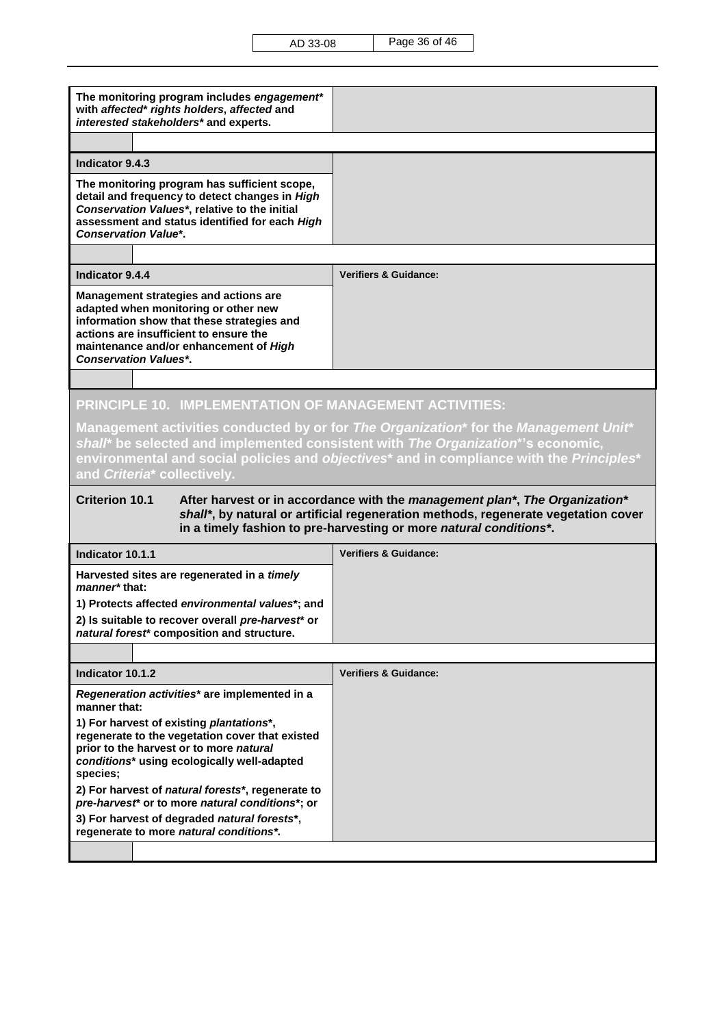AD 33-08 Page 36 of 46

| The monitoring program includes engagement*<br>with affected* rights holders, affected and<br>interested stakeholders* and experts.                                                                                                                                                                                                                                                                                                                                                                                                                                     |                                  |  |
|-------------------------------------------------------------------------------------------------------------------------------------------------------------------------------------------------------------------------------------------------------------------------------------------------------------------------------------------------------------------------------------------------------------------------------------------------------------------------------------------------------------------------------------------------------------------------|----------------------------------|--|
|                                                                                                                                                                                                                                                                                                                                                                                                                                                                                                                                                                         |                                  |  |
| Indicator 9.4.3                                                                                                                                                                                                                                                                                                                                                                                                                                                                                                                                                         |                                  |  |
| The monitoring program has sufficient scope,<br>detail and frequency to detect changes in High<br>Conservation Values*, relative to the initial<br>assessment and status identified for each High<br><b>Conservation Value*.</b>                                                                                                                                                                                                                                                                                                                                        |                                  |  |
|                                                                                                                                                                                                                                                                                                                                                                                                                                                                                                                                                                         |                                  |  |
| Indicator 9.4.4                                                                                                                                                                                                                                                                                                                                                                                                                                                                                                                                                         | <b>Verifiers &amp; Guidance:</b> |  |
| Management strategies and actions are<br>adapted when monitoring or other new<br>information show that these strategies and<br>actions are insufficient to ensure the<br>maintenance and/or enhancement of High<br><b>Conservation Values*.</b>                                                                                                                                                                                                                                                                                                                         |                                  |  |
|                                                                                                                                                                                                                                                                                                                                                                                                                                                                                                                                                                         |                                  |  |
| Management activities conducted by or for The Organization* for the Management Unit*<br>shall* be selected and implemented consistent with The Organization*'s economic,<br>environmental and social policies and objectives* and in compliance with the Principles*<br>and Criteria* collectively.<br><b>Criterion 10.1</b><br>After harvest or in accordance with the management plan*, The Organization*<br>shall*, by natural or artificial regeneration methods, regenerate vegetation cover<br>in a timely fashion to pre-harvesting or more natural conditions*. |                                  |  |
| Indicator 10.1.1                                                                                                                                                                                                                                                                                                                                                                                                                                                                                                                                                        | Verifiers & Guidance:            |  |
| Harvested sites are regenerated in a timely<br>manner*that:<br>1) Protects affected environmental values*; and<br>2) Is suitable to recover overall pre-harvest* or<br>natural forest* composition and structure.                                                                                                                                                                                                                                                                                                                                                       |                                  |  |
|                                                                                                                                                                                                                                                                                                                                                                                                                                                                                                                                                                         |                                  |  |
| Indicator 10.1.2                                                                                                                                                                                                                                                                                                                                                                                                                                                                                                                                                        | <b>Verifiers &amp; Guidance:</b> |  |
| Regeneration activities* are implemented in a<br>manner that:                                                                                                                                                                                                                                                                                                                                                                                                                                                                                                           |                                  |  |
| 1) For harvest of existing plantations*,<br>regenerate to the vegetation cover that existed<br>prior to the harvest or to more natural<br>conditions* using ecologically well-adapted<br>species;                                                                                                                                                                                                                                                                                                                                                                       |                                  |  |
| 2) For harvest of natural forests*, regenerate to                                                                                                                                                                                                                                                                                                                                                                                                                                                                                                                       |                                  |  |
| pre-harvest* or to more natural conditions*; or<br>3) For harvest of degraded natural forests*,<br>regenerate to more natural conditions*.                                                                                                                                                                                                                                                                                                                                                                                                                              |                                  |  |
|                                                                                                                                                                                                                                                                                                                                                                                                                                                                                                                                                                         |                                  |  |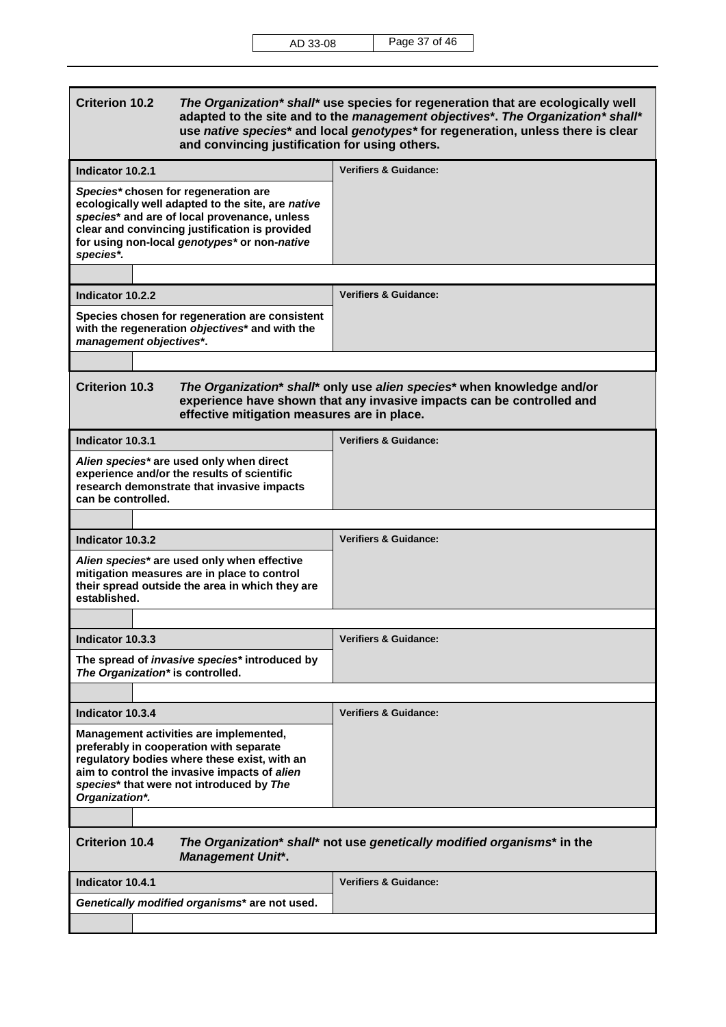| <b>Criterion 10.2</b><br>The Organization* shall* use species for regeneration that are ecologically well<br>adapted to the site and to the management objectives*. The Organization* shall*<br>use native species* and local genotypes* for regeneration, unless there is clear<br>and convincing justification for using others. |                                                                                                                                                 |  |  |
|------------------------------------------------------------------------------------------------------------------------------------------------------------------------------------------------------------------------------------------------------------------------------------------------------------------------------------|-------------------------------------------------------------------------------------------------------------------------------------------------|--|--|
| Indicator 10.2.1                                                                                                                                                                                                                                                                                                                   | <b>Verifiers &amp; Guidance:</b>                                                                                                                |  |  |
| Species* chosen for regeneration are<br>ecologically well adapted to the site, are native<br>species* and are of local provenance, unless<br>clear and convincing justification is provided<br>for using non-local genotypes* or non-native<br>species*.                                                                           |                                                                                                                                                 |  |  |
| Indicator 10.2.2                                                                                                                                                                                                                                                                                                                   | <b>Verifiers &amp; Guidance:</b>                                                                                                                |  |  |
| Species chosen for regeneration are consistent<br>with the regeneration objectives* and with the<br>management objectives*.                                                                                                                                                                                                        |                                                                                                                                                 |  |  |
|                                                                                                                                                                                                                                                                                                                                    |                                                                                                                                                 |  |  |
| <b>Criterion 10.3</b><br>effective mitigation measures are in place.                                                                                                                                                                                                                                                               | The Organization* shall* only use alien species* when knowledge and/or<br>experience have shown that any invasive impacts can be controlled and |  |  |
| Indicator 10.3.1                                                                                                                                                                                                                                                                                                                   | <b>Verifiers &amp; Guidance:</b>                                                                                                                |  |  |
| Alien species* are used only when direct<br>experience and/or the results of scientific<br>research demonstrate that invasive impacts<br>can be controlled.                                                                                                                                                                        |                                                                                                                                                 |  |  |
|                                                                                                                                                                                                                                                                                                                                    |                                                                                                                                                 |  |  |
|                                                                                                                                                                                                                                                                                                                                    |                                                                                                                                                 |  |  |
| Indicator 10.3.2                                                                                                                                                                                                                                                                                                                   | <b>Verifiers &amp; Guidance:</b>                                                                                                                |  |  |
| Alien species* are used only when effective<br>mitigation measures are in place to control<br>their spread outside the area in which they are<br>established.                                                                                                                                                                      |                                                                                                                                                 |  |  |
|                                                                                                                                                                                                                                                                                                                                    |                                                                                                                                                 |  |  |
| Indicator 10.3.3                                                                                                                                                                                                                                                                                                                   | Verifiers & Guidance:                                                                                                                           |  |  |
| The spread of invasive species* introduced by<br>The Organization* is controlled.                                                                                                                                                                                                                                                  |                                                                                                                                                 |  |  |
|                                                                                                                                                                                                                                                                                                                                    |                                                                                                                                                 |  |  |
| Indicator 10.3.4                                                                                                                                                                                                                                                                                                                   | <b>Verifiers &amp; Guidance:</b>                                                                                                                |  |  |
| Management activities are implemented,<br>preferably in cooperation with separate<br>regulatory bodies where these exist, with an<br>aim to control the invasive impacts of alien<br>species* that were not introduced by The<br>Organization*.                                                                                    |                                                                                                                                                 |  |  |
|                                                                                                                                                                                                                                                                                                                                    |                                                                                                                                                 |  |  |
| <b>Criterion 10.4</b><br><b>Management Unit*.</b>                                                                                                                                                                                                                                                                                  | The Organization* shall* not use genetically modified organisms* in the                                                                         |  |  |
| Indicator 10.4.1                                                                                                                                                                                                                                                                                                                   | <b>Verifiers &amp; Guidance:</b>                                                                                                                |  |  |
| Genetically modified organisms* are not used.                                                                                                                                                                                                                                                                                      |                                                                                                                                                 |  |  |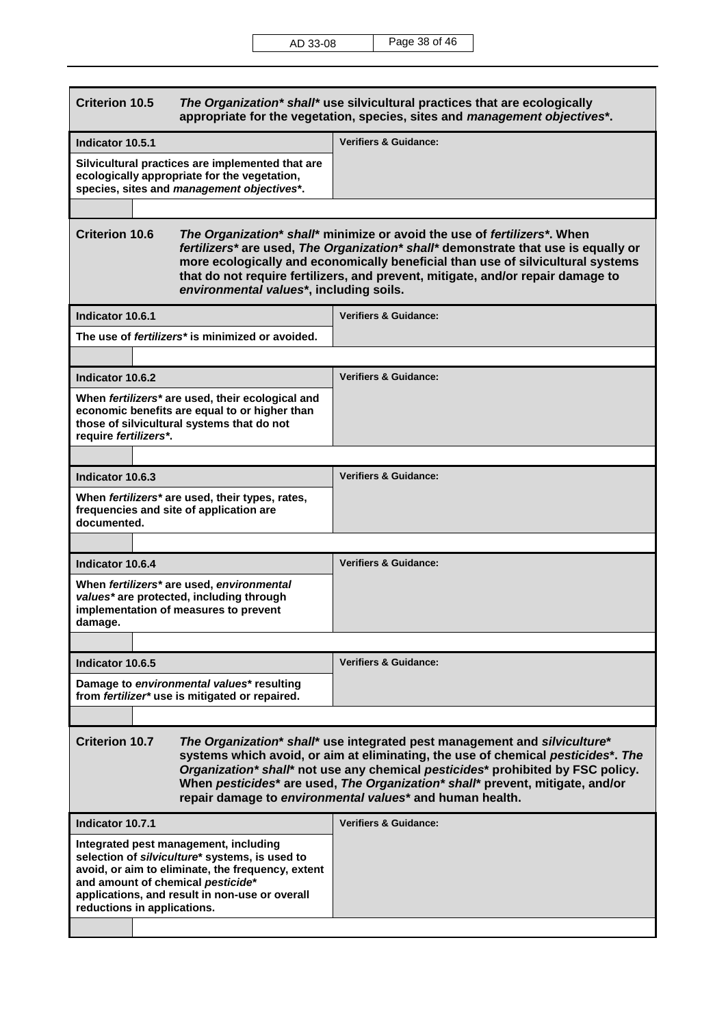| <b>Criterion 10.5</b><br>The Organization* shall* use silvicultural practices that are ecologically<br>appropriate for the vegetation, species, sites and management objectives*.                                                                                                                                                                                                                                      |                                                  |                                                                                                                                                                                                                                                                                                                                      |  |
|------------------------------------------------------------------------------------------------------------------------------------------------------------------------------------------------------------------------------------------------------------------------------------------------------------------------------------------------------------------------------------------------------------------------|--------------------------------------------------|--------------------------------------------------------------------------------------------------------------------------------------------------------------------------------------------------------------------------------------------------------------------------------------------------------------------------------------|--|
| Indicator 10.5.1                                                                                                                                                                                                                                                                                                                                                                                                       |                                                  | <b>Verifiers &amp; Guidance:</b>                                                                                                                                                                                                                                                                                                     |  |
| Silvicultural practices are implemented that are<br>ecologically appropriate for the vegetation,<br>species, sites and management objectives*.                                                                                                                                                                                                                                                                         |                                                  |                                                                                                                                                                                                                                                                                                                                      |  |
|                                                                                                                                                                                                                                                                                                                                                                                                                        |                                                  |                                                                                                                                                                                                                                                                                                                                      |  |
| <b>Criterion 10.6</b><br>environmental values*, including soils.                                                                                                                                                                                                                                                                                                                                                       |                                                  | The Organization* shall* minimize or avoid the use of fertilizers*. When<br>fertilizers* are used, The Organization* shall* demonstrate that use is equally or<br>more ecologically and economically beneficial than use of silvicultural systems<br>that do not require fertilizers, and prevent, mitigate, and/or repair damage to |  |
| Indicator 10.6.1                                                                                                                                                                                                                                                                                                                                                                                                       |                                                  | <b>Verifiers &amp; Guidance:</b>                                                                                                                                                                                                                                                                                                     |  |
|                                                                                                                                                                                                                                                                                                                                                                                                                        | The use of fertilizers* is minimized or avoided. |                                                                                                                                                                                                                                                                                                                                      |  |
|                                                                                                                                                                                                                                                                                                                                                                                                                        |                                                  |                                                                                                                                                                                                                                                                                                                                      |  |
| Indicator 10.6.2                                                                                                                                                                                                                                                                                                                                                                                                       |                                                  | <b>Verifiers &amp; Guidance:</b>                                                                                                                                                                                                                                                                                                     |  |
| When fertilizers* are used, their ecological and<br>economic benefits are equal to or higher than<br>those of silvicultural systems that do not<br>require fertilizers*.                                                                                                                                                                                                                                               |                                                  |                                                                                                                                                                                                                                                                                                                                      |  |
|                                                                                                                                                                                                                                                                                                                                                                                                                        |                                                  |                                                                                                                                                                                                                                                                                                                                      |  |
| Indicator 10.6.3                                                                                                                                                                                                                                                                                                                                                                                                       |                                                  | <b>Verifiers &amp; Guidance:</b>                                                                                                                                                                                                                                                                                                     |  |
| When fertilizers* are used, their types, rates,<br>frequencies and site of application are<br>documented.                                                                                                                                                                                                                                                                                                              |                                                  |                                                                                                                                                                                                                                                                                                                                      |  |
|                                                                                                                                                                                                                                                                                                                                                                                                                        |                                                  |                                                                                                                                                                                                                                                                                                                                      |  |
| Indicator 10.6.4                                                                                                                                                                                                                                                                                                                                                                                                       |                                                  | <b>Verifiers &amp; Guidance:</b>                                                                                                                                                                                                                                                                                                     |  |
| When fertilizers* are used, environmental<br>values* are protected, including through<br>implementation of measures to prevent<br>damage.                                                                                                                                                                                                                                                                              |                                                  |                                                                                                                                                                                                                                                                                                                                      |  |
|                                                                                                                                                                                                                                                                                                                                                                                                                        |                                                  |                                                                                                                                                                                                                                                                                                                                      |  |
| Indicator 10.6.5                                                                                                                                                                                                                                                                                                                                                                                                       |                                                  | <b>Verifiers &amp; Guidance:</b>                                                                                                                                                                                                                                                                                                     |  |
| Damage to environmental values* resulting<br>from fertilizer* use is mitigated or repaired.                                                                                                                                                                                                                                                                                                                            |                                                  |                                                                                                                                                                                                                                                                                                                                      |  |
|                                                                                                                                                                                                                                                                                                                                                                                                                        |                                                  |                                                                                                                                                                                                                                                                                                                                      |  |
| <b>Criterion 10.7</b><br>The Organization* shall* use integrated pest management and silviculture*<br>systems which avoid, or aim at eliminating, the use of chemical pesticides*. The<br>Organization* shall* not use any chemical pesticides* prohibited by FSC policy.<br>When pesticides* are used, The Organization* shall* prevent, mitigate, and/or<br>repair damage to environmental values* and human health. |                                                  |                                                                                                                                                                                                                                                                                                                                      |  |
| Indicator 10.7.1                                                                                                                                                                                                                                                                                                                                                                                                       |                                                  | <b>Verifiers &amp; Guidance:</b>                                                                                                                                                                                                                                                                                                     |  |
| Integrated pest management, including<br>selection of silviculture* systems, is used to<br>avoid, or aim to eliminate, the frequency, extent<br>and amount of chemical pesticide*<br>applications, and result in non-use or overall<br>reductions in applications.                                                                                                                                                     |                                                  |                                                                                                                                                                                                                                                                                                                                      |  |
|                                                                                                                                                                                                                                                                                                                                                                                                                        |                                                  |                                                                                                                                                                                                                                                                                                                                      |  |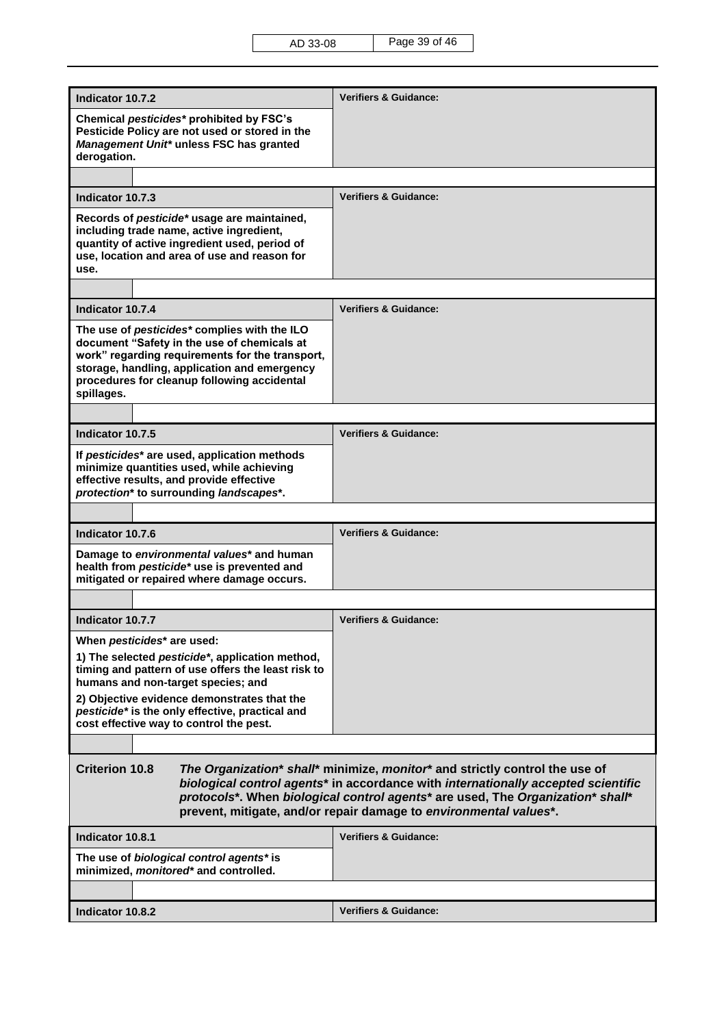| Indicator 10.7.2                                                                                                                                                                                                                                                                                                                                   | <b>Verifiers &amp; Guidance:</b> |  |
|----------------------------------------------------------------------------------------------------------------------------------------------------------------------------------------------------------------------------------------------------------------------------------------------------------------------------------------------------|----------------------------------|--|
| Chemical pesticides* prohibited by FSC's<br>Pesticide Policy are not used or stored in the<br>Management Unit* unless FSC has granted<br>derogation.                                                                                                                                                                                               |                                  |  |
|                                                                                                                                                                                                                                                                                                                                                    |                                  |  |
| Indicator 10.7.3                                                                                                                                                                                                                                                                                                                                   | <b>Verifiers &amp; Guidance:</b> |  |
| Records of pesticide* usage are maintained,<br>including trade name, active ingredient,<br>quantity of active ingredient used, period of<br>use, location and area of use and reason for<br>use.                                                                                                                                                   |                                  |  |
|                                                                                                                                                                                                                                                                                                                                                    |                                  |  |
| Indicator 10.7.4                                                                                                                                                                                                                                                                                                                                   | <b>Verifiers &amp; Guidance:</b> |  |
| The use of pesticides* complies with the ILO<br>document "Safety in the use of chemicals at<br>work" regarding requirements for the transport,<br>storage, handling, application and emergency<br>procedures for cleanup following accidental<br>spillages.                                                                                        |                                  |  |
| Indicator 10.7.5                                                                                                                                                                                                                                                                                                                                   | <b>Verifiers &amp; Guidance:</b> |  |
| If pesticides* are used, application methods<br>minimize quantities used, while achieving<br>effective results, and provide effective<br>protection* to surrounding landscapes*.                                                                                                                                                                   |                                  |  |
|                                                                                                                                                                                                                                                                                                                                                    | <b>Verifiers &amp; Guidance:</b> |  |
| Indicator 10.7.6<br>Damage to environmental values* and human<br>health from pesticide* use is prevented and<br>mitigated or repaired where damage occurs.                                                                                                                                                                                         |                                  |  |
|                                                                                                                                                                                                                                                                                                                                                    |                                  |  |
| Indicator 10.7.7                                                                                                                                                                                                                                                                                                                                   | <b>Verifiers &amp; Guidance:</b> |  |
| When <i>pesticides</i> * are used:<br>1) The selected <i>pesticide</i> <sup>*</sup> , application method,<br>timing and pattern of use offers the least risk to<br>humans and non-target species; and<br>2) Objective evidence demonstrates that the<br>pesticide* is the only effective, practical and<br>cost effective way to control the pest. |                                  |  |
|                                                                                                                                                                                                                                                                                                                                                    |                                  |  |
| <b>Criterion 10.8</b><br>The Organization* shall* minimize, monitor* and strictly control the use of<br>biological control agents* in accordance with internationally accepted scientific<br>protocols*. When biological control agents* are used, The Organization* shall*<br>prevent, mitigate, and/or repair damage to environmental values*.   |                                  |  |
| Indicator 10.8.1                                                                                                                                                                                                                                                                                                                                   | <b>Verifiers &amp; Guidance:</b> |  |
| The use of biological control agents* is<br>minimized, monitored* and controlled.                                                                                                                                                                                                                                                                  |                                  |  |
|                                                                                                                                                                                                                                                                                                                                                    |                                  |  |
| Indicator 10.8.2                                                                                                                                                                                                                                                                                                                                   | <b>Verifiers &amp; Guidance:</b> |  |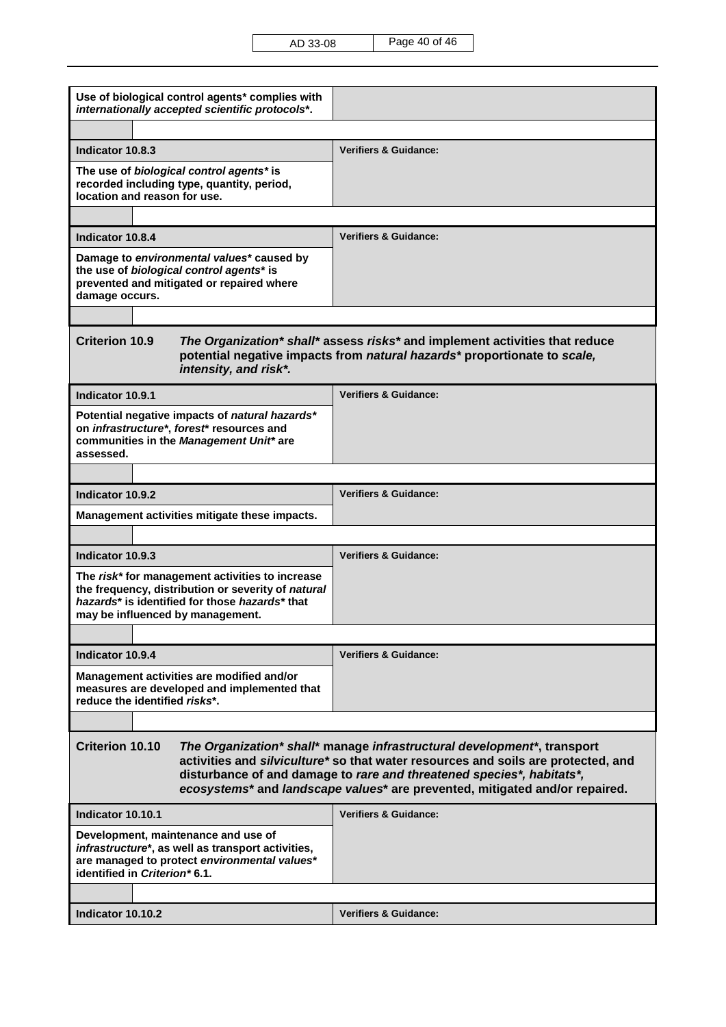AD 33-08 Page 40 of 46

| Use of biological control agents* complies with<br>internationally accepted scientific protocols*.                                                                                                                                                                                                                                             |                                                                                                                                                         |  |
|------------------------------------------------------------------------------------------------------------------------------------------------------------------------------------------------------------------------------------------------------------------------------------------------------------------------------------------------|---------------------------------------------------------------------------------------------------------------------------------------------------------|--|
|                                                                                                                                                                                                                                                                                                                                                |                                                                                                                                                         |  |
| Indicator 10.8.3                                                                                                                                                                                                                                                                                                                               | <b>Verifiers &amp; Guidance:</b>                                                                                                                        |  |
| The use of biological control agents* is<br>recorded including type, quantity, period,<br>location and reason for use.                                                                                                                                                                                                                         |                                                                                                                                                         |  |
| Indicator 10.8.4                                                                                                                                                                                                                                                                                                                               | <b>Verifiers &amp; Guidance:</b>                                                                                                                        |  |
| Damage to environmental values* caused by<br>the use of biological control agents* is<br>prevented and mitigated or repaired where<br>damage occurs.                                                                                                                                                                                           |                                                                                                                                                         |  |
|                                                                                                                                                                                                                                                                                                                                                |                                                                                                                                                         |  |
| <b>Criterion 10.9</b><br>intensity, and risk*.                                                                                                                                                                                                                                                                                                 | The Organization* shall* assess risks* and implement activities that reduce<br>potential negative impacts from natural hazards* proportionate to scale, |  |
| Indicator 10.9.1                                                                                                                                                                                                                                                                                                                               | <b>Verifiers &amp; Guidance:</b>                                                                                                                        |  |
| Potential negative impacts of natural hazards*<br>on infrastructure*, forest* resources and<br>communities in the Management Unit* are<br>assessed.                                                                                                                                                                                            |                                                                                                                                                         |  |
|                                                                                                                                                                                                                                                                                                                                                |                                                                                                                                                         |  |
| Indicator 10.9.2                                                                                                                                                                                                                                                                                                                               | <b>Verifiers &amp; Guidance:</b>                                                                                                                        |  |
| Management activities mitigate these impacts.                                                                                                                                                                                                                                                                                                  |                                                                                                                                                         |  |
| Indicator 10.9.3                                                                                                                                                                                                                                                                                                                               | <b>Verifiers &amp; Guidance:</b>                                                                                                                        |  |
| The risk* for management activities to increase<br>the frequency, distribution or severity of natural<br>hazards* is identified for those hazards* that<br>may be influenced by management.                                                                                                                                                    |                                                                                                                                                         |  |
|                                                                                                                                                                                                                                                                                                                                                |                                                                                                                                                         |  |
| Indicator 10.9.4                                                                                                                                                                                                                                                                                                                               | <b>Verifiers &amp; Guidance:</b>                                                                                                                        |  |
| Management activities are modified and/or<br>measures are developed and implemented that<br>reduce the identified risks*.                                                                                                                                                                                                                      |                                                                                                                                                         |  |
|                                                                                                                                                                                                                                                                                                                                                |                                                                                                                                                         |  |
| <b>Criterion 10.10</b><br>The Organization* shall* manage infrastructural development*, transport<br>activities and silviculture* so that water resources and soils are protected, and<br>disturbance of and damage to rare and threatened species*, habitats*,<br>ecosystems* and landscape values* are prevented, mitigated and/or repaired. |                                                                                                                                                         |  |
| Indicator 10.10.1                                                                                                                                                                                                                                                                                                                              | <b>Verifiers &amp; Guidance:</b>                                                                                                                        |  |
| Development, maintenance and use of<br>infrastructure*, as well as transport activities,<br>are managed to protect environmental values*<br>identified in Criterion* 6.1.                                                                                                                                                                      |                                                                                                                                                         |  |
|                                                                                                                                                                                                                                                                                                                                                |                                                                                                                                                         |  |
| Indicator 10.10.2                                                                                                                                                                                                                                                                                                                              | <b>Verifiers &amp; Guidance:</b>                                                                                                                        |  |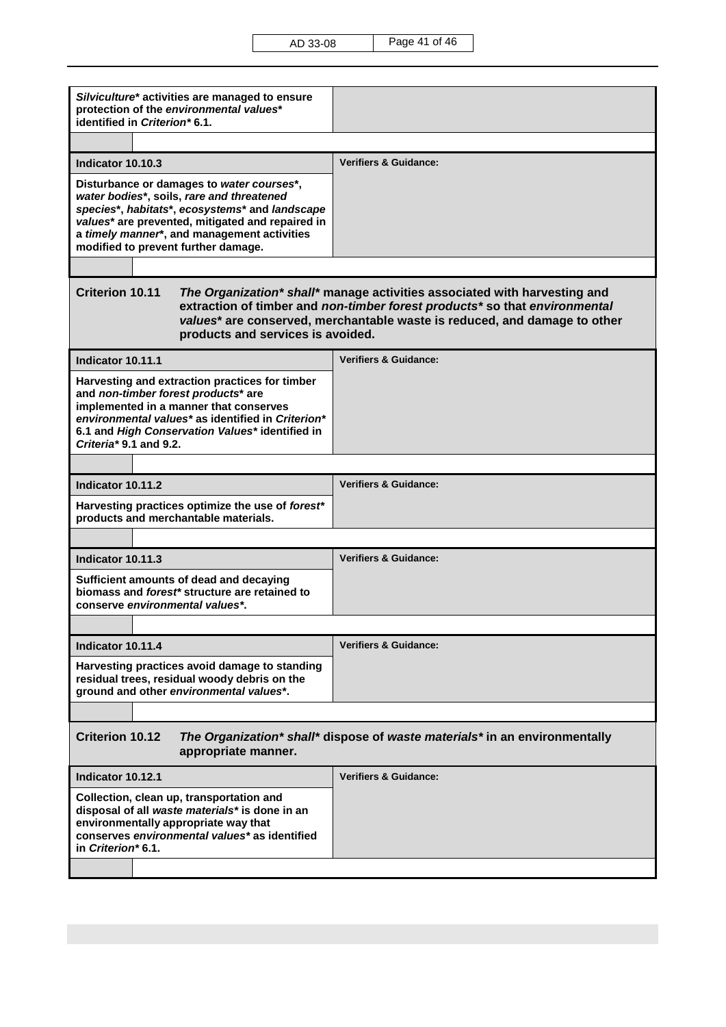AD 33-08 Page 41 of 46

| Silviculture* activities are managed to ensure<br>protection of the environmental values*<br>identified in Criterion* 6.1.                                                                                                                                                                          |                                  |  |
|-----------------------------------------------------------------------------------------------------------------------------------------------------------------------------------------------------------------------------------------------------------------------------------------------------|----------------------------------|--|
|                                                                                                                                                                                                                                                                                                     |                                  |  |
| Indicator 10.10.3                                                                                                                                                                                                                                                                                   | <b>Verifiers &amp; Guidance:</b> |  |
| Disturbance or damages to water courses*,<br>water bodies*, soils, rare and threatened<br>species*, habitats*, ecosystems* and landscape<br>values* are prevented, mitigated and repaired in<br>a timely manner*, and management activities<br>modified to prevent further damage.                  |                                  |  |
|                                                                                                                                                                                                                                                                                                     |                                  |  |
| <b>Criterion 10.11</b><br>The Organization* shall* manage activities associated with harvesting and<br>extraction of timber and non-timber forest products* so that environmental<br>values* are conserved, merchantable waste is reduced, and damage to other<br>products and services is avoided. |                                  |  |
| Indicator 10.11.1                                                                                                                                                                                                                                                                                   | <b>Verifiers &amp; Guidance:</b> |  |
| Harvesting and extraction practices for timber<br>and non-timber forest products* are<br>implemented in a manner that conserves<br>environmental values* as identified in Criterion*<br>6.1 and High Conservation Values* identified in<br>Criteria* 9.1 and 9.2.                                   |                                  |  |
|                                                                                                                                                                                                                                                                                                     |                                  |  |
| Indicator 10.11.2                                                                                                                                                                                                                                                                                   | <b>Verifiers &amp; Guidance:</b> |  |
| Harvesting practices optimize the use of forest*<br>products and merchantable materials.                                                                                                                                                                                                            |                                  |  |
|                                                                                                                                                                                                                                                                                                     |                                  |  |
| Indicator 10.11.3                                                                                                                                                                                                                                                                                   | <b>Verifiers &amp; Guidance:</b> |  |
| Sufficient amounts of dead and decaying<br>biomass and forest* structure are retained to<br>conserve environmental values*.                                                                                                                                                                         |                                  |  |
|                                                                                                                                                                                                                                                                                                     |                                  |  |
| Indicator 10.11.4                                                                                                                                                                                                                                                                                   | <b>Verifiers &amp; Guidance:</b> |  |
| Harvesting practices avoid damage to standing<br>residual trees, residual woody debris on the<br>ground and other environmental values*.                                                                                                                                                            |                                  |  |
|                                                                                                                                                                                                                                                                                                     |                                  |  |
| <b>Criterion 10.12</b><br>The Organization* shall* dispose of waste materials* in an environmentally<br>appropriate manner.                                                                                                                                                                         |                                  |  |
| Indicator 10.12.1                                                                                                                                                                                                                                                                                   | <b>Verifiers &amp; Guidance:</b> |  |
| Collection, clean up, transportation and<br>disposal of all waste materials* is done in an<br>environmentally appropriate way that<br>conserves environmental values* as identified<br>in Criterion* 6.1.                                                                                           |                                  |  |
|                                                                                                                                                                                                                                                                                                     |                                  |  |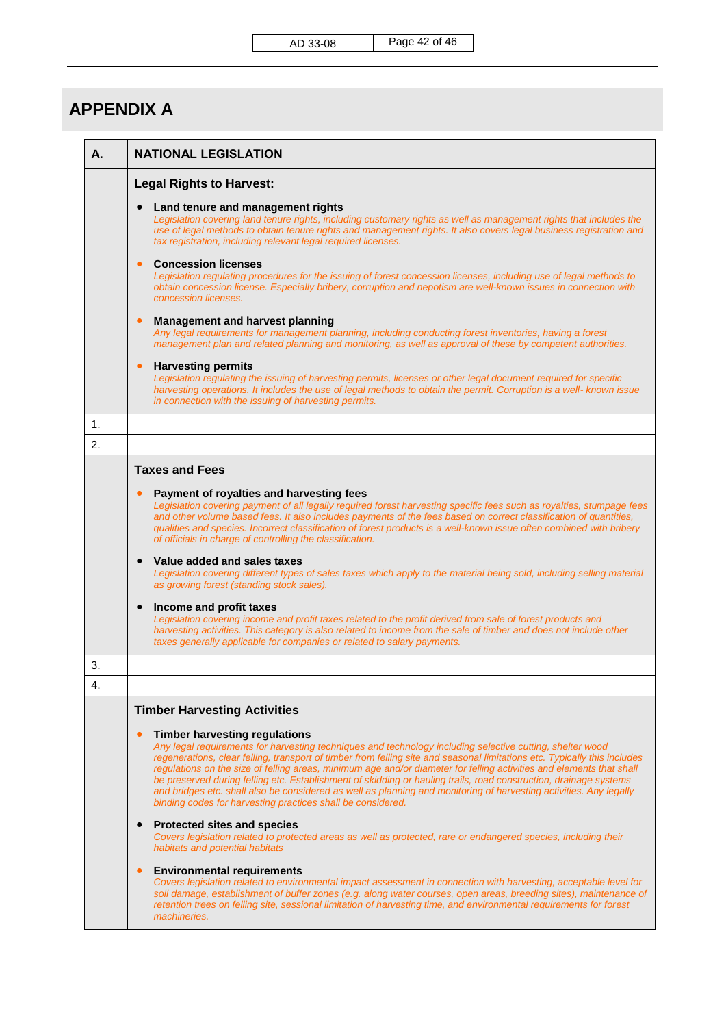## **APPENDIX A**

| А. | <b>NATIONAL LEGISLATION</b>                                                                                                                                                                                                                                                                                                                                                                                                                                                                                                                                                                                                                                                                                      |  |  |  |  |
|----|------------------------------------------------------------------------------------------------------------------------------------------------------------------------------------------------------------------------------------------------------------------------------------------------------------------------------------------------------------------------------------------------------------------------------------------------------------------------------------------------------------------------------------------------------------------------------------------------------------------------------------------------------------------------------------------------------------------|--|--|--|--|
|    | <b>Legal Rights to Harvest:</b>                                                                                                                                                                                                                                                                                                                                                                                                                                                                                                                                                                                                                                                                                  |  |  |  |  |
|    | Land tenure and management rights<br>Legislation covering land tenure rights, including customary rights as well as management rights that includes the<br>use of legal methods to obtain tenure rights and management rights. It also covers legal business registration and<br>tax registration, including relevant legal required licenses.                                                                                                                                                                                                                                                                                                                                                                   |  |  |  |  |
|    | <b>Concession licenses</b><br>$\bullet$<br>Legislation regulating procedures for the issuing of forest concession licenses, including use of legal methods to<br>obtain concession license. Especially bribery, corruption and nepotism are well-known issues in connection with<br>concession licenses.                                                                                                                                                                                                                                                                                                                                                                                                         |  |  |  |  |
|    | <b>Management and harvest planning</b><br>$\bullet$<br>Any legal requirements for management planning, including conducting forest inventories, having a forest<br>management plan and related planning and monitoring, as well as approval of these by competent authorities.                                                                                                                                                                                                                                                                                                                                                                                                                                   |  |  |  |  |
|    | <b>Harvesting permits</b><br>$\bullet$<br>Legislation regulating the issuing of harvesting permits, licenses or other legal document required for specific<br>harvesting operations. It includes the use of legal methods to obtain the permit. Corruption is a well- known issue<br>in connection with the issuing of harvesting permits.                                                                                                                                                                                                                                                                                                                                                                       |  |  |  |  |
| 1. |                                                                                                                                                                                                                                                                                                                                                                                                                                                                                                                                                                                                                                                                                                                  |  |  |  |  |
| 2. |                                                                                                                                                                                                                                                                                                                                                                                                                                                                                                                                                                                                                                                                                                                  |  |  |  |  |
|    | <b>Taxes and Fees</b>                                                                                                                                                                                                                                                                                                                                                                                                                                                                                                                                                                                                                                                                                            |  |  |  |  |
|    | Payment of royalties and harvesting fees<br>$\bullet$<br>Legislation covering payment of all legally required forest harvesting specific fees such as royalties, stumpage fees<br>and other volume based fees. It also includes payments of the fees based on correct classification of quantities,<br>qualities and species. Incorrect classification of forest products is a well-known issue often combined with bribery<br>of officials in charge of controlling the classification.                                                                                                                                                                                                                         |  |  |  |  |
|    | Value added and sales taxes<br>$\bullet$<br>Legislation covering different types of sales taxes which apply to the material being sold, including selling material<br>as growing forest (standing stock sales).                                                                                                                                                                                                                                                                                                                                                                                                                                                                                                  |  |  |  |  |
|    | Income and profit taxes<br>$\bullet$<br>Legislation covering income and profit taxes related to the profit derived from sale of forest products and<br>harvesting activities. This category is also related to income from the sale of timber and does not include other<br>taxes generally applicable for companies or related to salary payments.                                                                                                                                                                                                                                                                                                                                                              |  |  |  |  |
| 3. |                                                                                                                                                                                                                                                                                                                                                                                                                                                                                                                                                                                                                                                                                                                  |  |  |  |  |
| 4  |                                                                                                                                                                                                                                                                                                                                                                                                                                                                                                                                                                                                                                                                                                                  |  |  |  |  |
|    | <b>Timber Harvesting Activities</b>                                                                                                                                                                                                                                                                                                                                                                                                                                                                                                                                                                                                                                                                              |  |  |  |  |
|    | <b>Timber harvesting regulations</b><br>Any legal requirements for harvesting techniques and technology including selective cutting, shelter wood<br>regenerations, clear felling, transport of timber from felling site and seasonal limitations etc. Typically this includes<br>regulations on the size of felling areas, minimum age and/or diameter for felling activities and elements that shall<br>be preserved during felling etc. Establishment of skidding or hauling trails, road construction, drainage systems<br>and bridges etc. shall also be considered as well as planning and monitoring of harvesting activities. Any legally<br>binding codes for harvesting practices shall be considered. |  |  |  |  |
|    | <b>Protected sites and species</b><br>$\bullet$<br>Covers legislation related to protected areas as well as protected, rare or endangered species, including their<br>habitats and potential habitats                                                                                                                                                                                                                                                                                                                                                                                                                                                                                                            |  |  |  |  |
|    | <b>Environmental requirements</b><br>$\bullet$<br>Covers legislation related to environmental impact assessment in connection with harvesting, acceptable level for<br>soil damage, establishment of buffer zones (e.g. along water courses, open areas, breeding sites), maintenance of<br>retention trees on felling site, sessional limitation of harvesting time, and environmental requirements for forest<br>machineries.                                                                                                                                                                                                                                                                                  |  |  |  |  |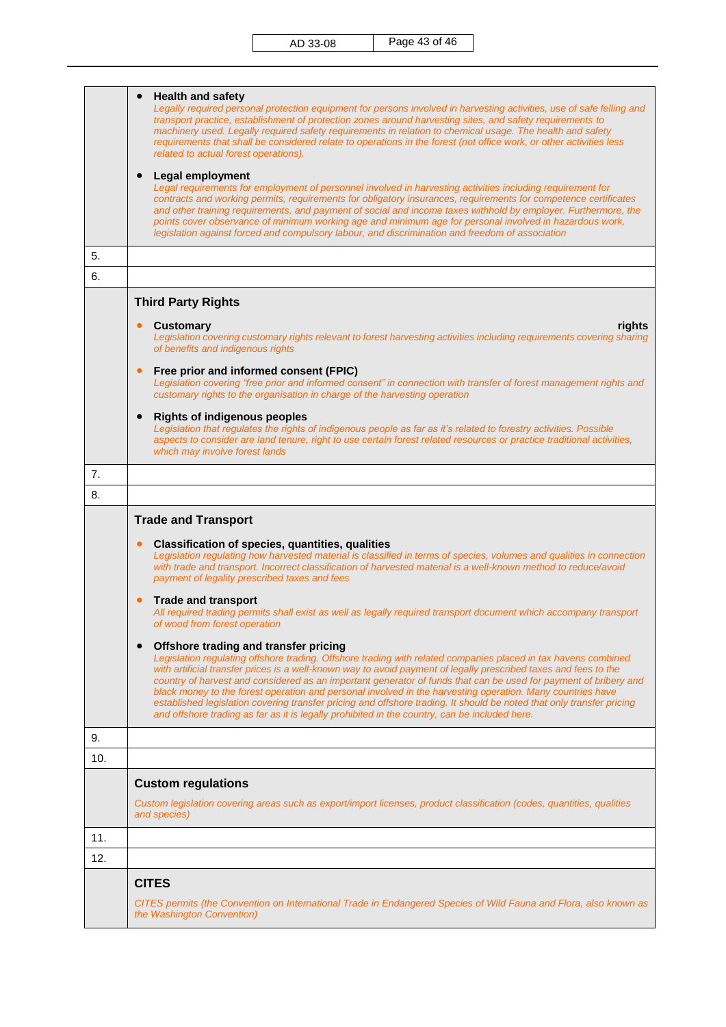|     | <b>Health and safety</b><br>Legally required personal protection equipment for persons involved in harvesting activities, use of safe felling and<br>transport practice, establishment of protection zones around harvesting sites, and safety requirements to<br>machinery used. Legally required safety requirements in relation to chemical usage. The health and safety<br>requirements that shall be considered relate to operations in the forest (not office work, or other activities less<br>related to actual forest operations).                                                                                                                                                                                             |
|-----|-----------------------------------------------------------------------------------------------------------------------------------------------------------------------------------------------------------------------------------------------------------------------------------------------------------------------------------------------------------------------------------------------------------------------------------------------------------------------------------------------------------------------------------------------------------------------------------------------------------------------------------------------------------------------------------------------------------------------------------------|
|     | <b>Legal employment</b><br>Legal requirements for employment of personnel involved in harvesting activities including requirement for<br>contracts and working permits, requirements for obligatory insurances, requirements for competence certificates<br>and other training requirements, and payment of social and income taxes withhold by employer. Furthermore, the<br>points cover observance of minimum working age and minimum age for personal involved in hazardous work,<br>legislation against forced and compulsory labour, and discrimination and freedom of association                                                                                                                                                |
| 5.  |                                                                                                                                                                                                                                                                                                                                                                                                                                                                                                                                                                                                                                                                                                                                         |
| 6.  |                                                                                                                                                                                                                                                                                                                                                                                                                                                                                                                                                                                                                                                                                                                                         |
|     | <b>Third Party Rights</b>                                                                                                                                                                                                                                                                                                                                                                                                                                                                                                                                                                                                                                                                                                               |
|     | <b>Customary</b><br>rights<br>$\bullet$                                                                                                                                                                                                                                                                                                                                                                                                                                                                                                                                                                                                                                                                                                 |
|     | Legislation covering customary rights relevant to forest harvesting activities including requirements covering sharing<br>of benefits and indigenous rights                                                                                                                                                                                                                                                                                                                                                                                                                                                                                                                                                                             |
|     | Free prior and informed consent (FPIC)<br>$\bullet$<br>Legislation covering "free prior and informed consent" in connection with transfer of forest management rights and<br>customary rights to the organisation in charge of the harvesting operation                                                                                                                                                                                                                                                                                                                                                                                                                                                                                 |
|     | <b>Rights of indigenous peoples</b><br>$\bullet$<br>Legislation that regulates the rights of indigenous people as far as it's related to forestry activities. Possible<br>aspects to consider are land tenure, right to use certain forest related resources or practice traditional activities,<br>which may involve forest lands                                                                                                                                                                                                                                                                                                                                                                                                      |
| 7.  |                                                                                                                                                                                                                                                                                                                                                                                                                                                                                                                                                                                                                                                                                                                                         |
| 8.  |                                                                                                                                                                                                                                                                                                                                                                                                                                                                                                                                                                                                                                                                                                                                         |
|     | <b>Trade and Transport</b>                                                                                                                                                                                                                                                                                                                                                                                                                                                                                                                                                                                                                                                                                                              |
|     |                                                                                                                                                                                                                                                                                                                                                                                                                                                                                                                                                                                                                                                                                                                                         |
|     | Classification of species, quantities, qualities<br>$\bullet$<br>Legislation regulating how harvested material is classified in terms of species, volumes and qualities in connection<br>with trade and transport. Incorrect classification of harvested material is a well-known method to reduce/avoid<br>payment of legality prescribed taxes and fees                                                                                                                                                                                                                                                                                                                                                                               |
|     | <b>Trade and transport</b><br>$\bullet$                                                                                                                                                                                                                                                                                                                                                                                                                                                                                                                                                                                                                                                                                                 |
|     | All required trading permits shall exist as well as legally required transport document which accompany transport<br>of wood from forest operation                                                                                                                                                                                                                                                                                                                                                                                                                                                                                                                                                                                      |
|     | Offshore trading and transfer pricing<br>Legislation regulating offshore trading. Offshore trading with related companies placed in tax havens combined<br>with artificial transfer prices is a well-known way to avoid payment of legally prescribed taxes and fees to the<br>country of harvest and considered as an important generator of funds that can be used for payment of bribery and<br>black money to the forest operation and personal involved in the harvesting operation. Many countries have<br>established legislation covering transfer pricing and offshore trading. It should be noted that only transfer pricing<br>and offshore trading as far as it is legally prohibited in the country, can be included here. |
| 9.  |                                                                                                                                                                                                                                                                                                                                                                                                                                                                                                                                                                                                                                                                                                                                         |
| 10. |                                                                                                                                                                                                                                                                                                                                                                                                                                                                                                                                                                                                                                                                                                                                         |
|     | <b>Custom regulations</b>                                                                                                                                                                                                                                                                                                                                                                                                                                                                                                                                                                                                                                                                                                               |
|     | Custom legislation covering areas such as export/import licenses, product classification (codes, quantities, qualities<br>and species)                                                                                                                                                                                                                                                                                                                                                                                                                                                                                                                                                                                                  |
| 11. |                                                                                                                                                                                                                                                                                                                                                                                                                                                                                                                                                                                                                                                                                                                                         |
| 12. |                                                                                                                                                                                                                                                                                                                                                                                                                                                                                                                                                                                                                                                                                                                                         |
|     | <b>CITES</b>                                                                                                                                                                                                                                                                                                                                                                                                                                                                                                                                                                                                                                                                                                                            |
|     | CITES permits (the Convention on International Trade in Endangered Species of Wild Fauna and Flora, also known as<br>the Washington Convention)                                                                                                                                                                                                                                                                                                                                                                                                                                                                                                                                                                                         |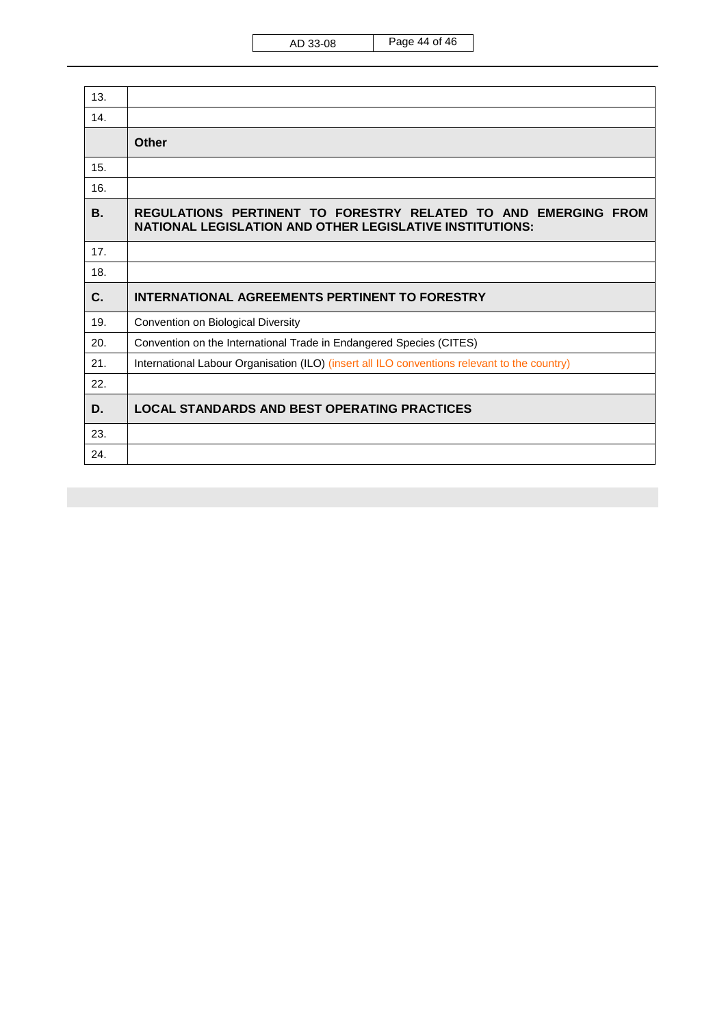| 13.       |                                                                                                                                   |  |
|-----------|-----------------------------------------------------------------------------------------------------------------------------------|--|
| 14.       |                                                                                                                                   |  |
|           | Other                                                                                                                             |  |
| 15.       |                                                                                                                                   |  |
| 16.       |                                                                                                                                   |  |
| <b>B.</b> | REGULATIONS PERTINENT TO FORESTRY RELATED TO AND EMERGING FROM<br><b>NATIONAL LEGISLATION AND OTHER LEGISLATIVE INSTITUTIONS:</b> |  |
| 17.       |                                                                                                                                   |  |
| 18.       |                                                                                                                                   |  |
| C.        | <b>INTERNATIONAL AGREEMENTS PERTINENT TO FORESTRY</b>                                                                             |  |
| 19.       | Convention on Biological Diversity                                                                                                |  |
| 20.       | Convention on the International Trade in Endangered Species (CITES)                                                               |  |
| 21.       | International Labour Organisation (ILO) (insert all ILO conventions relevant to the country)                                      |  |
| 22.       |                                                                                                                                   |  |
| D.        | <b>LOCAL STANDARDS AND BEST OPERATING PRACTICES</b>                                                                               |  |
| 23.       |                                                                                                                                   |  |
| 24.       |                                                                                                                                   |  |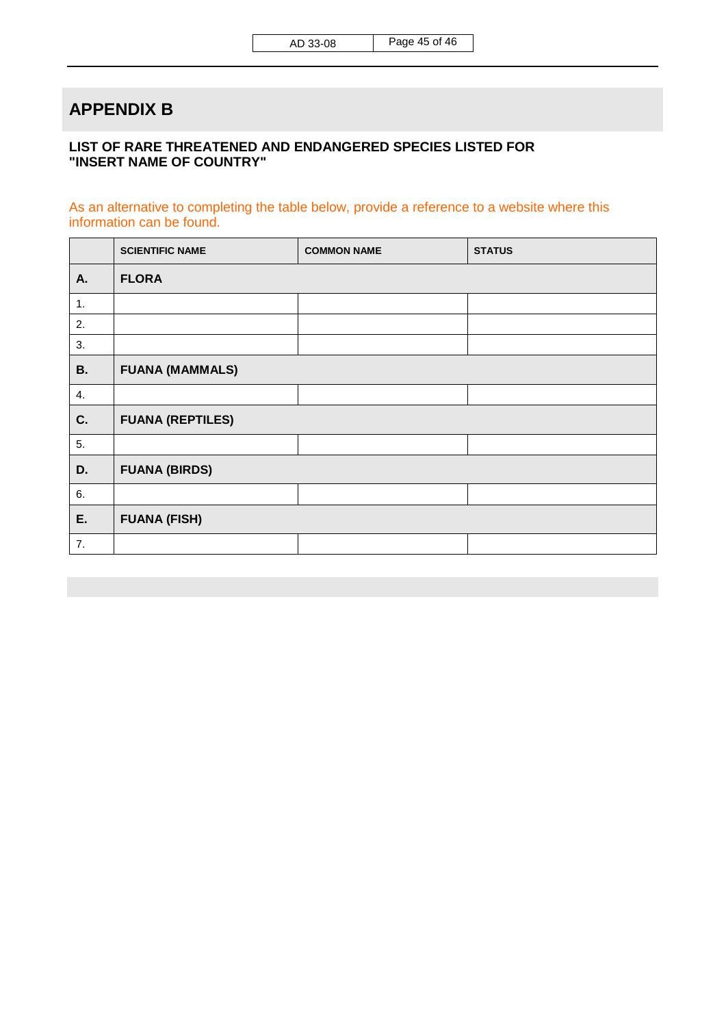### **APPENDIX B**

#### **LIST OF RARE THREATENED AND ENDANGERED SPECIES LISTED FOR "INSERT NAME OF COUNTRY"**

#### As an alternative to completing the table below, provide a reference to a website where this information can be found.

|           | <b>SCIENTIFIC NAME</b>  | <b>COMMON NAME</b> | <b>STATUS</b> |
|-----------|-------------------------|--------------------|---------------|
| A.        | <b>FLORA</b>            |                    |               |
| 1.        |                         |                    |               |
| 2.        |                         |                    |               |
| 3.        |                         |                    |               |
| <b>B.</b> | <b>FUANA (MAMMALS)</b>  |                    |               |
| 4.        |                         |                    |               |
| C.        | <b>FUANA (REPTILES)</b> |                    |               |
| 5.        |                         |                    |               |
| D.        | <b>FUANA (BIRDS)</b>    |                    |               |
| 6.        |                         |                    |               |
| Ε.        | <b>FUANA (FISH)</b>     |                    |               |
| 7.        |                         |                    |               |